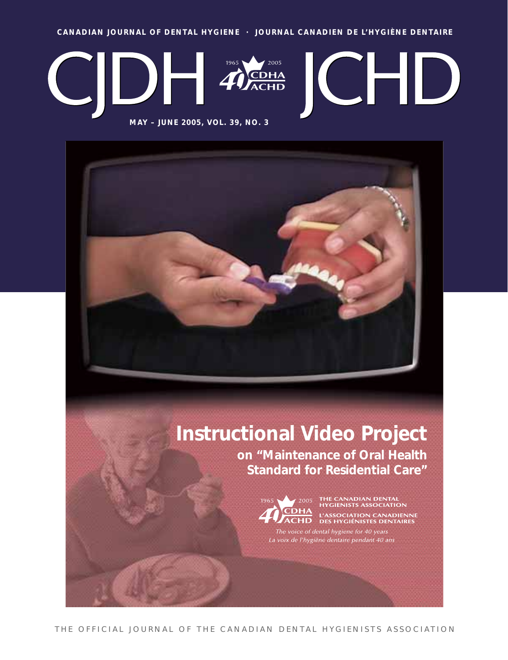**CANADIAN JOURNAL OF DENTAL HYGIENE · JOURNAL CANADIEN DE L'HYGIÈNE DENTAIRE**



**Instructional Video Project on "Maintenance of Oral Health Standard for Residential Care"** 



2005 THE CANADIAN DENTAL<br>The HYGIENISTS ASSOCIATION **CDHA** L'ASSOCIATION CANADIENNE<br>**ACHD** des hygiénistes dentaires

The voice of dental hygiene for 40 years La voix de l'hygiène dentaire pendant 40 ans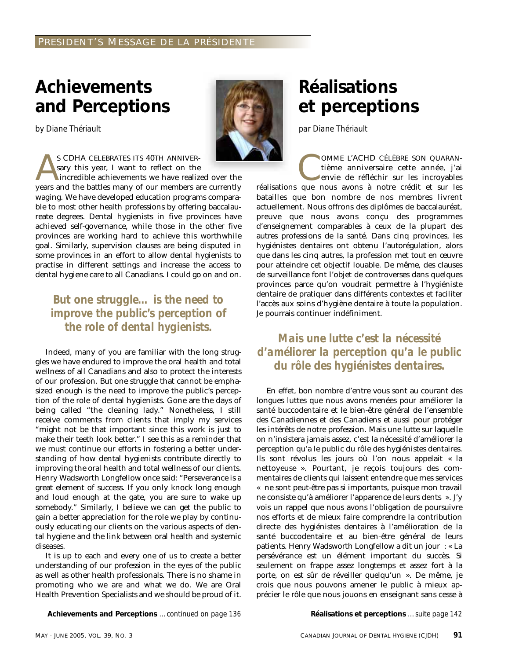## **Achievements and Perceptions**

*by Diane Thériault*



S CDHA CELEBRATES ITS 40TH ANNIVER-<br>sary this year, I want to reflect on the<br>incredible achievements we have realiz<br>vears and the battles many of our members a sary this year, I want to reflect on the incredible achievements we have realized over the years and the battles many of our members are currently waging. We have developed education programs comparable to most other health professions by offering baccalaureate degrees. Dental hygienists in five provinces have achieved self-governance, while those in the other five provinces are working hard to achieve this worthwhile goal. Similarly, supervision clauses are being disputed in some provinces in an effort to allow dental hygienists to practise in different settings and increase the access to dental hygiene care to all Canadians. I could go on and on.

### *But one struggle… is the need to improve the public's perception of the role of dental hygienists.*

Indeed, many of you are familiar with the long struggles we have endured to improve the oral health and total wellness of all Canadians and also to protect the interests of our profession. But one struggle that cannot be emphasized enough is the need to improve the public's perception of the role of dental hygienists. Gone are the days of being called "the cleaning lady." Nonetheless, I still receive comments from clients that imply my services "might not be that important since this work is just to make their teeth look better." I see this as a reminder that we must continue our efforts in fostering a better understanding of how dental hygienists contribute directly to improving the oral health and total wellness of our clients. Henry Wadsworth Longfellow once said: "Perseverance is a great element of success. If you only knock long enough and loud enough at the gate, you are sure to wake up somebody." Similarly, I believe we can get the public to gain a better appreciation for the role we play by continuously educating our clients on the various aspects of dental hygiene and the link between oral health and systemic diseases.

It is up to each and every one of us to create a better understanding of our profession in the eyes of the public as well as other health professionals. There is no shame in promoting who we are and what we do. We are Oral Health Prevention Specialists and we should be proud of it.

**Achievements and Perceptions** *…continued on page 136* **Réalisations et perceptions** *…suite page 142*

# **Réalisations et perceptions**

*par Diane Thériault*

OMME L'ACHD CÉLÈBRE SON QUARAN-<br>tième anniversaire cette année, j'ai<br>envie de réfléchir sur les incroyables<br>que nous avons à notre crédit et sur les tième anniversaire cette année, j'ai envie de réfléchir sur les incroyables réalisations que nous avons à notre crédit et sur les batailles que bon nombre de nos membres livrent actuellement. Nous offrons des diplômes de baccalauréat, preuve que nous avons conçu des programmes d'enseignement comparables à ceux de la plupart des autres professions de la santé. Dans cinq provinces, les hygiénistes dentaires ont obtenu l'autorégulation, alors que dans les cinq autres, la profession met tout en œuvre pour atteindre cet objectif louable. De même, des clauses de surveillance font l'objet de controverses dans quelques provinces parce qu'on voudrait permettre à l'hygiéniste dentaire de pratiquer dans différents contextes et faciliter l'accès aux soins d'hygiène dentaire à toute la population. Je pourrais continuer indéfiniment.

### *Mais une lutte c'est la nécessité d'améliorer la perception qu'a le public du rôle des hygiénistes dentaires.*

En effet, bon nombre d'entre vous sont au courant des longues luttes que nous avons menées pour améliorer la santé buccodentaire et le bien-être général de l'ensemble des Canadiennes et des Canadiens et aussi pour protéger les intérêts de notre profession. Mais une lutte sur laquelle on n'insistera jamais assez, c'est la nécessité d'améliorer la perception qu'a le public du rôle des hygiénistes dentaires. Ils sont révolus les jours où l'on nous appelait « la nettoyeuse ». Pourtant, je reçois toujours des commentaires de clients qui laissent entendre que mes services « ne sont peut-être pas si importants, puisque mon travail ne consiste qu'à améliorer l'apparence de leurs dents ». J'y vois un rappel que nous avons l'obligation de poursuivre nos efforts et de mieux faire comprendre la contribution directe des hygiénistes dentaires à l'amélioration de la santé buccodentaire et au bien-être général de leurs patients. Henry Wadsworth Longfellow a dit un jour : « La persévérance est un élément important du succès. Si seulement on frappe assez longtemps et assez fort à la porte, on est sûr de réveiller quelqu'un ». De même, je crois que nous pouvons amener le public à mieux apprécier le rôle que nous jouons en enseignant sans cesse à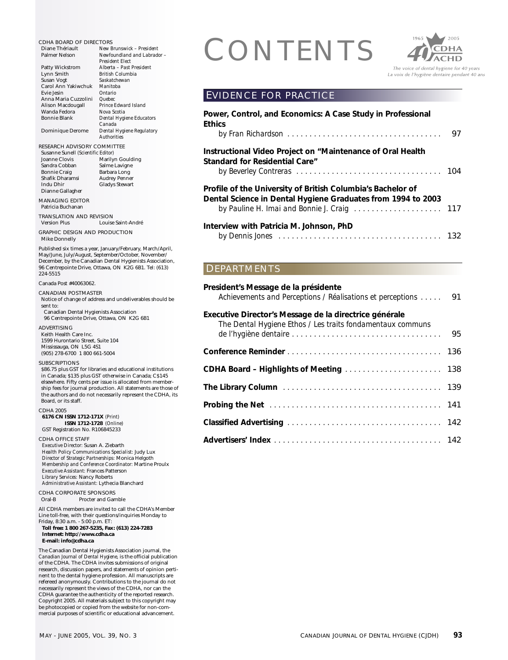CDHA BOARD OF DIRECTORS<br>
Diane Thériault<br>
Palmer Nelson Newfound and Labrador -<br>
President Elect<br>
Patty Wickstrom Alberta - Past President Diane Thériault *New Brunswick – President*  $Newfoundland$  and Labrador -*President Elect* Patty Wickstrom *Alberta – Past President* Lynn Smith *British Columbia* Susan Vogt *Saskatchewan* Carol Ann Yakiwchuk *Manitoba* Evie Jesin *Ontario* Anna Maria Cuzzolini *Quebec* **Prince Edward Island<br>Nova Scotia** Wanda Fedora *Nova Scotia*  $Dental$  *Hygiene Educators Canada* Dominique Derome *Dental Hygiene Regulatory Authorities* RESEARCH ADVISORY COMMITTEE Susanne Sunell *(Scientific Editor)* Marilyn Goulding Sandra Cobban Salme Lavigne<br>Bonnie Craig Barbara Long Bonnie Craig Barbara Long<br>Shafik Dharamsi Audrey Penner Shafik Dharamsi<br>Indu Dhir Gladys Stewart Dianne Gallagher MANAGING EDITOR Patricia Buchanan TRANSLATION AND REVISION Louise Saint-André GRAPHIC DESIGN AND PRODUCTION Mike Donnelly Published six times a year, January/February, March/April, May/June, July/August, September/October, November/ December, by the Canadian Dental Hygienists Association, 96 Centrepointe Drive, Ottawa, ON K2G 6B1. Tel: (613) 224-5515 Canada Post #40063062. CANADIAN POSTMASTER Notice of change of address and undeliverables should be sent to: Canadian Dental Hygienists Association 96 Centrepointe Drive, Ottawa, ON K2G 6B1 ADVERTISING Keith Health Care Inc. 1599 Hurontario Street, Suite 104 Mississauga, ON L5G 4S1 (905) 278-6700 1 800 661-5004 SUBSCRIPTIONS \$86.75 plus GST for libraries and educational institutions in Canada; \$135 plus GST otherwise in Canada; C\$145 elsewhere. Fifty cents per issue is allocated from membership fees for journal production. All statements are those of the authors and do not necessarily represent the CDHA, its Board, or its staff. CDHA 2005 **6176 CN ISSN 1712-171X** *(Print)* **ISSN 1712-1728** *(Online)* GST Registration No. R106845233 CDHA OFFICE STAFF *Executive Director:* Susan A. Ziebarth *Health Policy Communications Specialist:* Judy Lux *Director of Strategic Partnerships:* Monica Helgoth *Membership and Conference Coordinator:* Martine Proulx *Executive Assistant:* Frances Patterson *Library Services:* Nancy Roberts *Administrative Assistant:* Lythecia Blanchard CDHA CORPORATE SPONSORS<br>Oral-B Procter and Gan Procter and Gamble All CDHA members are invited to call the CDHA's Member Line toll-free, with their questions/inquiries Monday to Friday, 8:30 a.m. - 5:00 p.m. ET: **Toll free: 1 800 267-5235, Fax: (613) 224-7283 Internet: http://www.cdha.ca E-mail: info@cdha.ca** The Canadian Dental Hygienists Association journal, the *Canadian Journal of Dental Hygiene,* is the official publication of the CDHA. The CDHA invites submissions of original research, discussion papers, and statements of opinion pertinent to the dental hygiene profession. All manuscripts are refereed anonymously. Contributions to the journal do not necessarily represent the views of the CDHA, nor can the CDHA guarantee the authenticity of the reported research. Copyright 2005. All materials subject to this copyright may **Ethics DEPARTMENTS** 

be photocopied or copied from the website for non-commercial purposes of scientific or educational advancement.



#### EVIDENCE FOR PRACTICE

| Power, Control, and Economics: A Case Study in Professional<br><b>Ethics</b>                                                |    |
|-----------------------------------------------------------------------------------------------------------------------------|----|
|                                                                                                                             | 97 |
| Instructional Video Project on "Maintenance of Oral Health<br><b>Standard for Residential Care"</b>                         |    |
|                                                                                                                             |    |
| Profile of the University of British Columbia's Bachelor of<br>Dental Science in Dental Hygiene Graduates from 1994 to 2003 |    |
| by Pauline H. Imai and Bonnie J. Craig 117                                                                                  |    |
| Interview with Patricia M. Johnson, PhD                                                                                     |    |
|                                                                                                                             |    |

| President's Message de la présidente<br>Achievements and Perceptions / Réalisations et perceptions                   | 91 |
|----------------------------------------------------------------------------------------------------------------------|----|
| Executive Director's Message de la directrice générale<br>The Dental Hygiene Ethos / Les traits fondamentaux communs |    |
|                                                                                                                      |    |
|                                                                                                                      |    |
| The Library Column (Marshall Aller Andrew Marshall Aller Aller Aller Aller Aller Aller Aller Aller                   |    |
|                                                                                                                      |    |
|                                                                                                                      |    |
|                                                                                                                      |    |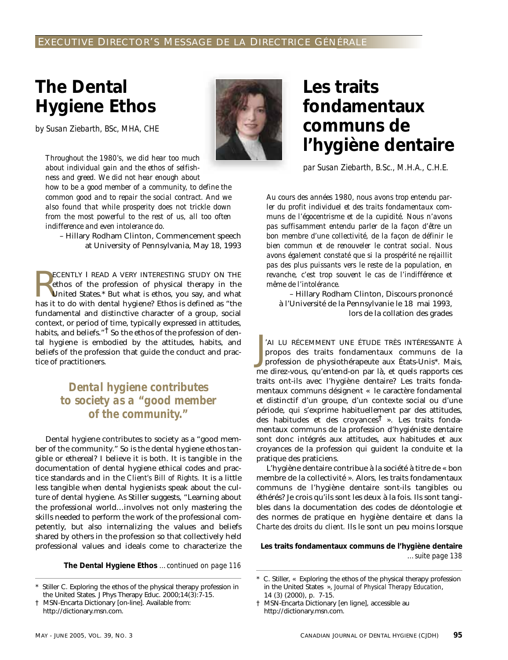# **The Dental Hygiene Ethos**

*by Susan Ziebarth, BSc, MHA, CHE*

*Throughout the 1980's, we did hear too much about individual gain and the ethos of selfishness and greed. We did not hear enough about*

*how to be a good member of a community, to define the common good and to repair the social contract. And we also found that while prosperity does not trickle down from the most powerful to the rest of us, all too often indifference and even intolerance do.*

– Hillary Rodham Clinton, Commencement speech at University of Pennsylvania, May 18, 1993

**RECENTLY I READ A VERY INTERESTING STUDY ON THE ethos of the profession of physical therapy in the United States.\* But what is ethos, you say, and what has it to do with dental hygiene? Ethos is defined as "the** ECENTLY I READ A VERY INTERESTING STUDY ON THE ethos of the profession of physical therapy in the United States.\* But what is ethos, you say, and what fundamental and distinctive character of a group, social context, or period of time, typically expressed in attitudes, habits, and beliefs." $\frac{1}{1}$  So the ethos of the profession of dental hygiene is embodied by the attitudes, habits, and beliefs of the profession that guide the conduct and practice of practitioners.

### *Dental hygiene contributes to society as a "good member of the community."*

Dental hygiene contributes to society as a "good member of the community." So is the dental hygiene ethos tangible or ethereal? I believe it is both. It is tangible in the documentation of dental hygiene ethical codes and practice standards and in the *Client's Bill of Rights.* It is a little less tangible when dental hygienists speak about the culture of dental hygiene. As Stiller suggests, "Learning about the professional world…involves not only mastering the skills needed to perform the work of the professional competently, but also internalizing the values and beliefs shared by others in the profession so that collectively held professional values and ideals come to characterize the

**The Dental Hygiene Ethos** *…continued on page 116*



## **Les traits fondamentaux communs de l'hygiène dentaire**

*par Susan Ziebarth, B.Sc., M.H.A., C.H.E.*

*Au cours des années 1980, nous avons trop entendu parler du profit individuel et des traits fondamentaux communs de l'égocentrisme et de la cupidité. Nous n'avons pas suffisamment entendu parler de la façon d'être un bon membre d'une collectivité, de la façon de définir le bien commun et de renouveler le contrat social. Nous avons également constaté que si la prospérité ne rejaillit pas des plus puissants vers le reste de la population, en revanche, c'est trop souvent le cas de l'indifférence et même de l'intolérance.*

– Hillary Rodham Clinton, Discours prononcé à l'Université de la Pennsylvanie le 18 mai 1993, lors de la collation des grades

J 'AI LU RÉCEMMENT UNE ÉTUDE TRÈS INTÉRESSANTE À propos des traits fondamentaux communs de la profession de physiothérapeute aux États-Unis\*. Mais, me direz-vous, qu'entend-on par là, et quels rapports ces traits ont-ils avec l'hygiène dentaire? Les traits fondamentaux communs désignent « le caractère fondamental et distinctif d'un groupe, d'un contexte social ou d'une période, qui s'exprime habituellement par des attitudes, des habitudes et des croyances† ». Les traits fondamentaux communs de la profession d'hygiéniste dentaire sont donc intégrés aux attitudes, aux habitudes et aux croyances de la profession qui guident la conduite et la pratique des praticiens.

L'hygiène dentaire contribue à la société à titre de « bon membre de la collectivité ». Alors, les traits fondamentaux communs de l'hygiène dentaire sont-ils tangibles ou éthérés? Je crois qu'ils sont les deux à la fois. Ils sont tangibles dans la documentation des codes de déontologie et des normes de pratique en hygiène dentaire et dans la *Charte des droits du client.* Ils le sont un peu moins lorsque

**Les traits fondamentaux communs de l'hygiène dentaire** *…suite page 138*

Stiller C. Exploring the ethos of the physical therapy profession in the United States. J Phys Therapy Educ. 2000;14(3):7-15.

<sup>†</sup> MSN-Encarta Dictionary [on-line]. Available from: http://dictionary.msn.com.

C. Stiller, « Exploring the ethos of the physical therapy profession in the United States », *Journal of Physical Therapy Education*, 14 (3) (2000), p. 7-15.

<sup>†</sup> MSN-Encarta Dictionary [en ligne], accessible au http://dictionary.msn.com.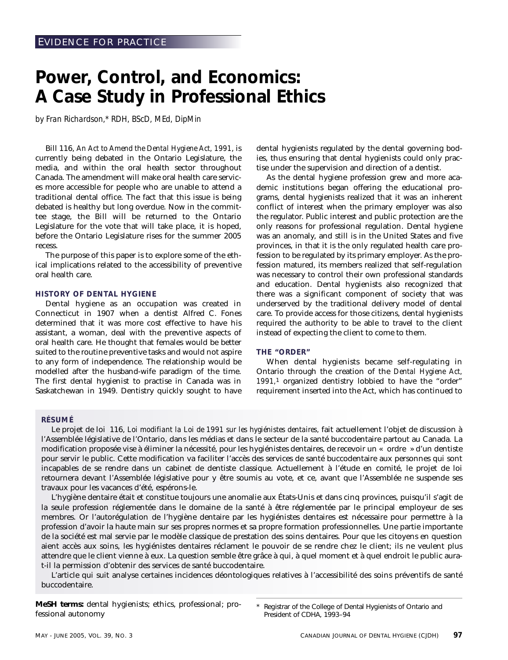## **Power, Control, and Economics: A Case Study in Professional Ethics**

*by Fran Richardson,\* RDH, BScD, MEd, DipMin*

Bill 116, *An Act to Amend the Dental Hygiene Act, 1991*, is currently being debated in the Ontario Legislature, the media, and within the oral health sector throughout Canada. The amendment will make oral health care services more accessible for people who are unable to attend a traditional dental office. The fact that this issue is being debated is healthy but long overdue. Now in the committee stage, the Bill will be returned to the Ontario Legislature for the vote that will take place, it is hoped, before the Ontario Legislature rises for the summer 2005 recess.

The purpose of this paper is to explore some of the ethical implications related to the accessibility of preventive oral health care.

#### **HISTORY OF DENTAL HYGIENE**

Dental hygiene as an occupation was created in Connecticut in 1907 when a dentist Alfred C. Fones determined that it was more cost effective to have his assistant, a woman, deal with the preventive aspects of oral health care. He thought that females would be better suited to the routine preventive tasks and would not aspire to any form of independence. The relationship would be modelled after the husband-wife paradigm of the time. The first dental hygienist to practise in Canada was in Saskatchewan in 1949. Dentistry quickly sought to have

dental hygienists regulated by the dental governing bodies, thus ensuring that dental hygienists could only practise under the supervision and direction of a dentist.

As the dental hygiene profession grew and more academic institutions began offering the educational programs, dental hygienists realized that it was an inherent conflict of interest when the primary employer was also the regulator. Public interest and public protection are the only reasons for professional regulation. Dental hygiene was an anomaly, and still is in the United States and five provinces, in that it is the only regulated health care profession to be regulated by its primary employer. As the profession matured, its members realized that self-regulation was necessary to control their own professional standards and education. Dental hygienists also recognized that there was a significant component of society that was underserved by the traditional delivery model of dental care. To provide access for those citizens, dental hygienists required the authority to be able to travel to the client instead of expecting the client to come to them.

#### **THE "ORDER"**

When dental hygienists became self-regulating in Ontario through the creation of the *Dental Hygiene Act, 1991,*<sup>1</sup> organized dentistry lobbied to have the "order" requirement inserted into the Act, which has continued to

#### **RÉSUMÉ**

Le projet de loi 116, *Loi modifiant la Loi de 1991 sur les hygiénistes dentaires,* fait actuellement l'objet de discussion à l'Assemblée législative de l'Ontario, dans les médias et dans le secteur de la santé buccodentaire partout au Canada. La modification proposée vise à éliminer la nécessité, pour les hygiénistes dentaires, de recevoir un « ordre » d'un dentiste pour servir le public. Cette modification va faciliter l'accès des services de santé buccodentaire aux personnes qui sont incapables de se rendre dans un cabinet de dentiste classique. Actuellement à l'étude en comité, le projet de loi retournera devant l'Assemblée législative pour y être soumis au vote, et ce, avant que l'Assemblée ne suspende ses travaux pour les vacances d'été, espérons-le.

L'hygiène dentaire était et constitue toujours une anomalie aux États-Unis et dans cinq provinces, puisqu'il s'agit de la seule profession réglementée dans le domaine de la santé à être réglementée par le principal employeur de ses membres. Or l'autorégulation de l'hygiène dentaire par les hygiénistes dentaires est nécessaire pour permettre à la profession d'avoir la haute main sur ses propres normes et sa propre formation professionnelles. Une partie importante de la société est mal servie par le modèle classique de prestation des soins dentaires. Pour que les citoyens en question aient accès aux soins, les hygiénistes dentaires réclament le pouvoir de se rendre chez le client; ils ne veulent plus attendre que le client vienne à eux. La question semble être grâce à qui, à quel moment et à quel endroit le public aurat-il la permission d'obtenir des services de santé buccodentaire.

L'article qui suit analyse certaines incidences déontologiques relatives à l'accessibilité des soins préventifs de santé buccodentaire.

**MeSH terms:** dental hygienists; ethics, professional; professional autonomy

Registrar of the College of Dental Hygienists of Ontario and President of CDHA, 1993–94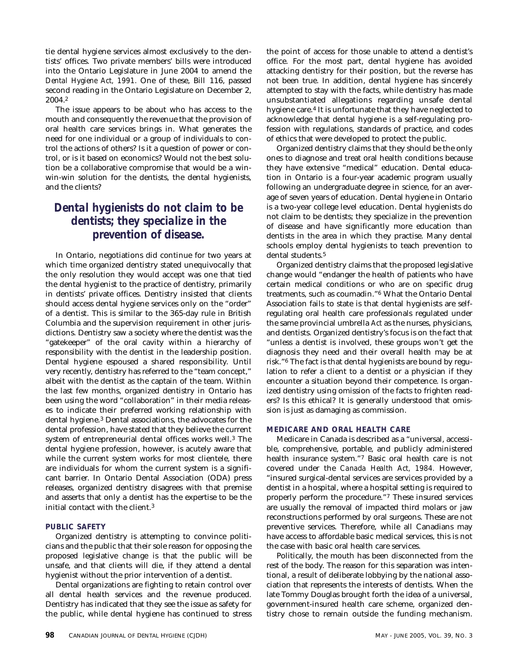tie dental hygiene services almost exclusively to the dentists' offices. Two private members' bills were introduced into the Ontario Legislature in June 2004 to amend the *Dental Hygiene Act, 1991.* One of these, Bill 116, passed second reading in the Ontario Legislature on December 2, 2004.2

The issue appears to be about who has access to the mouth and consequently the revenue that the provision of oral health care services brings in. What generates the need for one individual or a group of individuals to control the actions of others? Is it a question of power or control, or is it based on economics? Would not the best solution be a collaborative compromise that would be a winwin-win solution for the dentists, the dental hygienists, and the clients?

### *Dental hygienists do not claim to be dentists; they specialize in the prevention of disease.*

In Ontario, negotiations did continue for two years at which time organized dentistry stated unequivocally that the only resolution they would accept was one that tied the dental hygienist to the practice of dentistry, primarily in dentists' private offices. Dentistry insisted that clients should access dental hygiene services only on the "order" of a dentist. This is similar to the 365-day rule in British Columbia and the supervision requirement in other jurisdictions. Dentistry saw a society where the dentist was the "gatekeeper" of the oral cavity within a hierarchy of responsibility with the dentist in the leadership position. Dental hygiene espoused a shared responsibility. Until very recently, dentistry has referred to the "team concept," albeit with the dentist as the captain of the team. Within the last few months, organized dentistry in Ontario has been using the word "collaboration" in their media releases to indicate their preferred working relationship with dental hygiene.3 Dental associations, the advocates for the dental profession, have stated that they believe the current system of entrepreneurial dental offices works well.3 The dental hygiene profession, however, is acutely aware that while the current system works for most clientele, there are individuals for whom the current system is a significant barrier. In Ontario Dental Association (ODA) press releases, organized dentistry disagrees with that premise and asserts that only a dentist has the expertise to be the initial contact with the client.3

#### **PUBLIC SAFETY**

Organized dentistry is attempting to convince politicians and the public that their sole reason for opposing the proposed legislative change is that the public will be unsafe, and that clients will die, if they attend a dental hygienist without the prior intervention of a dentist.

Dental organizations are fighting to retain control over all dental health services and the revenue produced. Dentistry has indicated that they see the issue as safety for the public, while dental hygiene has continued to stress the point of access for those unable to attend a dentist's office. For the most part, dental hygiene has avoided attacking dentistry for their position, but the reverse has not been true. In addition, dental hygiene has sincerely attempted to stay with the facts, while dentistry has made unsubstantiated allegations regarding unsafe dental hygiene care.4 It is unfortunate that they have neglected to acknowledge that dental hygiene is a self-regulating profession with regulations, standards of practice, and codes of ethics that were developed to protect the public.

Organized dentistry claims that they should be the only ones to diagnose and treat oral health conditions because they have extensive "medical" education. Dental education in Ontario is a four-year academic program usually following an undergraduate degree in science, for an average of seven years of education. Dental hygiene in Ontario is a two-year college level education. Dental hygienists do not claim to be dentists; they specialize in the prevention of disease and have significantly more education than dentists in the area in which they practise. Many dental schools employ dental hygienists to teach prevention to dental students.<sup>5</sup>

Organized dentistry claims that the proposed legislative change would "endanger the health of patients who have certain medical conditions or who are on specific drug treatments, such as coumadin."6 What the Ontario Dental Association fails to state is that dental hygienists are selfregulating oral health care professionals regulated under the same provincial umbrella *Act* as the nurses, physicians, and dentists. Organized dentistry's focus is on the fact that "unless a dentist is involved, these groups won't get the diagnosis they need and their overall health may be at risk."6 The fact is that dental hygienists are bound by regulation to refer a client to a dentist or a physician if they encounter a situation beyond their competence. Is organized dentistry using omission of the facts to frighten readers? Is this ethical? It is generally understood that omission is just as damaging as commission.

#### **MEDICARE AND ORAL HEALTH CARE**

Medicare in Canada is described as a "universal, accessible, comprehensive, portable, and publicly administered health insurance system."7 Basic oral health care is not covered under the *Canada Health Act, 1984.* However, "insured surgical-dental services are services provided by a dentist in a hospital, where a hospital setting is required to properly perform the procedure."7 These insured services are usually the removal of impacted third molars or jaw reconstructions performed by oral surgeons. These are not preventive services. Therefore, while all Canadians may have access to affordable basic medical services, this is not the case with basic oral health care services.

Politically, the mouth has been disconnected from the rest of the body. The reason for this separation was intentional, a result of deliberate lobbying by the national association that represents the interests of dentists. When the late Tommy Douglas brought forth the idea of a universal, government-insured health care scheme, organized dentistry chose to remain outside the funding mechanism.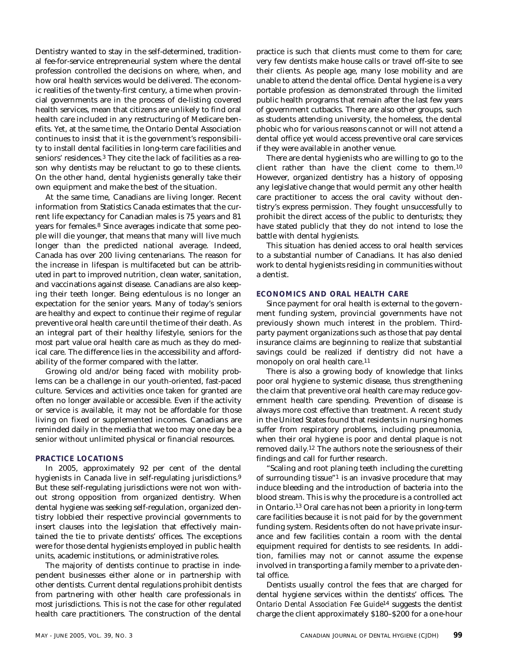Dentistry wanted to stay in the self-determined, traditional fee-for-service entrepreneurial system where the dental profession controlled the decisions on where, when, and how oral health services would be delivered. The economic realities of the twenty-first century, a time when provincial governments are in the process of de-listing covered health services, mean that citizens are unlikely to find oral health care included in any restructuring of Medicare benefits. Yet, at the same time, the Ontario Dental Association continues to insist that it is the government's responsibility to install dental facilities in long-term care facilities and seniors' residences.3 They cite the lack of facilities as a reason why dentists may be reluctant to go to these clients. On the other hand, dental hygienists generally take their own equipment and make the best of the situation.

At the same time, Canadians are living longer. Recent information from Statistics Canada estimates that the current life expectancy for Canadian males is 75 years and 81 years for females.8 Since averages indicate that some people will die younger, that means that many will live much longer than the predicted national average. Indeed, Canada has over 200 living centenarians. The reason for the increase in lifespan is multifaceted but can be attributed in part to improved nutrition, clean water, sanitation, and vaccinations against disease. Canadians are also keeping their teeth longer. Being edentulous is no longer an expectation for the senior years. Many of today's seniors are healthy and expect to continue their regime of regular preventive oral health care until the time of their death. As an integral part of their healthy lifestyle, seniors for the most part value oral health care as much as they do medical care. The difference lies in the accessibility and affordability of the former compared with the latter.

Growing old and/or being faced with mobility problems can be a challenge in our youth-oriented, fast-paced culture. Services and activities once taken for granted are often no longer available or accessible. Even if the activity or service *is* available, it may not be affordable for those living on fixed or supplemented incomes. Canadians are reminded daily in the media that we too may one day be a senior without unlimited physical or financial resources.

#### **PRACTICE LOCATIONS**

In 2005, approximately 92 per cent of the dental hygienists in Canada live in self-regulating jurisdictions.9 But these self-regulating jurisdictions were not won without strong opposition from organized dentistry. When dental hygiene was seeking self-regulation, organized dentistry lobbied their respective provincial governments to insert clauses into the legislation that effectively maintained the tie to private dentists' offices. The exceptions were for those dental hygienists employed in public health units, academic institutions, or administrative roles.

The majority of dentists continue to practise in independent businesses either alone or in partnership with other dentists. Current dental regulations prohibit dentists from partnering with other health care professionals in most jurisdictions. This is not the case for other regulated health care practitioners. The construction of the dental

practice is such that clients must come to them for care; very few dentists make house calls or travel off-site to see their clients. As people age, many lose mobility and are unable to attend the dental office. Dental hygiene is a very portable profession as demonstrated through the limited public health programs that remain after the last few years of government cutbacks. There are also other groups, such as students attending university, the homeless, the dental phobic who for various reasons cannot or will not attend a dental office yet would access preventive oral care services if they were available in another venue.

There are dental hygienists who are willing to go to the client rather than have the client come to them.10 However, organized dentistry has a history of opposing any legislative change that would permit any other health care practitioner to access the oral cavity without dentistry's express permission. They fought unsuccessfully to prohibit the direct access of the public to denturists; they have stated publicly that they do not intend to lose the battle with dental hygienists.

This situation has denied access to oral health services to a substantial number of Canadians. It has also denied work to dental hygienists residing in communities without a dentist.

#### **ECONOMICS AND ORAL HEALTH CARE**

Since payment for oral health is external to the government funding system, provincial governments have not previously shown much interest in the problem. Thirdparty payment organizations such as those that pay dental insurance claims are beginning to realize that substantial savings could be realized if dentistry did not have a monopoly on oral health care.11

There is also a growing body of knowledge that links poor oral hygiene to systemic disease, thus strengthening the claim that preventive oral health care may reduce government health care spending. Prevention of disease is always more cost effective than treatment. A recent study in the United States found that residents in nursing homes suffer from respiratory problems, including pneumonia, when their oral hygiene is poor and dental plaque is not removed daily.12 The authors note the seriousness of their findings and call for further research.

"Scaling and root planing teeth including the curetting of surrounding tissue"1 is an invasive procedure that may induce bleeding and the introduction of bacteria into the blood stream. This is why the procedure is a controlled act in Ontario.13 Oral care has not been a priority in long-term care facilities because it is not paid for by the government funding system. Residents often do not have private insurance and few facilities contain a room with the dental equipment required for dentists to see residents. In addition, families may not or cannot assume the expense involved in transporting a family member to a private dental office.

Dentists usually control the fees that are charged for dental hygiene services within the dentists' offices. The *Ontario Dental Association Fee Guide*14 suggests the dentist charge the client approximately \$180–\$200 for a one-hour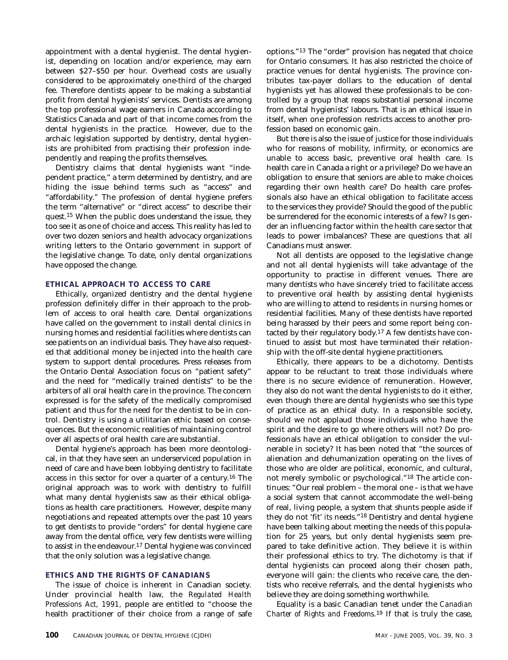appointment with a dental hygienist. The dental hygienist, depending on location and/or experience, may earn between \$27–\$50 per hour. Overhead costs are usually considered to be approximately one-third of the charged fee. Therefore dentists appear to be making a substantial profit from dental hygienists' services. Dentists are among the top professional wage earners in Canada according to Statistics Canada and part of that income comes from the dental hygienists in the practice. However, due to the archaic legislation supported by dentistry, dental hygienists are prohibited from practising their profession independently and reaping the profits themselves.

Dentistry claims that dental hygienists want "independent practice," a term determined by dentistry, and are hiding the issue behind terms such as "access" and "affordability." The profession of dental hygiene prefers the term "alternative" or "direct access" to describe their quest.15 When the public does understand the issue, they too see it as one of choice and access. This reality has led to over two dozen seniors and health advocacy organizations writing letters to the Ontario government in support of the legislative change. To date, only dental organizations have opposed the change.

#### **ETHICAL APPROACH TO ACCESS TO CARE**

Ethically, organized dentistry and the dental hygiene profession definitely differ in their approach to the problem of access to oral health care. Dental organizations have called on the government to install dental clinics in nursing homes and residential facilities where dentists can see patients on an individual basis. They have also requested that additional money be injected into the health care system to support dental procedures. Press releases from the Ontario Dental Association focus on "patient safety" and the need for "medically trained dentists" to be the arbiters of all oral health care in the province. The concern expressed is for the safety of the medically compromised patient and thus for the need for the dentist to be in control. Dentistry is using a utilitarian ethic based on consequences. But the economic realities of maintaining control over all aspects of oral health care are substantial.

Dental hygiene's approach has been more deontological, in that they have seen an underserviced population in need of care and have been lobbying dentistry to facilitate access in this sector for over a quarter of a century.16 The original approach was to work with dentistry to fulfill what many dental hygienists saw as their ethical obligations as health care practitioners. However, despite many negotiations and repeated attempts over the past 10 years to get dentists to provide "orders" for dental hygiene care away from the dental office, very few dentists were willing to assist in the endeavour.<sup>17</sup> Dental hygiene was convinced that the only solution was a legislative change.

#### **ETHICS AND THE RIGHTS OF CANADIANS**

The issue of choice is inherent in Canadian society. Under provincial health law, the *Regulated Health Professions Act, 1991,* people are entitled to "choose the health practitioner of their choice from a range of safe options."13 The "order" provision has negated that choice for Ontario consumers. It has also restricted the choice of practice venues for dental hygienists. The province contributes tax-payer dollars to the education of dental hygienists yet has allowed these professionals to be controlled by a group that reaps substantial personal income from dental hygienists' labours. That is an ethical issue in itself, when one profession restricts access to another profession based on economic gain.

But there is also the issue of justice for those individuals who for reasons of mobility, infirmity, or economics are unable to access basic, preventive oral health care. Is health care in Canada a right or a privilege? Do we have an obligation to ensure that seniors are able to make choices regarding their own health care? Do health care professionals also have an ethical obligation to facilitate access to the services they provide? Should the good of the public be surrendered for the economic interests of a few? Is gender an influencing factor within the health care sector that leads to power imbalances? These are questions that all Canadians must answer.

Not all dentists are opposed to the legislative change and not all dental hygienists will take advantage of the opportunity to practise in different venues. There are many dentists who have sincerely tried to facilitate access to preventive oral health by assisting dental hygienists who are willing to attend to residents in nursing homes or residential facilities. Many of these dentists have reported being harassed by their peers and some report being contacted by their regulatory body.17 A few dentists have continued to assist but most have terminated their relationship with the off-site dental hygiene practitioners.

Ethically, there appears to be a dichotomy. Dentists appear to be reluctant to treat those individuals where there is no secure evidence of remuneration. However, they also do not want the dental hygienists to do it either, even though there are dental hygienists who see this type of practice as an ethical duty. In a responsible society, should we not applaud those individuals who have the spirit and the desire to go where others will not? Do professionals have an ethical obligation to consider the vulnerable in society? It has been noted that "the sources of alienation and dehumanization operating on the lives of those who are older are political, economic, and cultural, not merely symbolic or psychological."18 The article continues: "Our real problem – the moral one – is that we have a social system that cannot accommodate the well-being of real, living people, a system that shunts people aside if they do not 'fit' *its* needs."18 Dentistry and dental hygiene have been talking about meeting the needs of this population for 25 years, but only dental hygienists seem prepared to take definitive action. They believe it is within their professional ethics to try. The dichotomy is that if dental hygienists can proceed along their chosen path, everyone will gain: the clients who receive care, the dentists who receive referrals, and the dental hygienists who believe they are doing something worthwhile.

Equality is a basic Canadian tenet under the *Canadian Charter of Rights and Freedoms.*19 If that is truly the case,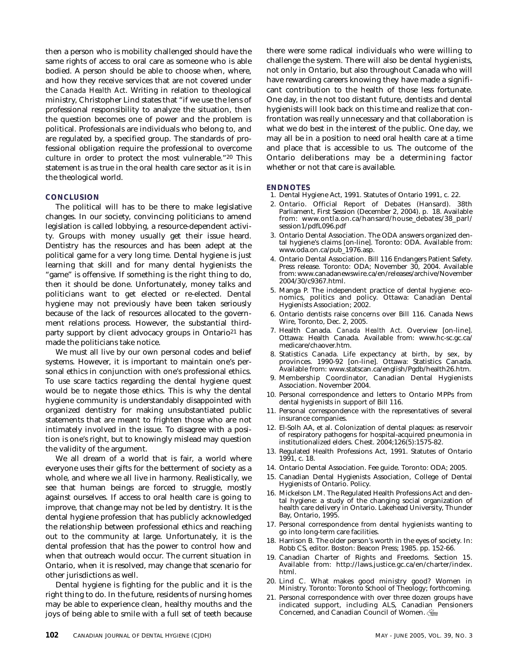then a person who is mobility challenged should have the same rights of access to oral care as someone who is able bodied. A person should be able to choose when, where, and how they receive services that are not covered under the *Canada Health Act*. Writing in relation to theological ministry, Christopher Lind states that "if we use the lens of professional responsibility to analyze the situation, then the question becomes one of power and the problem is political. Professionals are individuals who belong to, and are regulated by, a specified group. The standards of professional obligation require the professional to overcome culture in order to protect the most vulnerable."20 This statement is as true in the oral health care sector as it is in the theological world.

#### **CONCLUSION**

The political will has to be there to make legislative changes. In our society, convincing politicians to amend legislation is called lobbying, a resource-dependent activity. Groups with money usually get their issue heard. Dentistry has the resources and has been adept at the political game for a very long time. Dental hygiene is just learning that skill and for many dental hygienists the "game" is offensive. If something is the right thing to do, then it should be done. Unfortunately, money talks and politicians want to get elected or re-elected. Dental hygiene may not previously have been taken seriously because of the lack of resources allocated to the government relations process. However, the substantial thirdparty support by client advocacy groups in Ontario21 has made the politicians take notice.

We must all live by our own personal codes and belief systems. However, it is important to maintain one's personal ethics in conjunction with one's professional ethics. To use scare tactics regarding the dental hygiene quest would be to negate those ethics. This is why the dental hygiene community is understandably disappointed with organized dentistry for making unsubstantiated public statements that are meant to frighten those who are not intimately involved in the issue. To disagree with a position is one's right, but to knowingly mislead may question the validity of the argument.

We all dream of a world that is fair, a world where everyone uses their gifts for the betterment of society as a whole, and where we all live in harmony. Realistically, we see that human beings are forced to struggle, mostly against ourselves. If access to oral health care is going to improve, that change may not be led by dentistry. It is the dental hygiene profession that has publicly acknowledged the relationship between professional ethics and reaching out to the community at large. Unfortunately, it is the dental profession that has the power to control how and when that outreach would occur. The current situation in Ontario, when it is resolved, may change that scenario for other jurisdictions as well.

Dental hygiene is fighting for the public and it is the right thing to do. In the future, residents of nursing homes may be able to experience clean, healthy mouths and the joys of being able to smile with a full set of teeth because there were some radical individuals who were willing to challenge the system. There will also be dental hygienists, not only in Ontario, but also throughout Canada who will have rewarding careers knowing they have made a significant contribution to the health of those less fortunate. One day, in the not too distant future, dentists and dental hygienists will look back on this time and realize that confrontation was really unnecessary and that collaboration is what we do best in the interest of the public. One day, we may all be in a position to need oral health care at a time and place that is accessible to us. The outcome of the Ontario deliberations may be a determining factor whether or not that care is available.

#### **ENDNOTES**

- 1. Dental Hygiene Act, 1991. Statutes of Ontario 1991, c. 22.
- 2. Ontario. Official Report of Debates (Hansard). 38th Parliament, First Session (December 2, 2004). p. 18. Available from: www.ontla.on.ca/hansard/house\_debates/38\_parl/ session1/pdfL096.pdf
- 3. Ontario Dental Association. The ODA answers organized dental hygiene's claims [on-line]. Toronto: ODA. Available from: www.oda.on.ca/pub\_1976.asp.
- 4. Ontario Dental Association. Bill 116 Endangers Patient Safety. Press release. Toronto: ODA; November 30, 2004. Available from: www.canadanewswire.ca/en/releases/archive/November 2004/30/c9367.html.
- 5. Manga P. The independent practice of dental hygiene: economics, politics and policy. Ottawa: Canadian Dental Hygienists Association; 2002.
- 6. Ontario dentists raise concerns over Bill 116. Canada News Wire, Toronto, Dec. 2, 2005.
- 7. Health Canada. *Canada Health Act.* Overview [on-line]. Ottawa: Health Canada. Available from: www.hc-sc.gc.ca/ medicare/chaover.htm.
- 8. Statistics Canada. Life expectancy at birth, by sex, by provinces. 1990-92 [on-line]. Ottawa: Statistics Canada. Available from: www.statscan.ca/english/Pgdb/health26.htm.
- 9. Membership Coordinator, Canadian Dental Hygienists Association. November 2004.
- 10. Personal correspondence and letters to Ontario MPPs from dental hygienists in support of Bill 116.
- 11. Personal correspondence with the representatives of several insurance companies.
- 12. El-Solh AA, et al. Colonization of dental plaques: as reservoir of respiratory pathogens for hospital-acquired pneumonia in institutionalized elders. Chest. 2004;126(5):1575-82.
- 13. Regulated Health Professions Act, 1991. Statutes of Ontario 1991, c. 18.
- 14. Ontario Dental Association. Fee guide. Toronto: ODA; 2005.
- 15. Canadian Dental Hygienists Association, College of Dental Hygienists of Ontario. Policy.
- 16. Mickelson LM. The Regulated Health Professions Act and dental hygiene: a study of the changing social organization of health care delivery in Ontario. Lakehead University, Thunder Bay, Ontario, 1995.
- 17. Personal correspondence from dental hygienists wanting to go into long-term care facilities.
- 18. Harrison B. The older person's worth in the eyes of society. In: Robb CS, editor. Boston: Beacon Press; 1985. pp. 152-66.
- 19. Canadian Charter of Rights and Freedoms. Section 15. Available from: http://laws.justice.gc.ca/en/charter/index. html.
- 20. Lind C. What makes good ministry good? Women in Ministry. Toronto: Toronto School of Theology; forthcoming.
- 21. Personal correspondence with over three dozen groups have indicated support, including ALS, Canadian Pensioners Concerned, and Canadian Council of Women.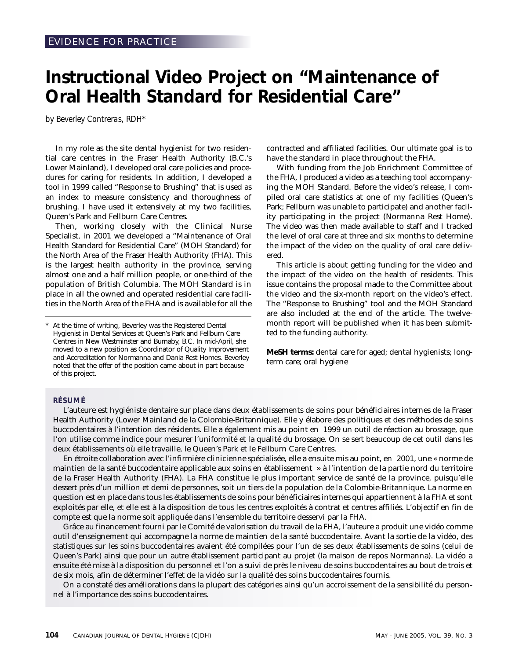## **Instructional Video Project on "Maintenance of Oral Health Standard for Residential Care"**

*by Beverley Contreras, RDH\**

In my role as the site dental hygienist for two residential care centres in the Fraser Health Authority (B.C.'s Lower Mainland), I developed oral care policies and procedures for caring for residents. In addition, I developed a tool in 1999 called "Response to Brushing" that is used as an index to measure consistency and thoroughness of brushing. I have used it extensively at my two facilities, Queen's Park and Fellburn Care Centres.

Then, working closely with the Clinical Nurse Specialist, in 2001 we developed a "Maintenance of Oral Health Standard for Residential Care" (MOH Standard) for the North Area of the Fraser Health Authority (FHA). This is the largest health authority in the province, serving almost one and a half million people, or one-third of the population of British Columbia. The MOH Standard is in place in all the owned and operated residential care facilities in the North Area of the FHA and is available for all the contracted and affiliated facilities. Our ultimate goal is to have the standard in place throughout the FHA.

With funding from the Job Enrichment Committee of the FHA, I produced a video as a teaching tool accompanying the MOH Standard. Before the video's release, I compiled oral care statistics at one of my facilities (Queen's Park; Fellburn was unable to participate) and another facility participating in the project (Normanna Rest Home). The video was then made available to staff and I tracked the level of oral care at three and six months to determine the impact of the video on the quality of oral care delivered.

This article is about getting funding for the video and the impact of the video on the health of residents. This issue contains the proposal made to the Committee about the video and the six-month report on the video's effect. The "Response to Brushing" tool and the MOH Standard are also included at the end of the article. The twelvemonth report will be published when it has been submitted to the funding authority.

**MeSH terms:** dental care for aged; dental hygienists; longterm care; oral hygiene

#### **RÉSUMÉ**

L'auteure est hygiéniste dentaire sur place dans deux établissements de soins pour bénéficiaires internes de la Fraser Health Authority (Lower Mainland de la Colombie-Britannique). Elle y élabore des politiques et des méthodes de soins buccodentaires à l'intention des résidents. Elle a également mis au point en 1999 un outil de réaction au brossage, que l'on utilise comme indice pour mesurer l'uniformité et la qualité du brossage. On se sert beaucoup de cet outil dans les deux établissements où elle travaille, le Queen's Park et le Fellburn Care Centres.

En étroite collaboration avec l'infirmière clinicienne spécialisée, elle a ensuite mis au point, en 2001, une « norme de maintien de la santé buccodentaire applicable aux soins en établissement » à l'intention de la partie nord du territoire de la Fraser Health Authority (FHA). La FHA constitue le plus important service de santé de la province, puisqu'elle dessert près d'un million et demi de personnes, soit un tiers de la population de la Colombie-Britannique. La norme en question est en place dans tous les établissements de soins pour bénéficiaires internes qui appartiennent à la FHA et sont exploités par elle, et elle est à la disposition de tous les centres exploités à contrat et centres affiliés. L'objectif en fin de compte est que la norme soit appliquée dans l'ensemble du territoire desservi par la FHA.

Grâce au financement fourni par le Comité de valorisation du travail de la FHA, l'auteure a produit une vidéo comme outil d'enseignement qui accompagne la norme de maintien de la santé buccodentaire. Avant la sortie de la vidéo, des statistiques sur les soins buccodentaires avaient été compilées pour l'un de ses deux établissements de soins (celui de Queen's Park) ainsi que pour un autre établissement participant au projet (la maison de repos Normanna). La vidéo a ensuite été mise à la disposition du personnel et l'on a suivi de près le niveau de soins buccodentaires au bout de trois et de six mois, afin de déterminer l'effet de la vidéo sur la qualité des soins buccodentaires fournis.

On a constaté des améliorations dans la plupart des catégories ainsi qu'un accroissement de la sensibilité du personnel à l'importance des soins buccodentaires.

At the time of writing, Beverley was the Registered Dental Hygienist in Dental Services at Queen's Park and Fellburn Care Centres in New Westminster and Burnaby, B.C. In mid-April, she moved to a new position as Coordinator of Quality Improvement and Accreditation for Normanna and Dania Rest Homes. Beverley noted that the offer of the position came about in part because of this project.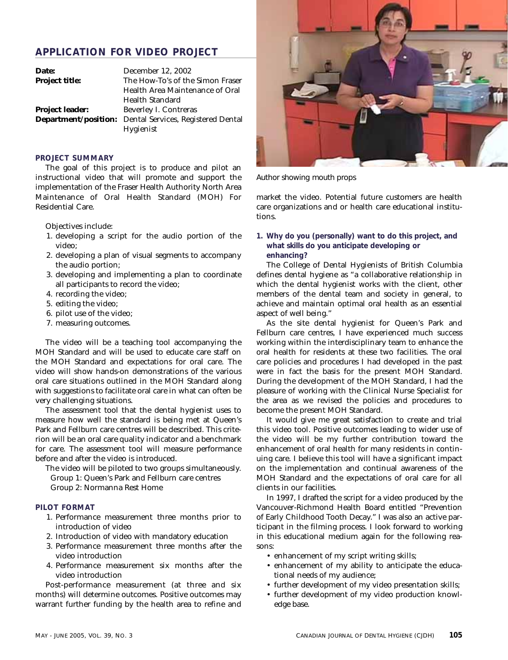### **APPLICATION FOR VIDEO PROJECT**

| Date:                  | December 12, 2002                                              |
|------------------------|----------------------------------------------------------------|
| <b>Project title:</b>  | The How-To's of the Simon Fraser                               |
|                        | Health Area Maintenance of Oral                                |
|                        | Health Standard                                                |
| <b>Project leader:</b> | Beverley I. Contreras                                          |
|                        | <b>Department/position:</b> Dental Services, Registered Dental |
|                        | Hygienist                                                      |

#### **PROJECT SUMMARY**

The goal of this project is to produce and pilot an instructional video that will promote and support the implementation of the Fraser Health Authority North Area Maintenance of Oral Health Standard (MOH) For Residential Care.

Objectives include:

- 1. developing a script for the audio portion of the video;
- 2. developing a plan of visual segments to accompany the audio portion;
- 3. developing and implementing a plan to coordinate all participants to record the video;
- 4. recording the video;
- 5. editing the video;
- 6. pilot use of the video;
- 7. measuring outcomes.

The video will be a teaching tool accompanying the MOH Standard and will be used to educate care staff on the MOH Standard and expectations for oral care. The video will show hands-on demonstrations of the various oral care situations outlined in the MOH Standard along with suggestions to facilitate oral care in what can often be very challenging situations.

The assessment tool that the dental hygienist uses to measure how well the standard is being met at Queen's Park and Fellburn care centres will be described. This criterion will be an oral care quality indicator and a benchmark for care. The assessment tool will measure performance before and after the video is introduced.

The video will be piloted to two groups simultaneously. Group 1: Queen's Park and Fellburn care centres Group 2: Normanna Rest Home

#### **PILOT FORMAT**

- 1. Performance measurement three months prior to introduction of video
- 2. Introduction of video with mandatory education
- 3. Performance measurement three months after the video introduction
- 4. Performance measurement six months after the video introduction

Post-performance measurement (at three and six months) will determine outcomes. Positive outcomes may warrant further funding by the health area to refine and



Author showing mouth props

market the video. Potential future customers are health care organizations and or health care educational institutions.

#### **1. Why do you (personally) want to do this project, and what skills do you anticipate developing or enhancing?**

The College of Dental Hygienists of British Columbia defines dental hygiene as "a collaborative relationship in which the dental hygienist works with the client, other members of the dental team and society in general, to achieve and maintain optimal oral health as an essential aspect of well being."

As the site dental hygienist for Queen's Park and Fellburn care centres, I have experienced much success working within the interdisciplinary team to enhance the oral health for residents at these two facilities. The oral care policies and procedures I had developed in the past were in fact the basis for the present MOH Standard. During the development of the MOH Standard, I had the pleasure of working with the Clinical Nurse Specialist for the area as we revised the policies and procedures to become the present MOH Standard.

It would give me great satisfaction to create and trial this video tool. Positive outcomes leading to wider use of the video will be my further contribution toward the enhancement of oral health for many residents in continuing care. I believe this tool will have a significant impact on the implementation and continual awareness of the MOH Standard and the expectations of oral care for all clients in our facilities.

In 1997, I drafted the script for a video produced by the Vancouver-Richmond Health Board entitled "Prevention of Early Childhood Tooth Decay." I was also an active participant in the filming process. I look forward to working in this educational medium again for the following reasons:

- enhancement of my script writing skills;
- enhancement of my ability to anticipate the educational needs of my audience;
- further development of my video presentation skills;
- further development of my video production knowledge base.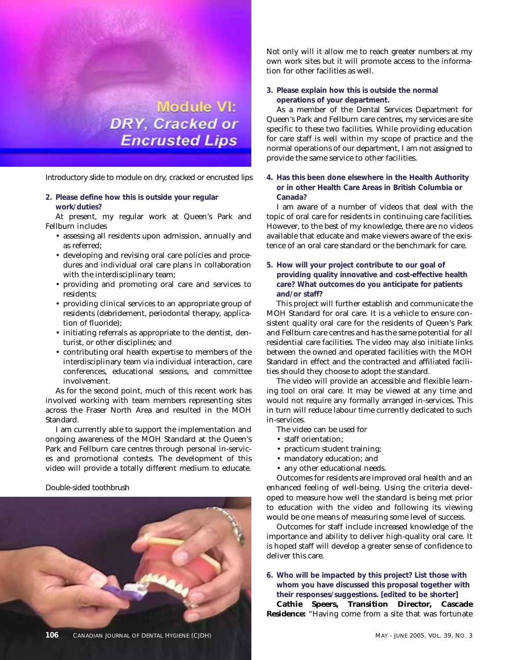

Introductory slide to module on dry, cracked or encrusted lips

**2. Please define how this is outside your regular work/duties?**

At present, my regular work at Queen's Park and Fellburn includes

- assessing all residents upon admission, annually and as referred;
- developing and revising oral care policies and procedures and individual oral care plans in collaboration with the interdisciplinary team;
- providing and promoting oral care and services to residents;
- providing clinical services to an appropriate group of residents (debridement, periodontal therapy, application of fluoride);
- initiating referrals as appropriate to the dentist, denturist, or other disciplines; and
- contributing oral health expertise to members of the interdisciplinary team via individual interaction, care conferences, educational sessions, and committee involvement.

As for the second point, much of this recent work has involved working with team members representing sites across the Fraser North Area and resulted in the MOH Standard.

I am currently able to support the implementation and ongoing awareness of the MOH Standard at the Queen's Park and Fellburn care centres through personal in-services and promotional contests. The development of this video will provide a totally different medium to educate.

#### Double-sided toothbrush



Not only will it allow me to reach greater numbers at my own work sites but it will promote access to the information for other facilities as well.

**3. Please explain how this is outside the normal operations of your department.**

As a member of the Dental Services Department for Queen's Park and Fellburn care centres, my services are site specific to these two facilities. While providing education for care staff is well within my scope of practice and the normal operations of our department, I am not assigned to provide the same service to other facilities.

**4. Has this been done elsewhere in the Health Authority or in other Health Care Areas in British Columbia or Canada?**

I am aware of a number of videos that deal with the topic of oral care for residents in continuing care facilities. However, to the best of my knowledge, there are no videos available that educate and make viewers aware of the existence of an oral care standard or the benchmark for care.

**5. How will your project contribute to our goal of providing quality innovative and cost-effective health care? What outcomes do you anticipate for patients and/or staff?**

This project will further establish and communicate the MOH Standard for oral care. It is a vehicle to ensure consistent quality oral care for the residents of Queen's Park and Fellburn care centres and has the same potential for all residential care facilities. The video may also initiate links between the owned and operated facilities with the MOH Standard in effect and the contracted and affiliated facilities should they choose to adopt the standard.

The video will provide an accessible and flexible learning tool on oral care. It may be viewed at any time and would not require any formally arranged in-services. This in turn will reduce labour time currently dedicated to such in-services.

- The video can be used for
- staff orientation;
- practicum student training;
- mandatory education; and
- any other educational needs.

Outcomes for residents are improved oral health and an enhanced feeling of well-being. Using the criteria developed to measure how well the standard is being met prior to education with the video and following its viewing would be one means of measuring some level of success.

Outcomes for staff include increased knowledge of the importance and ability to deliver high-quality oral care. It is hoped staff will develop a greater sense of confidence to deliver this care.

**6. Who will be impacted by this project? List those with whom you have discussed this proposal together with their responses/suggestions. [edited to be shorter]**

**Cathie Speers, Transition Director, Cascade Residence:** "Having come from a site that was fortunate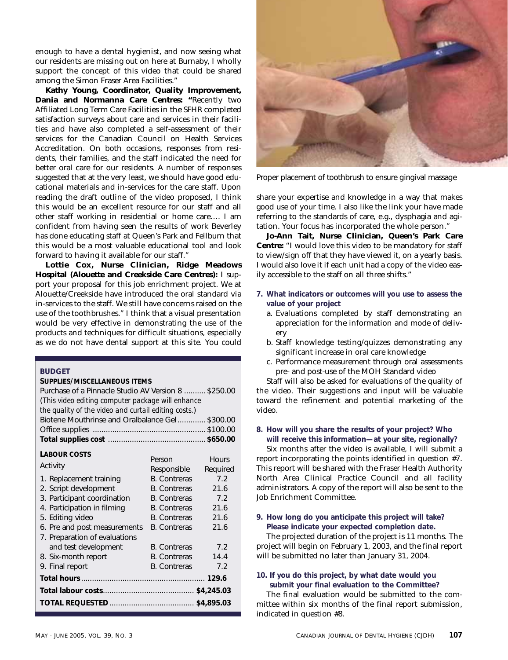enough to have a dental hygienist, and now seeing what our residents are missing out on here at Burnaby, I wholly support the concept of this video that could be shared among the Simon Fraser Area Facilities."

**Kathy Young, Coordinator, Quality Improvement, Dania and Normanna Care Centres: "**Recently two Affiliated Long Term Care Facilities in the SFHR completed satisfaction surveys about care and services in their facilities and have also completed a self-assessment of their services for the Canadian Council on Health Services Accreditation. On both occasions, responses from residents, their families, and the staff indicated the need for better oral care for our residents. A number of responses suggested that at the very least, we should have good educational materials and in-services for the care staff. Upon reading the draft outline of the video proposed, I think this would be an excellent resource for our staff and all other staff working in residential or home care…. I am confident from having seen the results of work Beverley has done educating staff at Queen's Park and Fellburn that this would be a most valuable educational tool and look forward to having it available for our staff."

**Lottie Cox, Nurse Clinician, Ridge Meadows Hospital (Alouette and Creekside Care Centres):** I support your proposal for this job enrichment project. We at Alouette/Creekside have introduced the oral standard via in-services to the staff. We still have concerns raised on the use of the toothbrushes." I think that a visual presentation would be very effective in demonstrating the use of the products and techniques for difficult situations, especially as we do not have dental support at this site. You could

#### **BUDGET**

#### **SUPPLIES/MISCELLANEOUS ITEMS**

| Purchase of a Pinnacle Studio AV Version 8  \$250.00<br>(This video editing computer package will enhance |                     |              |  |  |
|-----------------------------------------------------------------------------------------------------------|---------------------|--------------|--|--|
| the quality of the video and curtail editing costs.)<br>Biotene Mouthrinse and Oralbalance Gel \$300.00   |                     |              |  |  |
|                                                                                                           |                     |              |  |  |
|                                                                                                           |                     |              |  |  |
| <b>LABOUR COSTS</b>                                                                                       |                     |              |  |  |
|                                                                                                           | Person              | <b>Hours</b> |  |  |
| Activity                                                                                                  | Responsible         | Required     |  |  |
| 1. Replacement training                                                                                   | <b>B.</b> Contreras | 7.2          |  |  |
| 2. Script development                                                                                     | <b>B.</b> Contreras | 21.6         |  |  |
| 3. Participant coordination                                                                               | <b>B.</b> Contreras | 7.2          |  |  |
| 4. Participation in filming                                                                               | <b>B.</b> Contreras | 21.6         |  |  |
| 5. Editing video                                                                                          | <b>B.</b> Contreras | 21.6         |  |  |
| 6. Pre and post measurements                                                                              | <b>B.</b> Contreras | 21.6         |  |  |
| 7. Preparation of evaluations                                                                             |                     |              |  |  |
| and test development                                                                                      | <b>B.</b> Contreras | 7.2          |  |  |
| 8. Six-month report                                                                                       | <b>B.</b> Contreras | 14.4         |  |  |
| 9. Final report                                                                                           | <b>B.</b> Contreras | 7.2          |  |  |
|                                                                                                           |                     |              |  |  |
|                                                                                                           |                     |              |  |  |
|                                                                                                           |                     |              |  |  |



Proper placement of toothbrush to ensure gingival massage

share your expertise and knowledge in a way that makes good use of your time. I also like the link your have made referring to the standards of care, e.g., dysphagia and agitation. Your focus has incorporated the whole person."

**Jo-Ann Tait, Nurse Clinician, Queen's Park Care Centre:** "I would love this video to be mandatory for staff to view/sign off that they have viewed it, on a yearly basis. I would also love it if each unit had a copy of the video easily accessible to the staff on all three shifts."

- **7. What indicators or outcomes will you use to assess the value of your project**
	- a. Evaluations completed by staff demonstrating an appreciation for the information and mode of delivery
	- b. Staff knowledge testing/quizzes demonstrating any significant increase in oral care knowledge
	- c. Performance measurement through oral assessments pre- and post-use of the MOH Standard video

Staff will also be asked for evaluations of the quality of the video. Their suggestions and input will be valuable toward the refinement and potential marketing of the video.

#### **8. How will you share the results of your project? Who will receive this information—at your site, regionally?**

Six months after the video is available, I will submit a report incorporating the points identified in question #7. This report will be shared with the Fraser Health Authority North Area Clinical Practice Council and all facility administrators. A copy of the report will also be sent to the Job Enrichment Committee.

#### **9. How long do you anticipate this project will take? Please indicate your expected completion date.**

The projected duration of the project is 11 months. The project will begin on February 1, 2003, and the final report will be submitted no later than January 31, 2004.

#### **10. If you do this project, by what date would you submit your final evaluation to the Committee?**

The final evaluation would be submitted to the committee within six months of the final report submission, indicated in question #8.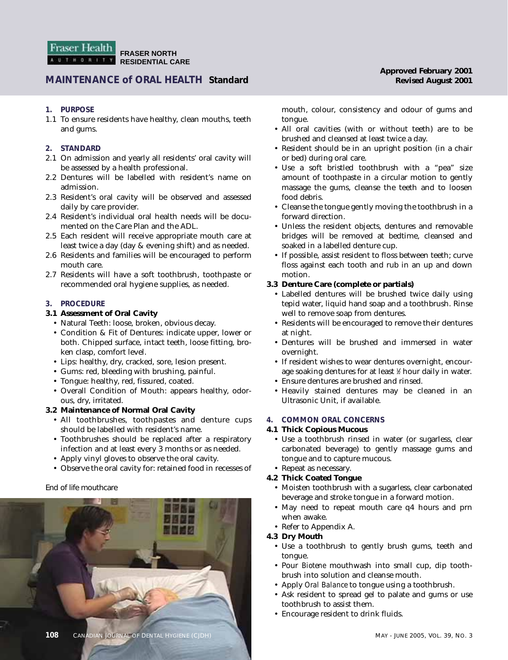### **MAINTENANCE of ORAL HEALTH Standard Revised August 2001**

#### **1. PURPOSE**

1.1 To ensure residents have healthy, clean mouths, teeth and gums.

#### **2. STANDARD**

- 2.1 On admission and yearly all residents' oral cavity will be assessed by a health professional.
- 2.2 Dentures will be labelled with resident's name on admission.
- 2.3 Resident's oral cavity will be observed and assessed daily by care provider.
- 2.4 Resident's individual oral health needs will be documented on the Care Plan and the ADL.
- 2.5 Each resident will receive appropriate mouth care at least twice a day (day & evening shift) and as needed.
- 2.6 Residents and families will be encouraged to perform mouth care.
- 2.7 Residents will have a soft toothbrush, toothpaste or recommended oral hygiene supplies, as needed.

#### **3. PROCEDURE**

#### **3.1 Assessment of Oral Cavity**

- Natural Teeth: loose, broken, obvious decay.
- Condition & Fit of Dentures: indicate upper, lower or both. Chipped surface, intact teeth, loose fitting, broken clasp, comfort level.
- Lips: healthy, dry, cracked, sore, lesion present.
- Gums: red, bleeding with brushing, painful.
- Tongue: healthy, red, fissured, coated.
- Overall Condition of Mouth: appears healthy, odorous, dry, irritated.

#### **3.2 Maintenance of Normal Oral Cavity**

- All toothbrushes, toothpastes and denture cups should be labelled with resident's name.
- Toothbrushes should be replaced after a respiratory infection and at least every 3 months or as needed.
- Apply vinyl gloves to observe the oral cavity.
- Observe the oral cavity for: retained food in recesses of

#### End of life mouthcare



mouth, colour, consistency and odour of gums and tongue.

- All oral cavities (with or without teeth) are to be brushed and cleansed at least twice a day.
- Resident should be in an upright position (in a chair or bed) during oral care.
- Use a soft bristled toothbrush with a "pea" size amount of toothpaste in a circular motion to gently massage the gums, cleanse the teeth and to loosen food debris.
- Cleanse the tongue gently moving the toothbrush in a forward direction.
- Unless the resident objects, dentures and removable bridges will be removed at bedtime, cleansed and soaked in a labelled denture cup.
- If possible, assist resident to floss between teeth; curve floss against each tooth and rub in an up and down motion.

#### **3.3 Denture Care (complete or partials)**

- Labelled dentures will be brushed twice daily using tepid water, liquid hand soap and a toothbrush. Rinse well to remove soap from dentures.
- Residents will be encouraged to remove their dentures at night.
- Dentures will be brushed and immersed in water overnight.
- If resident wishes to wear dentures overnight, encourage soaking dentures for at least 1 ⁄2 hour daily in water.
- Ensure dentures are brushed and rinsed.
- Heavily stained dentures may be cleaned in an Ultrasonic Unit, if available.

#### **4. COMMON ORAL CONCERNS**

#### **4.1 Thick Copious Mucous**

• Use a toothbrush rinsed in water (or sugarless, clear carbonated beverage) to gently massage gums and tongue and to capture mucous.

#### • Repeat as necessary.

#### **4.2 Thick Coated Tongue**

- Moisten toothbrush with a sugarless, clear carbonated beverage and stroke tongue in a forward motion.
- May need to repeat mouth care q4 hours and prn when awake.
- Refer to Appendix A.

#### **4.3 Dry Mouth**

- Use a toothbrush to gently brush gums, teeth and tongue.
- Pour *Biotene* mouthwash into small cup, dip toothbrush into solution and cleanse mouth.
- Apply *Oral Balance* to tongue using a toothbrush.
- Ask resident to spread gel to palate and gums or use toothbrush to assist them.
- Encourage resident to drink fluids.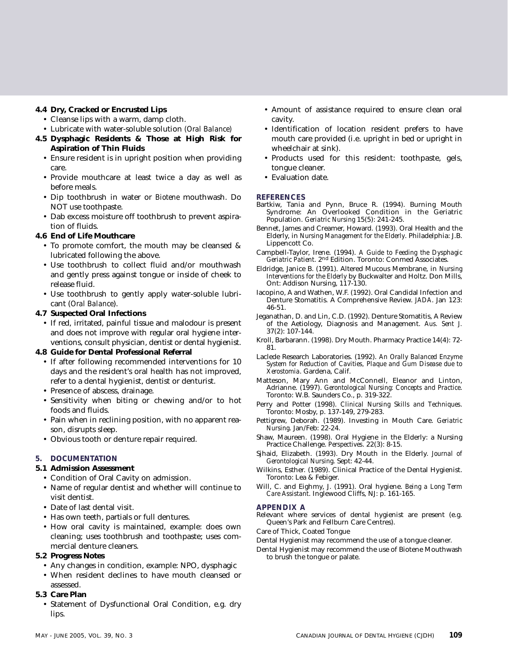#### **4.4 Dry, Cracked or Encrusted Lips**

- Cleanse lips with a warm, damp cloth.
- Lubricate with water-soluble solution *(Oral Balance)*
- **4.5 Dysphagic Residents & Those at High Risk for Aspiration of Thin Fluids**
	- Ensure resident is in upright position when providing care.
	- Provide mouthcare at least twice a day as well as before meals.
	- Dip toothbrush in water or *Biotene* mouthwash. Do NOT use toothpaste.
	- Dab excess moisture off toothbrush to prevent aspiration of fluids.

#### **4.6 End of Life Mouthcare**

- To promote comfort, the mouth may be cleansed & lubricated following the above.
- Use toothbrush to collect fluid and/or mouthwash and gently press against tongue or inside of cheek to release fluid.
- Use toothbrush to gently apply water-soluble lubricant (*Oral Balance*).

#### **4.7 Suspected Oral Infections**

• If red, irritated, painful tissue and malodour is present and does not improve with regular oral hygiene interventions, consult physician, dentist or dental hygienist.

#### **4.8 Guide for Dental Professional Referral**

- If after following recommended interventions for 10 days and the resident's oral health has not improved, refer to a dental hygienist, dentist or denturist.
- Presence of abscess, drainage.
- Sensitivity when biting or chewing and/or to hot foods and fluids.
- Pain when in reclining position, with no apparent reason, disrupts sleep.
- Obvious tooth or denture repair required.

#### **5. DOCUMENTATION**

#### **5.1 Admission Assessment**

- Condition of Oral Cavity on admission.
- Name of regular dentist and whether will continue to visit dentist.
- Date of last dental visit.
- Has own teeth, partials or full dentures.
- How oral cavity is maintained, example: does own cleaning; uses toothbrush and toothpaste; uses commercial denture cleaners.

#### **5.2 Progress Notes**

- Any changes in condition, example: NPO, dysphagic
- When resident declines to have mouth cleansed or assessed.

#### **5.3 Care Plan**

• Statement of Dysfunctional Oral Condition, e.g. dry lips.

- Amount of assistance required to ensure clean oral cavity.
- Identification of location resident prefers to have mouth care provided (i.e. upright in bed or upright in wheelchair at sink).
- Products used for this resident: toothpaste, gels, tongue cleaner.
- Evaluation date.

#### **REFERENCES**

- Bartkiw, Tania and Pynn, Bruce R. (1994). Burning Mouth Syndrome: An Overlooked Condition in the Geriatric Population. *Geriatric Nursing* 15(5): 241-245.
- Bennet, James and Creamer, Howard. (1993). Oral Health and the Elderly, in *Nursing Management for the Elderly*. Philadelphia: J.B. Lippencott Co.
- Campbell-Taylor, Irene. (1994). *A Guide to Feeding the Dysphagic Geriatric Patient*. 2nd Edition. Toronto: Conmed Associates.
- Eldridge, Janice B. (1991). Altered Mucous Membrane, in *Nursing Interventions for the Elderly* by Buckwalter and Holtz. Don Mills, Ont: Addison Nursing, 117-130.
- Iacopino, A and Wathen, W.F. (1992). Oral Candidal Infection and Denture Stomatitis. A Comprehensive Review. *JADA*. Jan 123: 46-51.
- Jeganathan, D. and Lin, C.D. (1992). Denture Stomatitis, A Review of the Aetiology, Diagnosis and Management. *Aus. Sent J.* 37(2): 107-144.
- Kroll, Barbarann. (1998). Dry Mouth. Pharmacy Practice 14(4): 72- 81.
- Laclede Research Laboratories. (1992). *An Orally Balanced Enzyme System for Reduction of Cavities, Plaque and Gum Disease due to Xerostomia*. Gardena, Calif.
- Matteson, Mary Ann and McConnell, Eleanor and Linton, Adrianne. (1997). *Gerontological Nursing: Concepts and Practice*. Toronto: W.B. Saunders Co., p. 319-322.
- Perry and Potter (1998). *Clinical Nursing Skills and Techniques*. Toronto: Mosby, p. 137-149, 279-283.
- Pettigrew, Deborah. (1989). Investing in Mouth Care. *Geriatric Nursing*. Jan/Feb: 22-24.
- Shaw, Maureen. (1998). Oral Hygiene in the Elderly: a Nursing Practice Challenge. *Perspectives*. 22(3): 8-15.
- Sjhaid, Elizabeth. (1993). Dry Mouth in the Elderly. *Journal of Gerontological Nursing*. Sept: 42-44.
- Wilkins, Esther. (1989). Clinical Practice of the Dental Hygienist. Toronto: Lea & Febiger.
- Will, C. and Eighmy, J. (1991). Oral hygiene. *Being a Long Term Care Assistant*. Inglewood Cliffs, NJ: p. 161-165.

#### **APPENDIX A**

- Relevant where services of dental hygienist are present (e.g. Queen's Park and Fellburn Care Centres).
- Care of Thick, Coated Tongue
- Dental Hygienist may recommend the use of a tongue cleaner.
- Dental Hygienist may recommend the use of Biotene Mouthwash to brush the tongue or palate.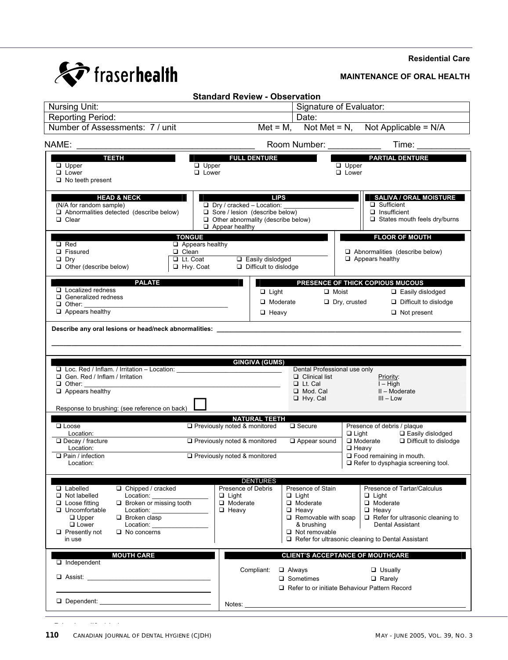#### **Residential Care**



#### **MAINTENANCE OF ORAL HEALTH**

|                                                                                                                                                                                                                                                                                                            | <b>Standard Review - Observation</b>                                                                                                            |                                                                                                                                                                                                                                |                                                                                                                                          |                                                                                                                                                                                                           |  |
|------------------------------------------------------------------------------------------------------------------------------------------------------------------------------------------------------------------------------------------------------------------------------------------------------------|-------------------------------------------------------------------------------------------------------------------------------------------------|--------------------------------------------------------------------------------------------------------------------------------------------------------------------------------------------------------------------------------|------------------------------------------------------------------------------------------------------------------------------------------|-----------------------------------------------------------------------------------------------------------------------------------------------------------------------------------------------------------|--|
| Nursing Unit:                                                                                                                                                                                                                                                                                              | Signature of Evaluator:                                                                                                                         |                                                                                                                                                                                                                                |                                                                                                                                          |                                                                                                                                                                                                           |  |
| <b>Reporting Period:</b>                                                                                                                                                                                                                                                                                   |                                                                                                                                                 | Date:                                                                                                                                                                                                                          |                                                                                                                                          |                                                                                                                                                                                                           |  |
| Number of Assessments: 7 / unit                                                                                                                                                                                                                                                                            |                                                                                                                                                 |                                                                                                                                                                                                                                |                                                                                                                                          | Met = M, Not Met = N, Not Applicable = $N/A$                                                                                                                                                              |  |
| NAME:                                                                                                                                                                                                                                                                                                      |                                                                                                                                                 |                                                                                                                                                                                                                                | Room Number: ____________                                                                                                                | Time:                                                                                                                                                                                                     |  |
| <b>ANDRE TEETH</b><br>$\Box$ Upper<br>$\Box$ Lower<br>$\Box$ No teeth present                                                                                                                                                                                                                              | $\Box$ Upper<br>$\Box$ Lower                                                                                                                    | <b>FULL DENTURE</b>                                                                                                                                                                                                            |                                                                                                                                          | <b>PARTIAL DENTURE</b><br>$\Box$ Upper<br>$\Box$ Lower                                                                                                                                                    |  |
| <b>HEAD &amp; NECK</b><br>(N/A for random sample)<br>$\Box$ Abnormalities detected (describe below)<br>$\Box$ Clear                                                                                                                                                                                        | $\Box$ Dry / cracked - Location:<br>$\Box$ Sore / lesion (describe below)<br>$\Box$ Other abnormality (describe below)<br>$\Box$ Appear healthy | <b>LIPS</b>                                                                                                                                                                                                                    |                                                                                                                                          | <b>SALIVA / ORAL MOISTURE</b><br>$\Box$ Sufficient<br>$\Box$ Insufficient<br>$\Box$ States mouth feels dry/burns                                                                                          |  |
|                                                                                                                                                                                                                                                                                                            | <b>TONGUE</b>                                                                                                                                   |                                                                                                                                                                                                                                |                                                                                                                                          | <b>FLOOR OF MOUTH</b>                                                                                                                                                                                     |  |
| $\Box$ Red<br>□ Fissured<br>$\Box$ Dry<br>$\Box$ Other (describe below)                                                                                                                                                                                                                                    | $\Box$ Appears healthy<br>$\Box$ Clean<br>$\Box$ Lt. Coat<br>□ Hvy. Coat                                                                        | $\Box$ Easily dislodged<br>$\Box$ Difficult to dislodge                                                                                                                                                                        |                                                                                                                                          | $\Box$ Abnormalities (describe below)<br>$\Box$ Appears healthy                                                                                                                                           |  |
| <b>PALATE</b>                                                                                                                                                                                                                                                                                              |                                                                                                                                                 |                                                                                                                                                                                                                                |                                                                                                                                          | PRESENCE OF THICK COPIOUS MUCOUS                                                                                                                                                                          |  |
| $\Box$ Localized redness<br>$\Box$ Generalized redness<br>$\Box$ Other:<br>$\Box$ Appears healthy                                                                                                                                                                                                          |                                                                                                                                                 | $\Box$ Light<br>□ Moderate<br>$\Box$ Heavy                                                                                                                                                                                     | $\Box$ Moist                                                                                                                             | $\Box$ Easily dislodged<br>$\Box$ Difficult to dislodge<br>$\Box$ Dry, crusted<br>$\Box$ Not present                                                                                                      |  |
| Gen. Red / Inflam / Irritation<br>$\Box$ Other:<br>$\Box$ Appears healthy                                                                                                                                                                                                                                  |                                                                                                                                                 |                                                                                                                                                                                                                                | Dental Professional use only<br>$\Box$ Clinical list<br>$\Box$ Lt. Cal<br>□ Mod. Cal<br>$\Box$ Hvy. Cal                                  | Priority:<br>$I - High$<br>II - Moderate<br>$III - Low$                                                                                                                                                   |  |
| Response to brushing: (see reference on back)                                                                                                                                                                                                                                                              |                                                                                                                                                 |                                                                                                                                                                                                                                |                                                                                                                                          |                                                                                                                                                                                                           |  |
| $\Box$ Loose<br>Location:                                                                                                                                                                                                                                                                                  | □ Previously noted & monitored                                                                                                                  | <b>NATURAL TEETH</b>                                                                                                                                                                                                           | $\square$ Secure                                                                                                                         | Presence of debris / plaque<br>□ Easily dislodged<br>$\Box$ Light                                                                                                                                         |  |
| $\Box$ Decay / fracture<br>Location:                                                                                                                                                                                                                                                                       | □ Previously noted & monitored                                                                                                                  |                                                                                                                                                                                                                                | $\Box$ Appear sound                                                                                                                      | Difficult to dislodge<br>$\square$ Moderate<br>$\Box$ Heavy                                                                                                                                               |  |
| $\Box$ Pain / infection<br>Location:                                                                                                                                                                                                                                                                       | □ Previously noted & monitored                                                                                                                  |                                                                                                                                                                                                                                |                                                                                                                                          | $\Box$ Food remaining in mouth.<br>$\Box$ Refer to dysphagia screening tool.                                                                                                                              |  |
| $\Box$ Chipped / cracked<br>$\Box$ Labelled<br>$\Box$ Not labelled<br>Location:<br>$\Box$ Broken or missing tooth<br>$\Box$ Loose fitting<br>$\Box$ Uncomfortable<br>Location:<br>$\Box$ Upper<br>$\Box$ Broken clasp<br>$\Box$ Lower<br>Location:<br>$\Box$ Presently not<br>$\Box$ No concerns<br>in use | Presence of Debris<br>$\Box$ Light<br>$\Box$ Moderate<br>$\Box$ Heavy                                                                           | <b>DENTURES</b>                                                                                                                                                                                                                | Presence of Stain<br>$\Box$ Light<br>$\Box$ Moderate<br>$\Box$ Heavy<br>$\Box$ Removable with soap<br>& brushing<br>$\Box$ Not removable | Presence of Tartar/Calculus<br>$\Box$ Light<br>$\Box$ Moderate<br>$\Box$ Heavy<br>$\Box$ Refer for ultrasonic cleaning to<br>Dental Assistant<br>$\Box$ Refer for ultrasonic cleaning to Dental Assistant |  |
| <b>MOUTH CARE</b>                                                                                                                                                                                                                                                                                          |                                                                                                                                                 |                                                                                                                                                                                                                                |                                                                                                                                          | <b>CLIENT'S ACCEPTANCE OF MOUTHCARE</b>                                                                                                                                                                   |  |
| $\Box$ Independent<br>$\Box$ Assist:                                                                                                                                                                                                                                                                       |                                                                                                                                                 | Compliant:                                                                                                                                                                                                                     | $\Box$ Always<br>□ Sometimes                                                                                                             | $\Box$ Usually<br>$\Box$ Rarely<br>Refer to or initiate Behaviour Pattern Record                                                                                                                          |  |
| Dependent: Dependent:                                                                                                                                                                                                                                                                                      |                                                                                                                                                 | Notes: and the state of the state of the state of the state of the state of the state of the state of the state of the state of the state of the state of the state of the state of the state of the state of the state of the |                                                                                                                                          |                                                                                                                                                                                                           |  |
|                                                                                                                                                                                                                                                                                                            |                                                                                                                                                 |                                                                                                                                                                                                                                |                                                                                                                                          |                                                                                                                                                                                                           |  |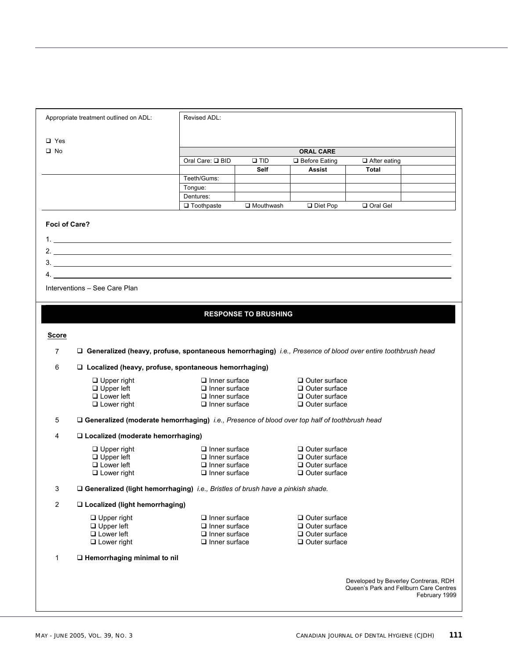|                | Appropriate treatment outlined on ADL:                                                                       | Revised ADL:         |                             |                      |                                        |               |
|----------------|--------------------------------------------------------------------------------------------------------------|----------------------|-----------------------------|----------------------|----------------------------------------|---------------|
|                |                                                                                                              |                      |                             |                      |                                        |               |
| $\Box$ Yes     |                                                                                                              |                      |                             |                      |                                        |               |
| $\square$ No   |                                                                                                              |                      |                             | <b>ORAL CARE</b>     |                                        |               |
|                |                                                                                                              | Oral Care: Q BID     | $\square$ TID               | $\Box$ Before Eating | $\Box$ After eating                    |               |
|                |                                                                                                              | Teeth/Gums:          | <b>Self</b>                 | <b>Assist</b>        | Total                                  |               |
|                |                                                                                                              | Tongue:              |                             |                      |                                        |               |
|                |                                                                                                              | Dentures:            |                             |                      |                                        |               |
|                |                                                                                                              | $\Box$ Toothpaste    | $\Box$ Mouthwash            | Diet Pop             | Oral Gel                               |               |
|                |                                                                                                              |                      |                             |                      |                                        |               |
| Foci of Care?  |                                                                                                              |                      |                             |                      |                                        |               |
|                |                                                                                                              |                      |                             |                      |                                        |               |
|                | 2. $\overline{\phantom{a}}$                                                                                  |                      |                             |                      |                                        |               |
|                |                                                                                                              |                      |                             |                      |                                        |               |
|                | $\overline{4}$ .                                                                                             |                      |                             |                      |                                        |               |
|                |                                                                                                              |                      |                             |                      |                                        |               |
|                | Interventions - See Care Plan                                                                                |                      |                             |                      |                                        |               |
|                |                                                                                                              |                      |                             |                      |                                        |               |
|                |                                                                                                              |                      | <b>RESPONSE TO BRUSHING</b> |                      |                                        |               |
|                |                                                                                                              |                      |                             |                      |                                        |               |
| <b>Score</b>   |                                                                                                              |                      |                             |                      |                                        |               |
| $\overline{7}$ | □ Generalized (heavy, profuse, spontaneous hemorrhaging) i.e., Presence of blood over entire toothbrush head |                      |                             |                      |                                        |               |
| 6              | $\Box$ Localized (heavy, profuse, spontaneous hemorrhaging)                                                  |                      |                             |                      |                                        |               |
|                | $\Box$ Upper right                                                                                           | $\Box$ Inner surface |                             | $\Box$ Outer surface |                                        |               |
|                | $\Box$ Upper left                                                                                            | $\Box$ Inner surface |                             | $\Box$ Outer surface |                                        |               |
|                | $\Box$ Lower left                                                                                            | $\Box$ Inner surface |                             | $\Box$ Outer surface |                                        |               |
|                | $\Box$ Lower right                                                                                           | $\Box$ Inner surface |                             | $\Box$ Outer surface |                                        |               |
| 5              | $\Box$ Generalized (moderate hemorrhaging) i.e., Presence of blood over top half of toothbrush head          |                      |                             |                      |                                        |               |
| 4              | $\Box$ Localized (moderate hemorrhaging)                                                                     |                      |                             |                      |                                        |               |
|                | $\Box$ Upper right                                                                                           | $\Box$ Inner surface |                             | $\Box$ Outer surface |                                        |               |
|                | $\Box$ Upper left                                                                                            | $\Box$ Inner surface |                             | $\Box$ Outer surface |                                        |               |
|                | $\Box$ Lower left                                                                                            | $\Box$ Inner surface |                             | $\Box$ Outer surface |                                        |               |
|                | $\Box$ Lower right                                                                                           | $\Box$ Inner surface |                             | $\Box$ Outer surface |                                        |               |
| 3              | □ Generalized (light hemorrhaging) i.e., Bristles of brush have a pinkish shade.                             |                      |                             |                      |                                        |               |
| $\overline{2}$ | □ Localized (light hemorrhaging)                                                                             |                      |                             |                      |                                        |               |
|                | $\Box$ Upper right                                                                                           | $\Box$ Inner surface |                             | $\Box$ Outer surface |                                        |               |
|                | $\Box$ Upper left                                                                                            | $\Box$ Inner surface |                             | $\Box$ Outer surface |                                        |               |
|                | $\Box$ Lower left                                                                                            | $\Box$ Inner surface |                             | $\Box$ Outer surface |                                        |               |
|                | $\Box$ Lower right                                                                                           | $\Box$ Inner surface |                             | $\Box$ Outer surface |                                        |               |
| 1              | $\Box$ Hemorrhaging minimal to nil                                                                           |                      |                             |                      |                                        |               |
|                |                                                                                                              |                      |                             |                      |                                        |               |
|                |                                                                                                              |                      |                             |                      | Developed by Beverley Contreras, RDH   |               |
|                |                                                                                                              |                      |                             |                      | Queen's Park and Fellburn Care Centres | February 1999 |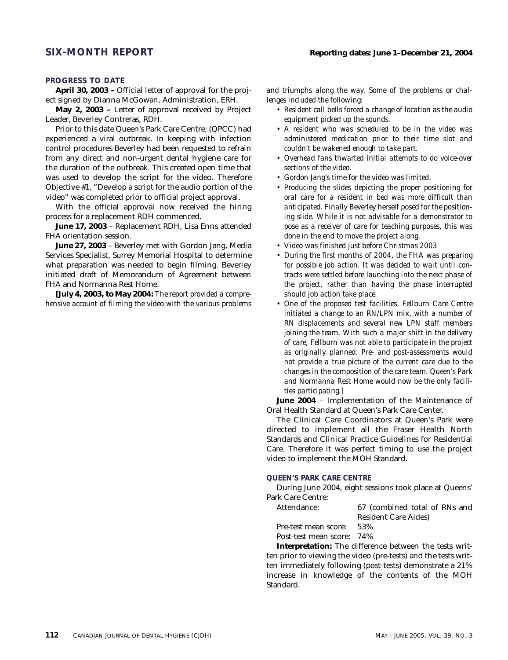#### **PROGRESS TO DATE**

**April 30, 2003 –** Official letter of approval for the project signed by Dianna McGowan, Administration, ERH.

**May 2, 2003 –** Letter of approval received by Project Leader, Beverley Contreras, RDH.

Prior to this date Queen's Park Care Centre; (QPCC) had experienced a viral outbreak. In keeping with infection control procedures Beverley had been requested to refrain from any direct and non-urgent dental hygiene care for the duration of the outbreak. This created open time that was used to develop the script for the video. Therefore Objective #1, "Develop a script for the audio portion of the video" was completed prior to official project approval.

With the official approval now received the hiring process for a replacement RDH commenced.

**June 17, 2003** – Replacement RDH, Lisa Enns attended FHA orientation session.

**June 27, 2003** – Beverley met with Gordon Jang, Media Services Specialist, Surrey Memorial Hospital to determine what preparation was needed to begin filming. Beverley initiated draft of Memorandum of Agreement between FHA and Normanna Rest Home.

*[July 4, 2003, to May 2004: The report provided a comprehensive account of filming the video with the various problems*

*and triumphs along the way. Some of the problems or challenges included the following:*

- *Resident call bells forced a change of location as the audio equipment picked up the sounds.*
- *A resident who was scheduled to be in the video was administered medication prior to their time slot and couldn't be wakened enough to take part.*
- *Overhead fans thwarted initial attempts to do voice-over sections of the video.*
- *Gordon Jang's time for the video was limited.*
- *Producing the slides depicting the proper positioning for oral care for a resident in bed was more difficult than anticipated. Finally Beverley herself posed for the positioning slide. While it is not advisable for a demonstrator to pose as a receiver of care for teaching purposes, this was done in the end to move the project along.*
- *Video was finished just before Christmas 2003*
- *During the first months of 2004, the FHA was preparing for possible job action. It was decided to wait until contracts were settled before launching into the next phase of the project, rather than having the phase interrupted should job action take place.*
- *One of the proposed test facilities, Fellburn Care Centre initiated a change to an RN/LPN mix, with a number of RN displacements and several new LPN staff members joining the team. With such a major shift in the delivery of care, Fellburn was not able to participate in the project as originally planned. Pre- and post-assessments would not provide a true picture of the current care due to the changes in the composition of the care team. Queen's Park and Normanna Rest Home would now be the only facilities participating.]*

**June 2004** – Implementation of the Maintenance of Oral Health Standard at Queen's Park Care Center.

The Clinical Care Coordinators at Queen's Park were directed to implement all the Fraser Health North Standards and Clinical Practice Guidelines for Residential Care. Therefore it was perfect timing to use the project video to implement the MOH Standard.

#### **QUEEN'S PARK CARE CENTRE**

During June 2004, eight sessions took place at Queens' Park Care Centre:

| Attendance:               | 67 (combined total of RNs and |
|---------------------------|-------------------------------|
|                           | <b>Resident Care Aides</b> )  |
| Pre-test mean score:      | 53%                           |
| Post-test mean score: 74% |                               |

**Interpretation:** The difference between the tests written prior to viewing the video (pre-tests) and the tests written immediately following (post-tests) demonstrate a 21% increase in knowledge of the contents of the MOH Standard.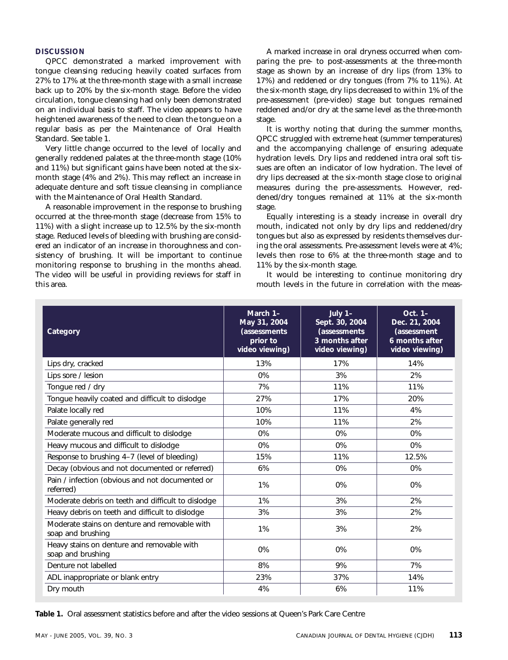#### **DISCUSSION**

QPCC demonstrated a marked improvement with tongue cleansing reducing heavily coated surfaces from 27% to 17% at the three-month stage with a small increase back up to 20% by the six-month stage. Before the video circulation, tongue cleansing had only been demonstrated on an individual basis to staff. The video appears to have heightened awareness of the need to clean the tongue on a regular basis as per the Maintenance of Oral Health Standard. See table 1.

Very little change occurred to the level of locally and generally reddened palates at the three-month stage (10% and 11%) but significant gains have been noted at the sixmonth stage (4% and 2%). This may reflect an increase in adequate denture and soft tissue cleansing in compliance with the Maintenance of Oral Health Standard.

A reasonable improvement in the response to brushing occurred at the three-month stage (decrease from 15% to 11%) with a slight increase up to 12.5% by the six-month stage. Reduced levels of bleeding with brushing are considered an indicator of an increase in thoroughness and consistency of brushing. It will be important to continue monitoring response to brushing in the months ahead. The video will be useful in providing reviews for staff in this area.

A marked increase in oral dryness occurred when comparing the pre- to post-assessments at the three-month stage as shown by an increase of dry lips (from 13% to 17%) and reddened or dry tongues (from 7% to 11%). At the six-month stage, dry lips decreased to within 1% of the pre-assessment (pre-video) stage but tongues remained reddened and/or dry at the same level as the three-month stage.

It is worthy noting that during the summer months, QPCC struggled with extreme heat (summer temperatures) and the accompanying challenge of ensuring adequate hydration levels. Dry lips and reddened intra oral soft tissues are often an indicator of low hydration. The level of dry lips decreased at the six-month stage close to original measures during the pre-assessments. However, reddened/dry tongues remained at 11% at the six-month stage.

Equally interesting is a steady increase in overall dry mouth, indicated not only by dry lips and reddened/dry tongues but also as expressed by residents themselves during the oral assessments. Pre-assessment levels were at 4%; levels then rose to 6% at the three-month stage and to 11% by the six-month stage.

It would be interesting to continue monitoring dry mouth levels in the future in correlation with the meas-

| Category                                                           | March 1-<br>May 31, 2004<br><i>(assessments)</i><br>prior to<br>video viewing) | July $1-$<br>Sept. 30, 2004<br><i>(assessments)</i><br>3 months after<br>video viewing) | $Oct. 1-$<br>Dec. 21, 2004<br><i>(assessment</i><br>6 months after<br>video viewing) |
|--------------------------------------------------------------------|--------------------------------------------------------------------------------|-----------------------------------------------------------------------------------------|--------------------------------------------------------------------------------------|
| Lips dry, cracked                                                  | 13%                                                                            | 17%                                                                                     | 14%                                                                                  |
| Lips sore / lesion                                                 | 0%                                                                             | 3%                                                                                      | 2%                                                                                   |
| Tongue red / dry                                                   | 7%                                                                             | 11%                                                                                     | 11%                                                                                  |
| Tongue heavily coated and difficult to dislodge                    | 27%                                                                            | 17%                                                                                     | 20%                                                                                  |
| Palate locally red                                                 | 10%                                                                            | 11%                                                                                     | 4%                                                                                   |
| Palate generally red                                               | 10%                                                                            | 11%                                                                                     | 2%                                                                                   |
| Moderate mucous and difficult to dislodge                          | 0%                                                                             | 0%                                                                                      | 0%                                                                                   |
| Heavy mucous and difficult to dislodge                             | 0%                                                                             | $0\%$                                                                                   | $0\%$                                                                                |
| Response to brushing 4-7 (level of bleeding)                       | 15%                                                                            | 11%                                                                                     | 12.5%                                                                                |
| Decay (obvious and not documented or referred)                     | 6%                                                                             | $0\%$                                                                                   | $0\%$                                                                                |
| Pain / infection (obvious and not documented or<br>referred)       | 1%                                                                             | 0%                                                                                      | 0%                                                                                   |
| Moderate debris on teeth and difficult to dislodge                 | 1%                                                                             | 3%                                                                                      | 2%                                                                                   |
| Heavy debris on teeth and difficult to dislodge                    | 3%                                                                             | 3%                                                                                      | 2%                                                                                   |
| Moderate stains on denture and removable with<br>soap and brushing | 1%                                                                             | 3%                                                                                      | 2%                                                                                   |
| Heavy stains on denture and removable with<br>soap and brushing    | 0%                                                                             | 0%                                                                                      | 0%                                                                                   |
| Denture not labelled                                               | 8%                                                                             | 9%                                                                                      | 7%                                                                                   |
| ADL inappropriate or blank entry                                   | 23%                                                                            | 37%                                                                                     | 14%                                                                                  |
| Dry mouth                                                          | 4%                                                                             | 6%                                                                                      | 11%                                                                                  |

**Table 1.** Oral assessment statistics before and after the video sessions at Queen's Park Care Centre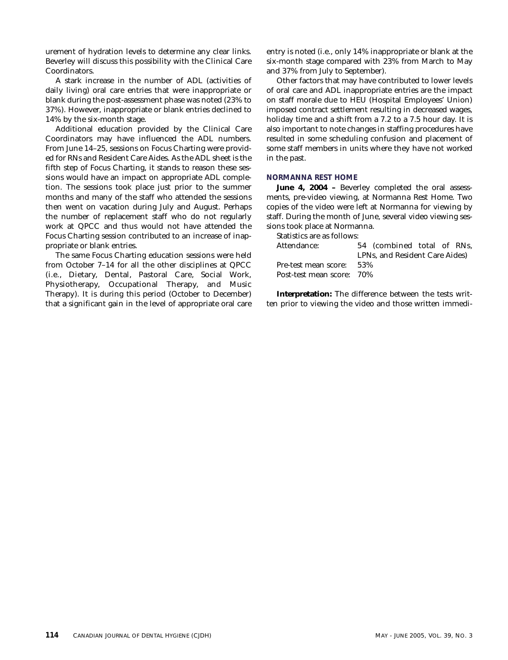urement of hydration levels to determine any clear links. Beverley will discuss this possibility with the Clinical Care Coordinators.

A stark increase in the number of ADL (activities of daily living) oral care entries that were inappropriate or blank during the post-assessment phase was noted (23% to 37%). However, inappropriate or blank entries declined to 14% by the six-month stage.

Additional education provided by the Clinical Care Coordinators may have influenced the ADL numbers. From June 14–25, sessions on Focus Charting were provided for RNs and Resident Care Aides. As the ADL sheet is the fifth step of Focus Charting, it stands to reason these sessions would have an impact on appropriate ADL completion. The sessions took place just prior to the summer months and many of the staff who attended the sessions then went on vacation during July and August. Perhaps the number of replacement staff who do not regularly work at QPCC and thus would not have attended the Focus Charting session contributed to an increase of inappropriate or blank entries.

The same Focus Charting education sessions were held from October 7–14 for all the other disciplines at QPCC (i.e., Dietary, Dental, Pastoral Care, Social Work, Physiotherapy, Occupational Therapy, and Music Therapy). It is during this period (October to December) that a significant gain in the level of appropriate oral care entry is noted (i.e., only 14% inappropriate or blank at the six-month stage compared with 23% from March to May and 37% from July to September).

Other factors that may have contributed to lower levels of oral care and ADL inappropriate entries are the impact on staff morale due to HEU (Hospital Employees' Union) imposed contract settlement resulting in decreased wages, holiday time and a shift from a 7.2 to a 7.5 hour day. It is also important to note changes in staffing procedures have resulted in some scheduling confusion and placement of some staff members in units where they have not worked in the past.

#### **NORMANNA REST HOME**

**June 4, 2004 –** Beverley completed the oral assessments, pre-video viewing, at Normanna Rest Home. Two copies of the video were left at Normanna for viewing by staff. During the month of June, several video viewing sessions took place at Normanna.

Statistics are as follows:

| 54 (combined total of RNs,     |
|--------------------------------|
| LPNs. and Resident Care Aides) |
| 53%                            |
| Post-test mean score: 70%      |
|                                |

**Interpretation:** The difference between the tests written prior to viewing the video and those written immedi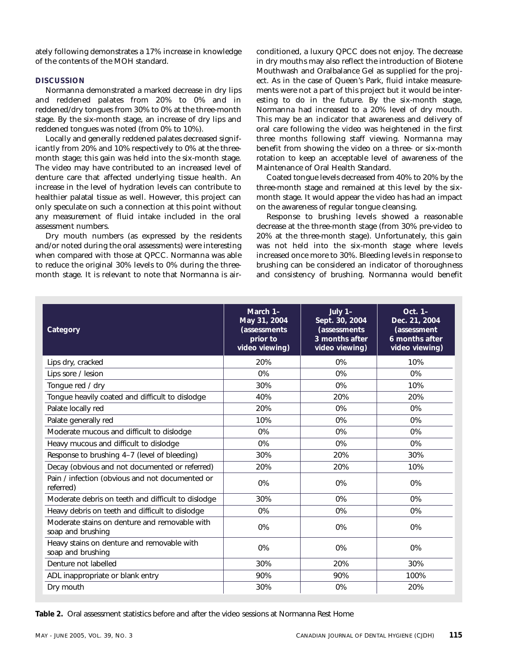ately following demonstrates a 17% increase in knowledge of the contents of the MOH standard.

#### **DISCUSSION**

Normanna demonstrated a marked decrease in dry lips and reddened palates from 20% to 0% and in reddened/dry tongues from 30% to 0% at the three-month stage. By the six-month stage, an increase of dry lips and reddened tongues was noted (from 0% to 10%).

Locally and generally reddened palates decreased significantly from 20% and 10% respectively to 0% at the threemonth stage; this gain was held into the six-month stage. The video may have contributed to an increased level of denture care that affected underlying tissue health. An increase in the level of hydration levels can contribute to healthier palatal tissue as well. However, this project can only speculate on such a connection at this point without any measurement of fluid intake included in the oral assessment numbers.

Dry mouth numbers (as expressed by the residents and/or noted during the oral assessments) were interesting when compared with those at QPCC. Normanna was able to reduce the original 30% levels to 0% during the threemonth stage. It is relevant to note that Normanna is airconditioned, a luxury QPCC does not enjoy. The decrease in dry mouths may also reflect the introduction of Biotene Mouthwash and Oralbalance Gel as supplied for the project. As in the case of Queen's Park, fluid intake measurements were not a part of this project but it would be interesting to do in the future. By the six-month stage, Normanna had increased to a 20% level of dry mouth. This may be an indicator that awareness and delivery of oral care following the video was heightened in the first three months following staff viewing. Normanna may benefit from showing the video on a three- or six-month rotation to keep an acceptable level of awareness of the Maintenance of Oral Health Standard.

Coated tongue levels decreased from 40% to 20% by the three-month stage and remained at this level by the sixmonth stage. It would appear the video has had an impact on the awareness of regular tongue cleansing.

Response to brushing levels showed a reasonable decrease at the three-month stage (from 30% pre-video to 20% at the three-month stage). Unfortunately, this gain was not held into the six-month stage where levels increased once more to 30%. Bleeding levels in response to brushing can be considered an indicator of thoroughness and consistency of brushing. Normanna would benefit

| Category                                                           | March 1-<br>May 31, 2004<br>(assessments<br>prior to<br>video viewing) | July $1-$<br>Sept. 30, 2004<br><i>(assessments)</i><br>3 months after<br>video viewing) | Oct. 1-<br>Dec. 21, 2004<br><i>(assessment</i><br>6 months after<br>video viewing) |
|--------------------------------------------------------------------|------------------------------------------------------------------------|-----------------------------------------------------------------------------------------|------------------------------------------------------------------------------------|
| Lips dry, cracked                                                  | 20%                                                                    | 0%                                                                                      | 10%                                                                                |
| Lips sore / lesion                                                 | 0%                                                                     | 0%                                                                                      | 0%                                                                                 |
| Tongue red / dry                                                   | 30%                                                                    | 0%                                                                                      | 10%                                                                                |
| Tongue heavily coated and difficult to dislodge                    | 40%                                                                    | 20%                                                                                     | 20%                                                                                |
| Palate locally red                                                 | 20%                                                                    | 0%                                                                                      | 0%                                                                                 |
| Palate generally red                                               | 10%                                                                    | 0%                                                                                      | 0%                                                                                 |
| Moderate mucous and difficult to dislodge                          | 0%                                                                     | 0%                                                                                      | 0%                                                                                 |
| Heavy mucous and difficult to dislodge                             | 0%                                                                     | 0%                                                                                      | 0%                                                                                 |
| Response to brushing 4-7 (level of bleeding)                       | 30%                                                                    | 20%                                                                                     | 30%                                                                                |
| Decay (obvious and not documented or referred)                     | 20%                                                                    | 20%                                                                                     | 10%                                                                                |
| Pain / infection (obvious and not documented or<br>referred)       | 0%                                                                     | 0%                                                                                      | 0%                                                                                 |
| Moderate debris on teeth and difficult to dislodge                 | 30%                                                                    | 0%                                                                                      | $0\%$                                                                              |
| Heavy debris on teeth and difficult to dislodge                    | 0%                                                                     | 0%                                                                                      | 0%                                                                                 |
| Moderate stains on denture and removable with<br>soap and brushing | 0%                                                                     | 0%                                                                                      | 0%                                                                                 |
| Heavy stains on denture and removable with<br>soap and brushing    | 0%                                                                     | 0%                                                                                      | 0%                                                                                 |
| Denture not labelled                                               | 30%                                                                    | 20%                                                                                     | 30%                                                                                |
| ADL inappropriate or blank entry                                   | 90%                                                                    | 90%                                                                                     | 100%                                                                               |
| Dry mouth                                                          | 30%                                                                    | 0%                                                                                      | 20%                                                                                |

**Table 2.** Oral assessment statistics before and after the video sessions at Normanna Rest Home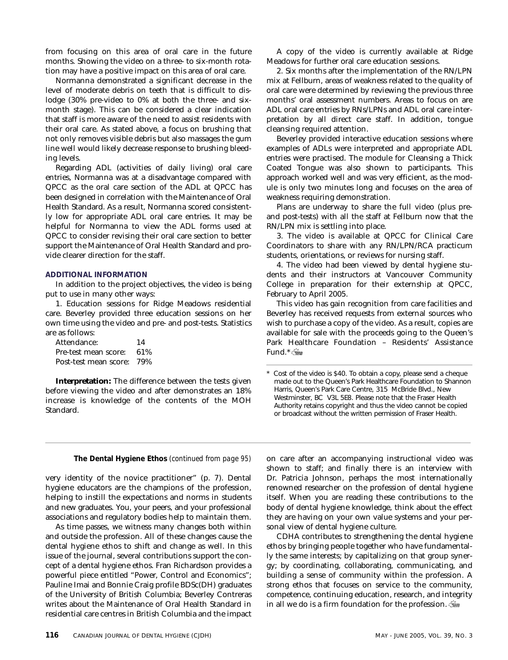from focusing on this area of oral care in the future months. Showing the video on a three- to six-month rotation may have a positive impact on this area of oral care.

Normanna demonstrated a significant decrease in the level of moderate debris on teeth that is difficult to dislodge (30% pre-video to 0% at both the three- and sixmonth stage). This can be considered a clear indication that staff is more aware of the need to assist residents with their oral care. As stated above, a focus on brushing that not only removes visible debris but also massages the gum line well would likely decrease response to brushing bleeding levels.

Regarding ADL (activities of daily living) oral care entries, Normanna was at a disadvantage compared with QPCC as the oral care section of the ADL at QPCC has been designed in correlation with the Maintenance of Oral Health Standard. As a result, Normanna scored consistently low for appropriate ADL oral care entries. It may be helpful for Normanna to view the ADL forms used at QPCC to consider revising their oral care section to better support the Maintenance of Oral Health Standard and provide clearer direction for the staff.

#### **ADDITIONAL INFORMATION**

In addition to the project objectives, the video is being put to use in many other ways:

1. Education sessions for Ridge Meadows residential care. Beverley provided three education sessions on her own time using the video and pre- and post-tests. Statistics are as follows:

Attendance: 14 Pre-test mean score: 61% Post-test mean score: 79%

**Interpretation:** The difference between the tests given before viewing the video and after demonstrates an 18% increase is knowledge of the contents of the MOH Standard.

A copy of the video is currently available at Ridge Meadows for further oral care education sessions.

2. Six months after the implementation of the RN/LPN mix at Fellburn, areas of weakness related to the quality of oral care were determined by reviewing the previous three months' oral assessment numbers. Areas to focus on are ADL oral care entries by RNs/LPNs and ADL oral care interpretation by all direct care staff. In addition, tongue cleansing required attention.

Beverley provided interactive education sessions where examples of ADLs were interpreted and appropriate ADL entries were practised. The module for Cleansing a Thick Coated Tongue was also shown to participants. This approach worked well and was very efficient, as the module is only two minutes long and focuses on the area of weakness requiring demonstration.

Plans are underway to share the full video (plus preand post-tests) with all the staff at Fellburn now that the RN/LPN mix is settling into place.

3. The video is available at QPCC for Clinical Care Coordinators to share with any RN/LPN/RCA practicum students, orientations, or reviews for nursing staff.

4. The video had been viewed by dental hygiene students and their instructors at Vancouver Community College in preparation for their externship at QPCC, February to April 2005.

This video has gain recognition from care facilities and Beverley has received requests from external sources who wish to purchase a copy of the video. As a result, copies are available for sale with the proceeds going to the Queen's Park Healthcare Foundation – Residents' Assistance Fund.\*

Cost of the video is \$40. To obtain a copy, please send a cheque made out to the Queen's Park Healthcare Foundation to Shannon Harris, Queen's Park Care Centre, 315 McBride Blvd., New Westminster, BC V3L 5E8. Please note that the Fraser Health Authority retains copyright and thus the video cannot be copied or broadcast without the written permission of Fraser Health.

very identity of the novice practitioner" (p. 7). Dental hygiene educators are the champions of the profession, helping to instill the expectations and norms in students and new graduates. You, your peers, and your professional associations and regulatory bodies help to maintain them.

As time passes, we witness many changes both within and outside the profession. All of these changes cause the dental hygiene ethos to shift and change as well. In this issue of the journal, several contributions support the concept of a dental hygiene ethos. Fran Richardson provides a powerful piece entitled "Power, Control and Economics"; Pauline Imai and Bonnie Craig profile BDSc(DH) graduates of the University of British Columbia; Beverley Contreras writes about the Maintenance of Oral Health Standard in residential care centres in British Columbia and the impact

**The Dental Hygiene Ethos** *(continued from page 95)* on care after an accompanying instructional video was shown to staff; and finally there is an interview with Dr. Patricia Johnson, perhaps the most internationally renowned researcher on the profession of dental hygiene itself. When you are reading these contributions to the body of dental hygiene knowledge, think about the effect they are having on your own value systems and your personal view of dental hygiene culture.

> CDHA contributes to strengthening the dental hygiene ethos by bringing people together who have fundamentally the same interests; by capitalizing on that group synergy; by coordinating, collaborating, communicating, and building a sense of community within the profession. A strong ethos that focuses on service to the community, competence, continuing education, research, and integrity in all we do is a firm foundation for the profession.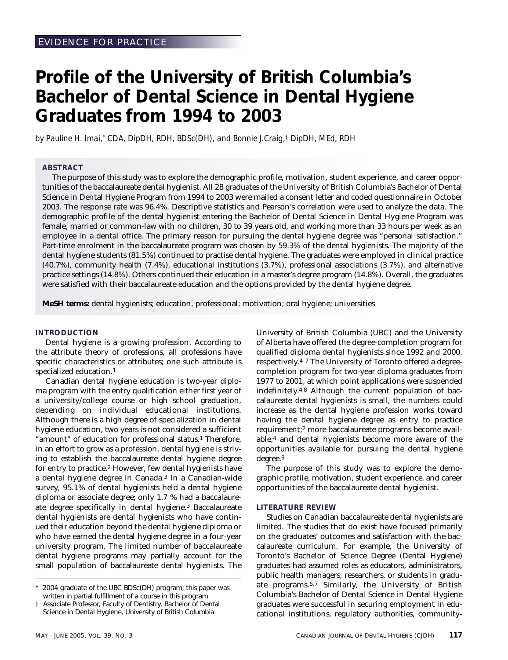## **Profile of the University of British Columbia's Bachelor of Dental Science in Dental Hygiene Graduates from 1994 to 2003**

*by Pauline H. Imai,\* CDA, DipDH, RDH, BDSc(DH), and Bonnie J.Craig,† DipDH, MEd, RDH*

#### **ABSTRACT**

The purpose of this study was to explore the demographic profile, motivation, student experience, and career opportunities of the baccalaureate dental hygienist. All 28 graduates of the University of British Columbia's Bachelor of Dental Science in Dental Hygiene Program from 1994 to 2003 were mailed a consent letter and coded questionnaire in October 2003. The response rate was 96.4%. Descriptive statistics and Pearson's correlation were used to analyze the data. The demographic profile of the dental hygienist entering the Bachelor of Dental Science in Dental Hygiene Program was female, married or common-law with no children, 30 to 39 years old, and working more than 33 hours per week as an employee in a dental office. The primary reason for pursuing the dental hygiene degree was "personal satisfaction." Part-time enrolment in the baccalaureate program was chosen by 59.3% of the dental hygienists. The majority of the dental hygiene students (81.5%) continued to practise dental hygiene. The graduates were employed in clinical practice (40.7%), community health (7.4%), educational institutions (3.7%), professional associations (3.7%), and alternative practice settings (14.8%). Others continued their education in a master's degree program (14.8%). Overall, the graduates were satisfied with their baccalaureate education and the options provided by the dental hygiene degree.

**MeSH terms:** dental hygienists; education, professional; motivation; oral hygiene; universities

#### **INTRODUCTION**

Dental hygiene is a growing profession. According to the attribute theory of professions, all professions have specific characteristics or attributes; one such attribute is specialized education.1

Canadian dental hygiene education is two-year diploma program with the entry qualification either first year of a university/college course or high school graduation, depending on individual educational institutions. Although there is a high degree of specialization in dental hygiene education, two years is not considered a sufficient "amount" of education for professional status.<sup>1</sup> Therefore, in an effort to grow as a profession, dental hygiene is striving to establish the baccalaureate dental hygiene degree for entry to practice.2 However, few dental hygienists have a dental hygiene degree in Canada.3 In a Canadian-wide survey, 95.1% of dental hygienists held a dental hygiene diploma or associate degree; only 1.7 % had a baccalaureate degree specifically in dental hygiene.3 Baccalaureate dental hygienists are dental hygienists who have continued their education beyond the dental hygiene diploma or who have earned the dental hygiene degree in a four-year university program. The limited number of baccalaureate dental hygiene programs may partially account for the small population of baccalaureate dental hygienists. The

University of British Columbia (UBC) and the University of Alberta have offered the degree-completion program for qualified diploma dental hygienists since 1992 and 2000, respectively.4–7 The University of Toronto offered a degreecompletion program for two-year diploma graduates from 1977 to 2001, at which point applications were suspended indefinitely.4,8 Although the current population of baccalaureate dental hygienists is small, the numbers could increase as the dental hygiene profession works toward having the dental hygiene degree as entry to practice requirement;2 more baccalaureate programs become available;4 and dental hygienists become more aware of the opportunities available for pursuing the dental hygiene degree.9

The purpose of this study was to explore the demographic profile, motivation, student experience, and career opportunities of the baccalaureate dental hygienist.

#### **LITERATURE REVIEW**

Studies on Canadian baccalaureate dental hygienists are limited. The studies that do exist have focused primarily on the graduates' outcomes and satisfaction with the baccalaureate curriculum. For example, the University of Toronto's Bachelor of Science Degree (Dental Hygiene) graduates had assumed roles as educators, administrators, public health managers, researchers, or students in graduate programs.5,7 Similarly, the University of British Columbia's Bachelor of Dental Science in Dental Hygiene graduates were successful in securing employment in educational institutions, regulatory authorities, community-

<sup>2004</sup> graduate of the UBC BDSc(DH) program; this paper was written in partial fulfillment of a course in this program

<sup>†</sup> Associate Professor, Faculty of Dentistry, Bachelor of Dental Science in Dental Hygiene, University of British Columbia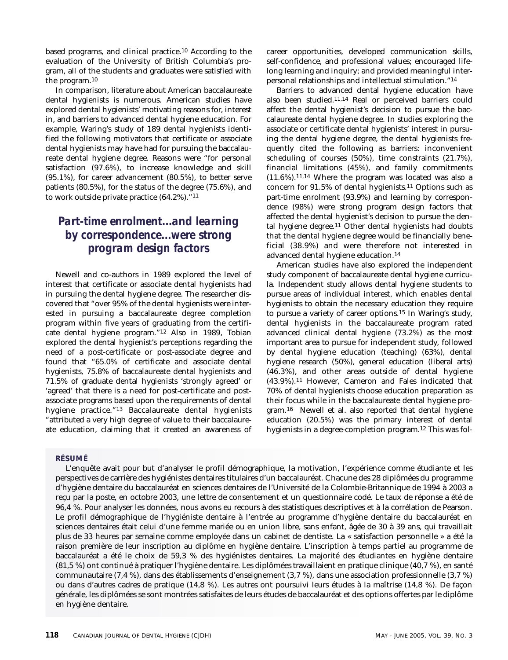based programs, and clinical practice.10 According to the evaluation of the University of British Columbia's program, all of the students and graduates were satisfied with the program.10

In comparison, literature about American baccalaureate dental hygienists is numerous. American studies have explored dental hygienists' motivating reasons for, interest in, and barriers to advanced dental hygiene education. For example, Waring's study of 189 dental hygienists identified the following motivators that certificate or associate dental hygienists may have had for pursuing the baccalaureate dental hygiene degree. Reasons were "for personal satisfaction (97.6%), to increase knowledge and skill (95.1%), for career advancement (80.5%), to better serve patients (80.5%), for the status of the degree (75.6%), and to work outside private practice (64.2%)."11

### *Part-time enrolment...and learning by correspondence...were strong program design factors*

Newell and co-authors in 1989 explored the level of interest that certificate or associate dental hygienists had in pursuing the dental hygiene degree. The researcher discovered that "over 95% of the dental hygienists were interested in pursuing a baccalaureate degree completion program within five years of graduating from the certificate dental hygiene program."12 Also in 1989, Tobian explored the dental hygienist's perceptions regarding the need of a post-certificate or post-associate degree and found that "65.0% of certificate and associate dental hygienists, 75.8% of baccalaureate dental hygienists and 71.5% of graduate dental hygienists 'strongly agreed' or 'agreed' that there is a need for post-certificate and postassociate programs based upon the requirements of dental hygiene practice."13 Baccalaureate dental hygienists "attributed a very high degree of value to their baccalaureate education, claiming that it created an awareness of

#### **RÉSUMÉ**

career opportunities, developed communication skills, self-confidence, and professional values; encouraged lifelong learning and inquiry; and provided meaningful interpersonal relationships and intellectual stimulation."14

Barriers to advanced dental hygiene education have also been studied.11,14 Real or perceived barriers could affect the dental hygienist's decision to pursue the baccalaureate dental hygiene degree. In studies exploring the associate or certificate dental hygienists' interest in pursuing the dental hygiene degree, the dental hygienists frequently cited the following as barriers: inconvenient scheduling of courses (50%), time constraints (21.7%), financial limitations (45%), and family commitments  $(11.6\%)$ .<sup>11,14</sup> Where the program was located was also a concern for 91.5% of dental hygienists.11 Options such as part-time enrolment (93.9%) and learning by correspondence (98%) were strong program design factors that affected the dental hygienist's decision to pursue the dental hygiene degree.11 Other dental hygienists had doubts that the dental hygiene degree would be financially beneficial (38.9%) and were therefore not interested in advanced dental hygiene education.14

American studies have also explored the independent study component of baccalaureate dental hygiene curricula. Independent study allows dental hygiene students to pursue areas of individual interest, which enables dental hygienists to obtain the necessary education they require to pursue a variety of career options.15 In Waring's study, dental hygienists in the baccalaureate program rated advanced clinical dental hygiene (73.2%) as the most important area to pursue for independent study, followed by dental hygiene education (teaching) (63%), dental hygiene research (50%), general education (liberal arts) (46.3%), and other areas outside of dental hygiene (43.9%).11 However, Cameron and Fales indicated that 70% of dental hygienists choose education preparation as their focus while in the baccalaureate dental hygiene program.16 Newell et al. also reported that dental hygiene education (20.5%) was the primary interest of dental hygienists in a degree-completion program.12 This was fol-

L'enquête avait pour but d'analyser le profil démographique, la motivation, l'expérience comme étudiante et les perspectives de carrière des hygiénistes dentaires titulaires d'un baccalauréat. Chacune des 28 diplômées du programme d'hygiène dentaire du baccalauréat en sciences dentaires de l'Université de la Colombie-Britannique de 1994 à 2003 a reçu par la poste, en octobre 2003, une lettre de consentement et un questionnaire codé. Le taux de réponse a été de 96,4 %. Pour analyser les données, nous avons eu recours à des statistiques descriptives et à la corrélation de Pearson. Le profil démographique de l'hygiéniste dentaire à l'entrée au programme d'hygiène dentaire du baccalauréat en sciences dentaires était celui d'une femme mariée ou en union libre, sans enfant, âgée de 30 à 39 ans, qui travaillait plus de 33 heures par semaine comme employée dans un cabinet de dentiste. La « satisfaction personnelle » a été la raison première de leur inscription au diplôme en hygiène dentaire. L'inscription à temps partiel au programme de baccalauréat a été le choix de 59,3 % des hygiénistes dentaires. La majorité des étudiantes en hygiène dentaire (81,5 %) ont continué à pratiquer l'hygiène dentaire. Les diplômées travaillaient en pratique clinique (40,7 %), en santé communautaire (7,4 %), dans des établissements d'enseignement (3,7 %), dans une association professionnelle (3,7 %) ou dans d'autres cadres de pratique (14,8 %). Les autres ont poursuivi leurs études à la maîtrise (14,8 %). De façon générale, les diplômées se sont montrées satisfaites de leurs études de baccalauréat et des options offertes par le diplôme en hygiène dentaire.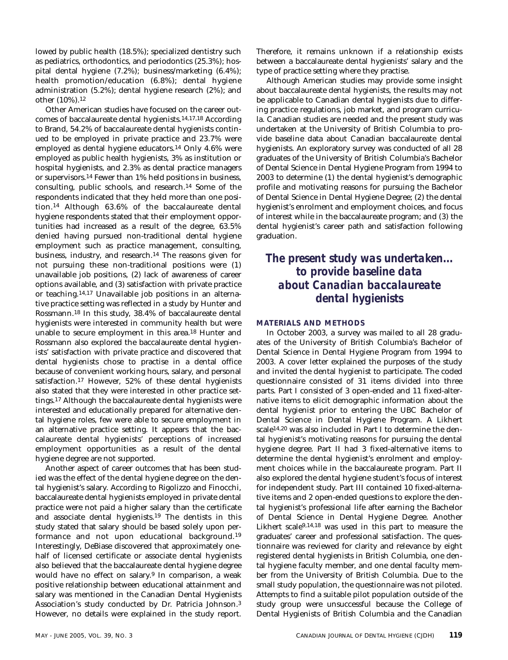lowed by public health (18.5%); specialized dentistry such as pediatrics, orthodontics, and periodontics (25.3%); hospital dental hygiene (7.2%); business/marketing (6.4%); health promotion/education (6.8%); dental hygiene administration (5.2%); dental hygiene research (2%); and other (10%).12

Other American studies have focused on the career outcomes of baccalaureate dental hygienists.14,17,18 According to Brand, 54.2% of baccalaureate dental hygienists continued to be employed in private practice and 23.7% were employed as dental hygiene educators.14 Only 4.6% were employed as public health hygienists, 3% as institution or hospital hygienists, and 2.3% as dental practice managers or supervisors.14 Fewer than 1% held positions in business, consulting, public schools, and research.14 Some of the respondents indicated that they held more than one position.14 Although 63.6% of the baccalaureate dental hygiene respondents stated that their employment opportunities had increased as a result of the degree, 63.5% denied having pursued non-traditional dental hygiene employment such as practice management, consulting, business, industry, and research.14 The reasons given for not pursuing these non-traditional positions were (1) unavailable job positions, (2) lack of awareness of career options available, and (3) satisfaction with private practice or teaching.14,17 Unavailable job positions in an alternative practice setting was reflected in a study by Hunter and Rossmann.18 In this study, 38.4% of baccalaureate dental hygienists were interested in community health but were unable to secure employment in this area.18 Hunter and Rossmann also explored the baccalaureate dental hygienists' satisfaction with private practice and discovered that dental hygienists chose to practise in a dental office because of convenient working hours, salary, and personal satisfaction.17 However, 52% of these dental hygienists also stated that they were interested in other practice settings.17 Although the baccalaureate dental hygienists were interested and educationally prepared for alternative dental hygiene roles, few were able to secure employment in an alternative practice setting. It appears that the baccalaureate dental hygienists' perceptions of increased employment opportunities as a result of the dental hygiene degree are not supported.

Another aspect of career outcomes that has been studied was the effect of the dental hygiene degree on the dental hygienist's salary. According to Rigolizzo and Finocchi, baccalaureate dental hygienists employed in private dental practice were not paid a higher salary than the certificate and associate dental hygienists.19 The dentists in this study stated that salary should be based solely upon performance and not upon educational background.19 Interestingly, DeBiase discovered that approximately onehalf of licensed certificate or associate dental hygienists also believed that the baccalaureate dental hygiene degree would have no effect on salary.<sup>9</sup> In comparison, a weak positive relationship between educational attainment and salary was mentioned in the Canadian Dental Hygienists Association's study conducted by Dr. Patricia Johnson.3 However, no details were explained in the study report. Therefore, it remains unknown if a relationship exists between a baccalaureate dental hygienists' salary and the type of practice setting where they practise.

Although American studies may provide some insight about baccalaureate dental hygienists, the results may not be applicable to Canadian dental hygienists due to differing practice regulations, job market, and program curricula. Canadian studies are needed and the present study was undertaken at the University of British Columbia to provide baseline data about Canadian baccalaureate dental hygienists. An exploratory survey was conducted of all 28 graduates of the University of British Columbia's Bachelor of Dental Science in Dental Hygiene Program from 1994 to 2003 to determine (1) the dental hygienist's demographic profile and motivating reasons for pursuing the Bachelor of Dental Science in Dental Hygiene Degree; (2) the dental hygienist's enrolment and employment choices, and focus of interest while in the baccalaureate program; and (3) the dental hygienist's career path and satisfaction following graduation.

### *The present study was undertaken... to provide baseline data about Canadian baccalaureate dental hygienists*

#### **MATERIALS AND METHODS**

In October 2003, a survey was mailed to all 28 graduates of the University of British Columbia's Bachelor of Dental Science in Dental Hygiene Program from 1994 to 2003. A cover letter explained the purposes of the study and invited the dental hygienist to participate. The coded questionnaire consisted of 31 items divided into three parts. Part I consisted of 3 open-ended and 11 fixed-alternative items to elicit demographic information about the dental hygienist prior to entering the UBC Bachelor of Dental Science in Dental Hygiene Program. A Likhert scale<sup>14,20</sup> was also included in Part I to determine the dental hygienist's motivating reasons for pursuing the dental hygiene degree. Part II had 3 fixed-alternative items to determine the dental hygienist's enrolment and employment choices while in the baccalaureate program. Part II also explored the dental hygiene student's focus of interest for independent study. Part III contained 10 fixed-alternative items and 2 open-ended questions to explore the dental hygienist's professional life after earning the Bachelor of Dental Science in Dental Hygiene Degree. Another Likhert scale9,14,18 was used in this part to measure the graduates' career and professional satisfaction. The questionnaire was reviewed for clarity and relevance by eight registered dental hygienists in British Columbia, one dental hygiene faculty member, and one dental faculty member from the University of British Columbia. Due to the small study population, the questionnaire was not piloted. Attempts to find a suitable pilot population outside of the study group were unsuccessful because the College of Dental Hygienists of British Columbia and the Canadian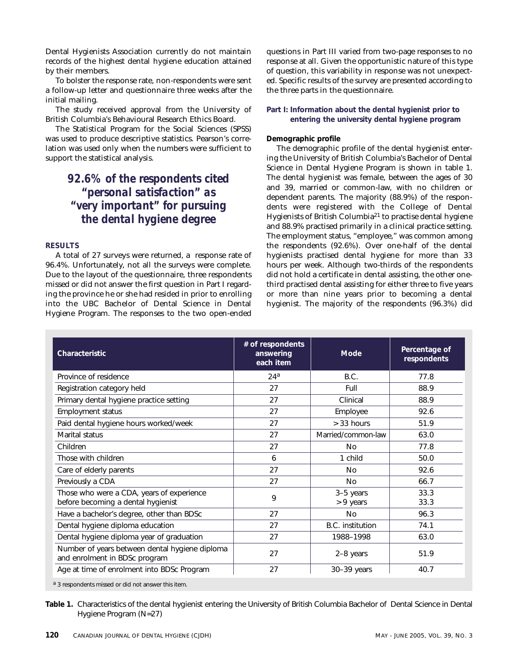Dental Hygienists Association currently do not maintain records of the highest dental hygiene education attained by their members.

To bolster the response rate, non-respondents were sent a follow-up letter and questionnaire three weeks after the initial mailing.

The study received approval from the University of British Columbia's Behavioural Research Ethics Board.

The Statistical Program for the Social Sciences (SPSS) was used to produce descriptive statistics. Pearson's correlation was used only when the numbers were sufficient to support the statistical analysis.

### *92.6% of the respondents cited "personal satisfaction" as "very important" for pursuing the dental hygiene degree*

#### **RESULTS**

A total of 27 surveys were returned, a response rate of 96.4%. Unfortunately, not all the surveys were complete. Due to the layout of the questionnaire, three respondents missed or did not answer the first question in Part I regarding the province he or she had resided in prior to enrolling into the UBC Bachelor of Dental Science in Dental Hygiene Program. The responses to the two open-ended questions in Part III varied from two-page responses to no response at all. Given the opportunistic nature of this type of question, this variability in response was not unexpected. Specific results of the survey are presented according to the three parts in the questionnaire.

#### **Part I: Information about the dental hygienist prior to entering the university dental hygiene program**

#### **Demographic profile**

The demographic profile of the dental hygienist entering the University of British Columbia's Bachelor of Dental Science in Dental Hygiene Program is shown in table 1. The dental hygienist was female, between the ages of 30 and 39, married or common-law, with no children or dependent parents. The majority (88.9%) of the respondents were registered with the College of Dental Hygienists of British Columbia21 to practise dental hygiene and 88.9% practised primarily in a clinical practice setting. The employment status, "employee," was common among the respondents (92.6%). Over one-half of the dental hygienists practised dental hygiene for more than 33 hours per week. Although two-thirds of the respondents did not hold a certificate in dental assisting, the other onethird practised dental assisting for either three to five years or more than nine years prior to becoming a dental hygienist. The majority of the respondents (96.3%) did

| Characteristic                                                                  | # of respondents<br>answering<br>each item | <b>Mode</b>            | Percentage of<br>respondents |
|---------------------------------------------------------------------------------|--------------------------------------------|------------------------|------------------------------|
| Province of residence                                                           | 24 <sup>a</sup>                            | B.C.                   | 77.8                         |
| Registration category held                                                      | 27                                         | Full                   | 88.9                         |
| Primary dental hygiene practice setting                                         | 27                                         | Clinical               | 88.9                         |
| <b>Employment status</b>                                                        | 27                                         | Employee               | 92.6                         |
| Paid dental hygiene hours worked/week                                           | 27                                         | > 33 hours             | 51.9                         |
| Marital status                                                                  | 27                                         | Married/common-law     | 63.0                         |
| Children                                                                        | 27                                         | No                     | 77.8                         |
| Those with children                                                             | 6                                          | 1 child                | 50.0                         |
| Care of elderly parents                                                         | 27                                         | N <sub>0</sub>         | 92.6                         |
| Previously a CDA                                                                | 27                                         | N <sub>0</sub>         | 66.7                         |
| Those who were a CDA, years of experience<br>before becoming a dental hygienist | 9                                          | 3-5 years<br>> 9 years | 33.3<br>33.3                 |
| Have a bachelor's degree, other than BDSc                                       | 27                                         | N <sub>0</sub>         | 96.3                         |
| Dental hygiene diploma education                                                | 27                                         | B.C. institution       | 74.1                         |
| Dental hygiene diploma year of graduation                                       | 27                                         | 1988-1998              | 63.0                         |
| Number of years between dental hygiene diploma<br>and enrolment in BDSc program | 27                                         | 2-8 years              | 51.9                         |
| Age at time of enrolment into BDSc Program                                      | 27                                         | 30-39 years            | 40.7                         |

a 3 respondents missed or did not answer this item.

**Table 1.** Characteristics of the dental hygienist entering the University of British Columbia Bachelor of Dental Science in Dental Hygiene Program (N=27)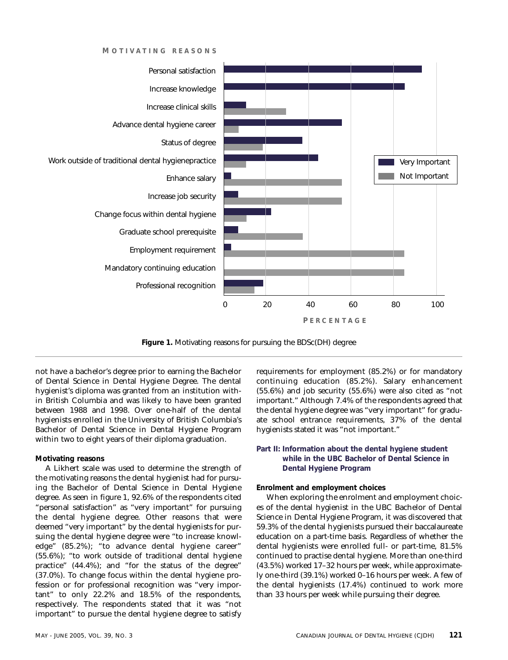**M OTIVATING REASONS**



**Figure 1.** Motivating reasons for pursuing the BDSc(DH) degree

not have a bachelor's degree prior to earning the Bachelor of Dental Science in Dental Hygiene Degree. The dental hygienist's diploma was granted from an institution within British Columbia and was likely to have been granted between 1988 and 1998. Over one-half of the dental hygienists enrolled in the University of British Columbia's Bachelor of Dental Science in Dental Hygiene Program within two to eight years of their diploma graduation.

#### **Motivating reasons**

A Likhert scale was used to determine the strength of the motivating reasons the dental hygienist had for pursuing the Bachelor of Dental Science in Dental Hygiene degree. As seen in figure 1, 92.6% of the respondents cited "personal satisfaction" as "very important" for pursuing the dental hygiene degree. Other reasons that were deemed "very important" by the dental hygienists for pursuing the dental hygiene degree were "to increase knowledge" (85.2%); "to advance dental hygiene career" (55.6%); "to work outside of traditional dental hygiene practice" (44.4%); and "for the status of the degree" (37.0%). To change focus within the dental hygiene profession or for professional recognition was "very important" to only 22.2% and 18.5% of the respondents, respectively. The respondents stated that it was "not important" to pursue the dental hygiene degree to satisfy

requirements for employment (85.2%) or for mandatory continuing education (85.2%). Salary enhancement (55.6%) and job security (55.6%) were also cited as "not important." Although 7.4% of the respondents agreed that the dental hygiene degree was "very important" for graduate school entrance requirements, 37% of the dental hygienists stated it was "not important."

#### **Part II: Information about the dental hygiene student while in the UBC Bachelor of Dental Science in Dental Hygiene Program**

#### **Enrolment and employment choices**

When exploring the enrolment and employment choices of the dental hygienist in the UBC Bachelor of Dental Science in Dental Hygiene Program, it was discovered that 59.3% of the dental hygienists pursued their baccalaureate education on a part-time basis. Regardless of whether the dental hygienists were enrolled full- or part-time, 81.5% continued to practise dental hygiene. More than one-third (43.5%) worked 17–32 hours per week, while approximately one-third (39.1%) worked 0–16 hours per week. A few of the dental hygienists (17.4%) continued to work more than 33 hours per week while pursuing their degree.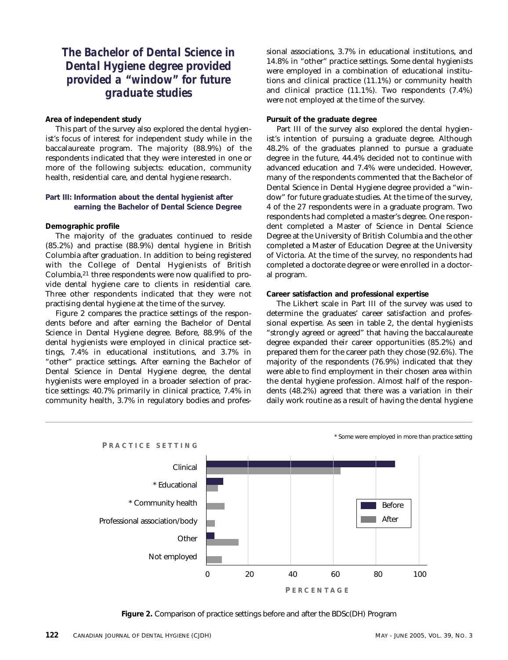### *The Bachelor of Dental Science in Dental Hygiene degree provided provided a "window" for future graduate studies*

#### **Area of independent study**

This part of the survey also explored the dental hygienist's focus of interest for independent study while in the baccalaureate program. The majority (88.9%) of the respondents indicated that they were interested in one or more of the following subjects: education, community health, residential care, and dental hygiene research.

#### **Part III: Information about the dental hygienist after earning the Bachelor of Dental Science Degree**

#### **Demographic profile**

The majority of the graduates continued to reside (85.2%) and practise (88.9%) dental hygiene in British Columbia after graduation. In addition to being registered with the College of Dental Hygienists of British Columbia,21 three respondents were now qualified to provide dental hygiene care to clients in residential care. Three other respondents indicated that they were not practising dental hygiene at the time of the survey.

Figure 2 compares the practice settings of the respondents before and after earning the Bachelor of Dental Science in Dental Hygiene degree. Before, 88.9% of the dental hygienists were employed in clinical practice settings, 7.4% in educational institutions, and 3.7% in "other" practice settings. After earning the Bachelor of Dental Science in Dental Hygiene degree, the dental hygienists were employed in a broader selection of practice settings: 40.7% primarily in clinical practice, 7.4% in community health, 3.7% in regulatory bodies and professional associations, 3.7% in educational institutions, and 14.8% in "other" practice settings. Some dental hygienists were employed in a combination of educational institutions and clinical practice (11.1%) or community health and clinical practice (11.1%). Two respondents (7.4%) were not employed at the time of the survey.

#### **Pursuit of the graduate degree**

Part III of the survey also explored the dental hygienist's intention of pursuing a graduate degree. Although 48.2% of the graduates planned to pursue a graduate degree in the future, 44.4% decided not to continue with advanced education and 7.4% were undecided. However, many of the respondents commented that the Bachelor of Dental Science in Dental Hygiene degree provided a "window" for future graduate studies. At the time of the survey, 4 of the 27 respondents were in a graduate program. Two respondents had completed a master's degree. One respondent completed a Master of Science in Dental Science Degree at the University of British Columbia and the other completed a Master of Education Degree at the University of Victoria. At the time of the survey, no respondents had completed a doctorate degree or were enrolled in a doctoral program.

#### **Career satisfaction and professional expertise**

The Likhert scale in Part III of the survey was used to determine the graduates' career satisfaction and professional expertise. As seen in table 2, the dental hygienists "strongly agreed or agreed" that having the baccalaureate degree expanded their career opportunities (85.2%) and prepared them for the career path they chose (92.6%). The majority of the respondents (76.9%) indicated that they were able to find employment in their chosen area within the dental hygiene profession. Almost half of the respondents (48.2%) agreed that there was a variation in their daily work routine as a result of having the dental hygiene



\* Some were employed in more than practice setting

**Figure 2.** Comparison of practice settings before and after the BDSc(DH) Program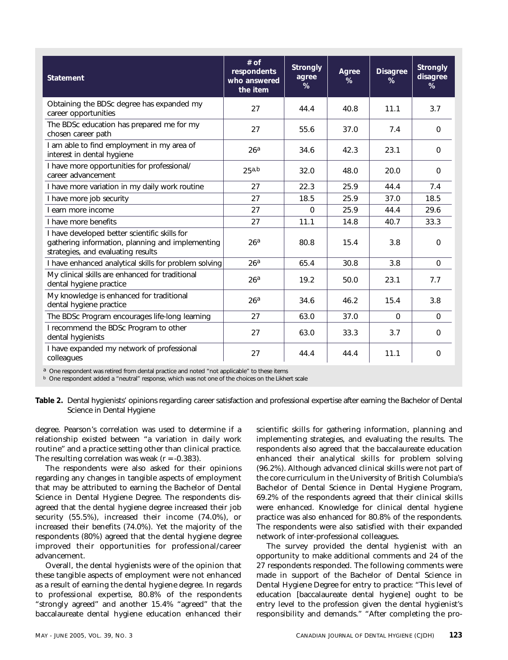| <b>Statement</b>                                                                                                                        | $#$ of<br>respondents<br>who answered<br>the item | <b>Strongly</b><br>agree<br>% | Agree<br>% | <b>Disagree</b><br>% | Strongly<br>disagree<br>% |
|-----------------------------------------------------------------------------------------------------------------------------------------|---------------------------------------------------|-------------------------------|------------|----------------------|---------------------------|
| Obtaining the BDSc degree has expanded my<br>career opportunities                                                                       | 27                                                | 44.4                          | 40.8       | 11.1                 | 3.7                       |
| The BDSc education has prepared me for my<br>chosen career path                                                                         | 27                                                | 55.6                          | 37.0       | 7.4                  | $\Omega$                  |
| I am able to find employment in my area of<br>interest in dental hygiene                                                                | 26 <sup>a</sup>                                   | 34.6                          | 42.3       | 23.1                 | $\Omega$                  |
| I have more opportunities for professional/<br>career advancement                                                                       | 25a,b                                             | 32.0                          | 48.0       | 20.0                 | $\Omega$                  |
| I have more variation in my daily work routine                                                                                          | 27                                                | 22.3                          | 25.9       | 44.4                 | 7.4                       |
| I have more job security                                                                                                                | 27                                                | 18.5                          | 25.9       | 37.0                 | 18.5                      |
| I earn more income                                                                                                                      | 27                                                | $\Omega$                      | 25.9       | 44.4                 | 29.6                      |
| I have more benefits                                                                                                                    | 27                                                | 11.1                          | 14.8       | 40.7                 | 33.3                      |
| I have developed better scientific skills for<br>gathering information, planning and implementing<br>strategies, and evaluating results | 26 <sup>a</sup>                                   | 80.8                          | 15.4       | 3.8                  | $\Omega$                  |
| I have enhanced analytical skills for problem solving                                                                                   | 26 <sup>a</sup>                                   | 65.4                          | 30.8       | 3.8                  | $\Omega$                  |
| My clinical skills are enhanced for traditional<br>dental hygiene practice                                                              | 26 <sup>a</sup>                                   | 19.2                          | 50.0       | 23.1                 | 7.7                       |
| My knowledge is enhanced for traditional<br>dental hygiene practice                                                                     | 26 <sup>a</sup>                                   | 34.6                          | 46.2       | 15.4                 | 3.8                       |
| The BDSc Program encourages life-long learning                                                                                          | 27                                                | 63.0                          | 37.0       | $\Omega$             | $\Omega$                  |
| I recommend the BDSc Program to other<br>dental hygienists                                                                              | 27                                                | 63.0                          | 33.3       | 3.7                  | $\Omega$                  |
| I have expanded my network of professional<br>colleagues                                                                                | 27                                                | 44.4                          | 44.4       | 11.1                 | $\mathbf 0$               |

a One respondent was retired from dental practice and noted "not applicable" to these items

<sup>b</sup> One respondent added a "neutral" response, which was not one of the choices on the Likhert scale

**Table 2.** Dental hygienists' opinions regarding career satisfaction and professional expertise after earning the Bachelor of Dental Science in Dental Hygiene

degree. Pearson's correlation was used to determine if a relationship existed between "a variation in daily work routine" and a practice setting other than clinical practice. The resulting correlation was weak  $(r = -0.383)$ .

The respondents were also asked for their opinions regarding any changes in tangible aspects of employment that may be attributed to earning the Bachelor of Dental Science in Dental Hygiene Degree. The respondents disagreed that the dental hygiene degree increased their job security (55.5%), increased their income (74.0%), or increased their benefits (74.0%). Yet the majority of the respondents (80%) agreed that the dental hygiene degree improved their opportunities for professional/career advancement.

Overall, the dental hygienists were of the opinion that these tangible aspects of employment were not enhanced as a result of earning the dental hygiene degree. In regards to professional expertise, 80.8% of the respondents "strongly agreed" and another 15.4% "agreed" that the baccalaureate dental hygiene education enhanced their

scientific skills for gathering information, planning and implementing strategies, and evaluating the results. The respondents also agreed that the baccalaureate education enhanced their analytical skills for problem solving (96.2%). Although advanced clinical skills were not part of the core curriculum in the University of British Columbia's Bachelor of Dental Science in Dental Hygiene Program, 69.2% of the respondents agreed that their clinical skills were enhanced. Knowledge for clinical dental hygiene practice was also enhanced for 80.8% of the respondents. The respondents were also satisfied with their expanded network of inter-professional colleagues.

The survey provided the dental hygienist with an opportunity to make additional comments and 24 of the 27 respondents responded. The following comments were made in support of the Bachelor of Dental Science in Dental Hygiene Degree for entry to practice: "This level of education [baccalaureate dental hygiene] ought to be entry level to the profession given the dental hygienist's responsibility and demands." "After completing the pro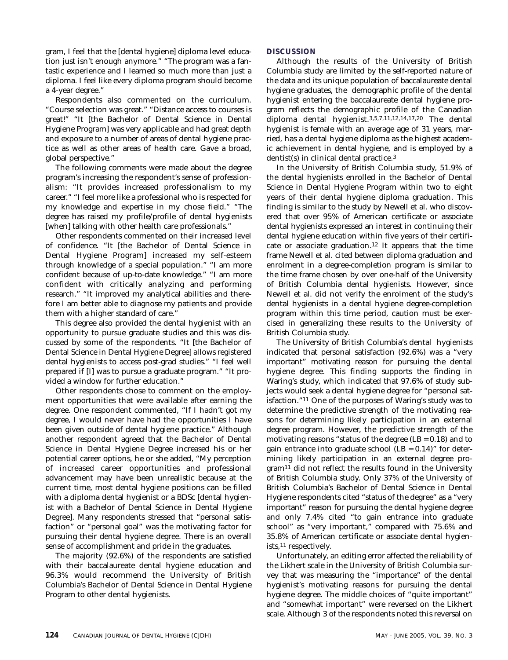gram, I feel that the [dental hygiene] diploma level education just isn't enough anymore." "The program was a fantastic experience and I learned so much more than just a diploma. I feel like every diploma program should become a 4-year degree."

Respondents also commented on the curriculum. "Course selection was great." "Distance access to courses is great!" "It [the Bachelor of Dental Science in Dental Hygiene Program] was very applicable and had great depth and exposure to a number of areas of dental hygiene practice as well as other areas of health care. Gave a broad, global perspective."

The following comments were made about the degree program's increasing the respondent's sense of professionalism: "It provides increased professionalism to my career." "I feel more like a professional who is respected for my knowledge and expertise in my chose field." "The degree has raised my profile/profile of dental hygienists [when] talking with other health care professionals."

Other respondents commented on their increased level of confidence. "It [the Bachelor of Dental Science in Dental Hygiene Program] increased my self-esteem through knowledge of a special population." "I am more confident because of up-to-date knowledge." "I am more confident with critically analyzing and performing research." "It improved my analytical abilities and therefore I am better able to diagnose my patients and provide them with a higher standard of care."

This degree also provided the dental hygienist with an opportunity to pursue graduate studies and this was discussed by some of the respondents. "It [the Bachelor of Dental Science in Dental Hygiene Degree] allows registered dental hygienists to access post-grad studies." "I feel well prepared if [I] was to pursue a graduate program." "It provided a window for further education."

Other respondents chose to comment on the employment opportunities that were available after earning the degree. One respondent commented, "If I hadn't got my degree, I would never have had the opportunities I have been given outside of dental hygiene practice." Although another respondent agreed that the Bachelor of Dental Science in Dental Hygiene Degree increased his or her potential career options, he or she added, "My perception of increased career opportunities and professional advancement may have been unrealistic because at the current time, most dental hygiene positions can be filled with a diploma dental hygienist or a BDSc [dental hygienist with a Bachelor of Dental Science in Dental Hygiene Degree]. Many respondents stressed that "personal satisfaction" or "personal goal" was the motivating factor for pursuing their dental hygiene degree. There is an overall sense of accomplishment and pride in the graduates.

The majority (92.6%) of the respondents are satisfied with their baccalaureate dental hygiene education and 96.3% would recommend the University of British Columbia's Bachelor of Dental Science in Dental Hygiene Program to other dental hygienists.

#### **DISCUSSION**

Although the results of the University of British Columbia study are limited by the self-reported nature of the data and its unique population of baccalaureate dental hygiene graduates, the demographic profile of the dental hygienist entering the baccalaureate dental hygiene program reflects the demographic profile of the Canadian diploma dental hygienist.3,5,7,11,12,14,17,20 The dental hygienist is female with an average age of 31 years, married, has a dental hygiene diploma as the highest academic achievement in dental hygiene, and is employed by a dentist(s) in clinical dental practice.3

In the University of British Columbia study, 51.9% of the dental hygienists enrolled in the Bachelor of Dental Science in Dental Hygiene Program within two to eight years of their dental hygiene diploma graduation. This finding is similar to the study by Newell et al. who discovered that over 95% of American certificate or associate dental hygienists expressed an interest in continuing their dental hygiene education within five years of their certificate or associate graduation.12 It appears that the time frame Newell et al. cited between diploma graduation and enrolment in a degree-completion program is similar to the time frame chosen by over one-half of the University of British Columbia dental hygienists. However, since Newell et al. did not verify the enrolment of the study's dental hygienists in a dental hygiene degree-completion program within this time period, caution must be exercised in generalizing these results to the University of British Columbia study.

The University of British Columbia's dental hygienists indicated that personal satisfaction (92.6%) was a "very important" motivating reason for pursuing the dental hygiene degree. This finding supports the finding in Waring's study, which indicated that 97.6% of study subjects would seek a dental hygiene degree for "personal satisfaction."11 One of the purposes of Waring's study was to determine the predictive strength of the motivating reasons for determining likely participation in an external degree program. However, the predictive strength of the motivating reasons "status of the degree (LB = 0.18) and to gain entrance into graduate school  $(LB = 0.14)$ " for determining likely participation in an external degree program11 did not reflect the results found in the University of British Columbia study. Only 37% of the University of British Columbia's Bachelor of Dental Science in Dental Hygiene respondents cited "status of the degree" as a "very important" reason for pursuing the dental hygiene degree and only 7.4% cited "to gain entrance into graduate school" as "very important," compared with 75.6% and 35.8% of American certificate or associate dental hygienists,11 respectively.

Unfortunately, an editing error affected the reliability of the Likhert scale in the University of British Columbia survey that was measuring the "importance" of the dental hygienist's motivating reasons for pursuing the dental hygiene degree. The middle choices of "quite important" and "somewhat important" were reversed on the Likhert scale. Although 3 of the respondents noted this reversal on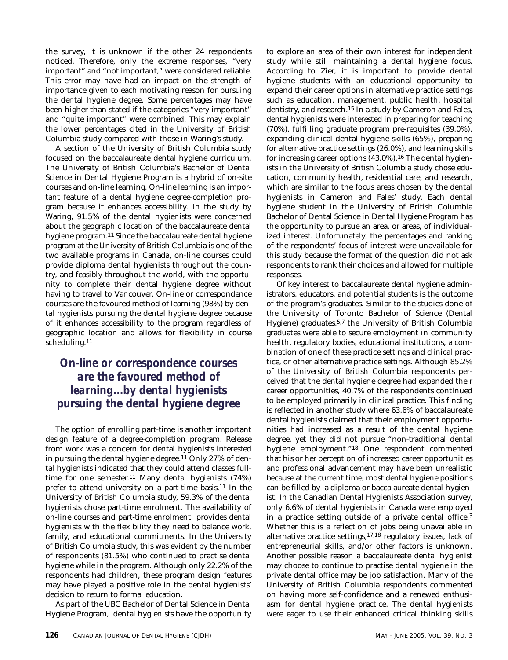the survey, it is unknown if the other 24 respondents noticed. Therefore, only the extreme responses, "very important" and "not important," were considered reliable. This error may have had an impact on the strength of importance given to each motivating reason for pursuing the dental hygiene degree. Some percentages may have been higher than stated if the categories "very important" and "quite important" were combined. This may explain the lower percentages cited in the University of British Columbia study compared with those in Waring's study.

A section of the University of British Columbia study focused on the baccalaureate dental hygiene curriculum. The University of British Columbia's Bachelor of Dental Science in Dental Hygiene Program is a hybrid of on-site courses and on-line learning. On-line learning is an important feature of a dental hygiene degree-completion program because it enhances accessibility. In the study by Waring, 91.5% of the dental hygienists were concerned about the geographic location of the baccalaureate dental hygiene program.11 Since the baccalaureate dental hygiene program at the University of British Columbia is one of the two available programs in Canada, on-line courses could provide diploma dental hygienists throughout the country, and feasibly throughout the world, with the opportunity to complete their dental hygiene degree without having to travel to Vancouver. On-line or correspondence courses are the favoured method of learning (98%) by dental hygienists pursuing the dental hygiene degree because of it enhances accessibility to the program regardless of geographic location and allows for flexibility in course scheduling.11

### *On-line or correspondence courses are the favoured method of learning...by dental hygienists pursuing the dental hygiene degree*

The option of enrolling part-time is another important design feature of a degree-completion program. Release from work was a concern for dental hygienists interested in pursuing the dental hygiene degree.<sup>11</sup> Only 27% of dental hygienists indicated that they could attend classes fulltime for one semester.<sup>11</sup> Many dental hygienists (74%) prefer to attend university on a part-time basis.11 In the University of British Columbia study, 59.3% of the dental hygienists chose part-time enrolment. The availability of on-line courses and part-time enrolment provides dental hygienists with the flexibility they need to balance work, family, and educational commitments. In the University of British Columbia study, this was evident by the number of respondents (81.5%) who continued to practise dental hygiene while in the program. Although only 22.2% of the respondents had children, these program design features may have played a positive role in the dental hygienists' decision to return to formal education.

As part of the UBC Bachelor of Dental Science in Dental Hygiene Program, dental hygienists have the opportunity to explore an area of their own interest for independent study while still maintaining a dental hygiene focus. According to Zier, it is important to provide dental hygiene students with an educational opportunity to expand their career options in alternative practice settings such as education, management, public health, hospital dentistry, and research.15 In a study by Cameron and Fales, dental hygienists were interested in preparing for teaching (70%), fulfilling graduate program pre-requisites (39.0%), expanding clinical dental hygiene skills (65%), preparing for alternative practice settings (26.0%), and learning skills for increasing career options (43.0%).<sup>16</sup> The dental hygienists in the University of British Columbia study chose education, community health, residential care, and research, which are similar to the focus areas chosen by the dental hygienists in Cameron and Fales' study. Each dental hygiene student in the University of British Columbia Bachelor of Dental Science in Dental Hygiene Program has the opportunity to pursue an area, or areas, of individualized interest. Unfortunately, the percentages and ranking of the respondents' focus of interest were unavailable for this study because the format of the question did not ask respondents to rank their choices and allowed for multiple responses.

Of key interest to baccalaureate dental hygiene administrators, educators, and potential students is the outcome of the program's graduates. Similar to the studies done of the University of Toronto Bachelor of Science (Dental Hygiene) graduates,5,7 the University of British Columbia graduates were able to secure employment in community health, regulatory bodies, educational institutions, a combination of one of these practice settings and clinical practice, or other alternative practice settings. Although 85.2% of the University of British Columbia respondents perceived that the dental hygiene degree had expanded their career opportunities, 40.7% of the respondents continued to be employed primarily in clinical practice. This finding is reflected in another study where 63.6% of baccalaureate dental hygienists claimed that their employment opportunities had increased as a result of the dental hygiene degree, yet they did not pursue "non-traditional dental hygiene employment."18 One respondent commented that his or her perception of increased career opportunities and professional advancement may have been unrealistic because at the current time, most dental hygiene positions can be filled by a diploma or baccalaureate dental hygienist. In the Canadian Dental Hygienists Association survey, only 6.6% of dental hygienists in Canada were employed in a practice setting outside of a private dental office.3 Whether this is a reflection of jobs being unavailable in alternative practice settings,17,18 regulatory issues, lack of entrepreneurial skills, and/or other factors is unknown. Another possible reason a baccalaureate dental hygienist may choose to continue to practise dental hygiene in the private dental office may be job satisfaction. Many of the University of British Columbia respondents commented on having more self-confidence and a renewed enthusiasm for dental hygiene practice. The dental hygienists were eager to use their enhanced critical thinking skills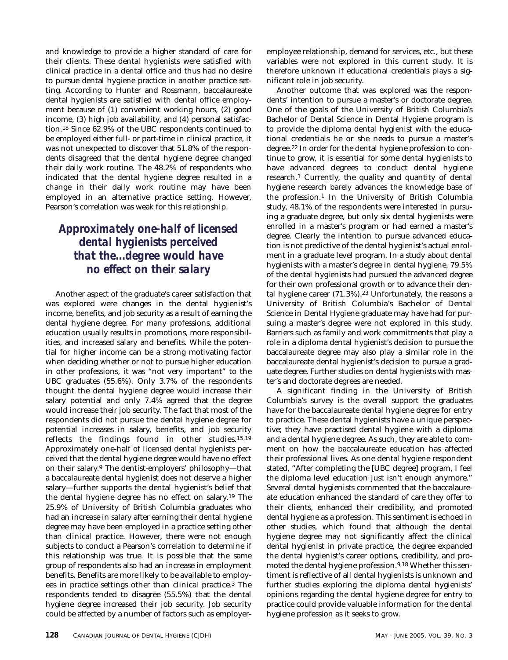and knowledge to provide a higher standard of care for their clients. These dental hygienists were satisfied with clinical practice in a dental office and thus had no desire to pursue dental hygiene practice in another practice setting. According to Hunter and Rossmann, baccalaureate dental hygienists are satisfied with dental office employment because of (1) convenient working hours, (2) good income, (3) high job availability, and (4) personal satisfaction.18 Since 62.9% of the UBC respondents continued to be employed either full- or part-time in clinical practice, it was not unexpected to discover that 51.8% of the respondents disagreed that the dental hygiene degree changed their daily work routine. The 48.2% of respondents who indicated that the dental hygiene degree resulted in a change in their daily work routine may have been employed in an alternative practice setting. However, Pearson's correlation was weak for this relationship.

## *Approximately one-half of licensed dental hygienists perceived that the...degree would have no effect on their salary*

Another aspect of the graduate's career satisfaction that was explored were changes in the dental hygienist's income, benefits, and job security as a result of earning the dental hygiene degree. For many professions, additional education usually results in promotions, more responsibilities, and increased salary and benefits. While the potential for higher income can be a strong motivating factor when deciding whether or not to pursue higher education in other professions, it was "not very important" to the UBC graduates (55.6%). Only 3.7% of the respondents thought the dental hygiene degree would increase their salary potential and only 7.4% agreed that the degree would increase their job security. The fact that most of the respondents did not pursue the dental hygiene degree for potential increases in salary, benefits, and job security reflects the findings found in other studies.15,19 Approximately one-half of licensed dental hygienists perceived that the dental hygiene degree would have no effect on their salary.9 The dentist-employers' philosophy—that a baccalaureate dental hygienist does not deserve a higher salary—further supports the dental hygienist's belief that the dental hygiene degree has no effect on salary.19 The 25.9% of University of British Columbia graduates who had an increase in salary after earning their dental hygiene degree may have been employed in a practice setting other than clinical practice. However, there were not enough subjects to conduct a Pearson's correlation to determine if this relationship was true. It is possible that the same group of respondents also had an increase in employment benefits. Benefits are more likely to be available to employees in practice settings other than clinical practice.3 The respondents tended to disagree (55.5%) that the dental hygiene degree increased their job security. Job security could be affected by a number of factors such as employeremployee relationship, demand for services, etc., but these variables were not explored in this current study. It is therefore unknown if educational credentials plays a significant role in job security.

Another outcome that was explored was the respondents' intention to pursue a master's or doctorate degree. One of the goals of the University of British Columbia's Bachelor of Dental Science in Dental Hygiene program is to provide the diploma dental hygienist with the educational credentials he or she needs to pursue a master's degree.22 In order for the dental hygiene profession to continue to grow, it is essential for some dental hygienists to have advanced degrees to conduct dental hygiene research.1 Currently, the quality and quantity of dental hygiene research barely advances the knowledge base of the profession.1 In the University of British Columbia study, 48.1% of the respondents were interested in pursuing a graduate degree, but only six dental hygienists were enrolled in a master's program or had earned a master's degree. Clearly the intention to pursue advanced education is not predictive of the dental hygienist's actual enrolment in a graduate level program. In a study about dental hygienists with a master's degree in dental hygiene, 79.5% of the dental hygienists had pursued the advanced degree for their own professional growth or to advance their dental hygiene career  $(71.3\%)$ .<sup>23</sup> Unfortunately, the reasons a University of British Columbia's Bachelor of Dental Science in Dental Hygiene graduate may have had for pursuing a master's degree were not explored in this study. Barriers such as family and work commitments that play a role in a diploma dental hygienist's decision to pursue the baccalaureate degree may also play a similar role in the baccalaureate dental hygienist's decision to pursue a graduate degree. Further studies on dental hygienists with master's and doctorate degrees are needed.

A significant finding in the University of British Columbia's survey is the overall support the graduates have for the baccalaureate dental hygiene degree for entry to practice. These dental hygienists have a unique perspective; they have practised dental hygiene with a diploma and a dental hygiene degree. As such, they are able to comment on how the baccalaureate education has affected their professional lives. As one dental hygiene respondent stated, "After completing the [UBC degree] program, I feel the diploma level education just isn't enough anymore." Several dental hygienists commented that the baccalaureate education enhanced the standard of care they offer to their clients, enhanced their credibility, and promoted dental hygiene as a profession. This sentiment is echoed in other studies, which found that although the dental hygiene degree may not significantly affect the clinical dental hygienist in private practice, the degree expanded the dental hygienist's career options, credibility, and promoted the dental hygiene profession.9,18 Whether this sentiment is reflective of all dental hygienists is unknown and further studies exploring the diploma dental hygienists' opinions regarding the dental hygiene degree for entry to practice could provide valuable information for the dental hygiene profession as it seeks to grow.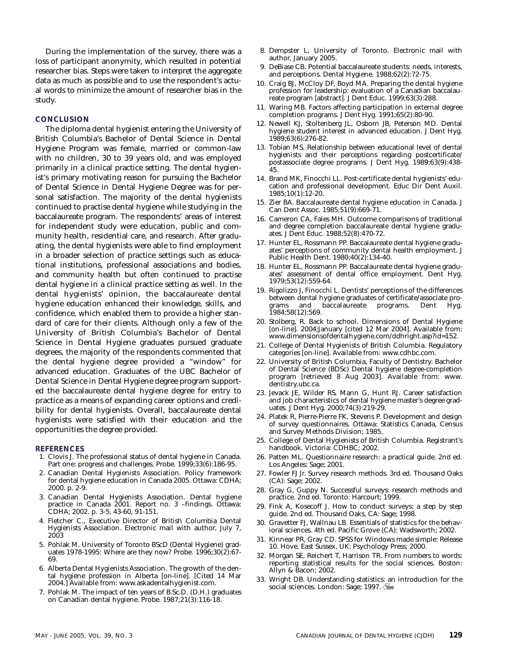During the implementation of the survey, there was a loss of participant anonymity, which resulted in potential researcher bias. Steps were taken to interpret the aggregate data as much as possible and to use the respondent's actual words to minimize the amount of researcher bias in the study.

#### **CONCLUSION**

The diploma dental hygienist entering the University of British Columbia's Bachelor of Dental Science in Dental Hygiene Program was female, married or common-law with no children, 30 to 39 years old, and was employed primarily in a clinical practice setting. The dental hygienist's primary motivating reason for pursuing the Bachelor of Dental Science in Dental Hygiene Degree was for personal satisfaction. The majority of the dental hygienists continued to practise dental hygiene while studying in the baccalaureate program. The respondents' areas of interest for independent study were education, public and community health, residential care, and research. After graduating, the dental hygienists were able to find employment in a broader selection of practice settings such as educational institutions, professional associations and bodies, and community health but often continued to practise dental hygiene in a clinical practice setting as well. In the dental hygienists' opinion, the baccalaureate dental hygiene education enhanced their knowledge, skills, and confidence, which enabled them to provide a higher standard of care for their clients. Although only a few of the University of British Columbia's Bachelor of Dental Science in Dental Hygiene graduates pursued graduate degrees, the majority of the respondents commented that the dental hygiene degree provided a "window" for advanced education. Graduates of the UBC Bachelor of Dental Science in Dental Hygiene degree program supported the baccalaureate dental hygiene degree for entry to practice as a means of expanding career options and credibility for dental hygienists. Overall, baccalaureate dental hygienists were satisfied with their education and the opportunities the degree provided.

#### **REFERENCES**

- 1. Clovis J. The professional status of dental hygiene in Canada. Part one: progress and challenges. Probe. 1999;33(6):186-95.
- 2. Canadian Dental Hygienists Association. Policy framework for dental hygiene education in Canada 2005. Ottawa: CDHA; 2000. p. 2-9.
- 3. Canadian Dental Hygienists Association. Dental hygiene practice in Canada 2001. Report no. 3 –findings. Ottawa: CDHA; 2002. p. 3-5, 43-60, 91-151.
- 4. Fletcher C., Executive Director of British Columbia Dental Hygienists Association. Electronic mail with author, July 7, 2003
- 5. Pohlak M. University of Toronto BScD (Dental Hygiene) graduates 1978-1995: Where are they now? Probe. 1996;30(2):67- 69.
- 6. Alberta Dental Hygienists Association. The growth of the dental hygiene profession in Alberta [on-line]. [Cited 14 Mar 2004.] Available from: www.askadentalhygienist.com.
- 7. Pohlak M. The impact of ten years of B.Sc.D. (D.H.) graduates on Canadian dental hygiene. Probe. 1987;21(3):116-18.
- 8. Dempster L, University of Toronto. Electronic mail with author, January 2005.
- 9. DeBiase CB. Potential baccalaureate students: needs, interests, and perceptions. Dental Hygiene. 1988;62(2):72-75.
- 10. Craig BJ, McCloy DF, Boyd MA. Preparing the dental hygiene profession for leadership: evaluation of a Canadian baccalaureate program [abstract]. J Dent Educ. 1999;63(3):288.
- 11. Waring MB. Factors affecting participation in external degree completion programs. J Dent Hyg. 1991;65(2):80-90.
- 12. Newell KJ, Stoltenberg JL, Osborn JB, Peterson MD. Dental hygiene student interest in advanced education. J Dent Hyg. 1989;63(6):276-82.
- 13. Tobian MS. Relationship between educational level of dental hygienists and their perceptions regarding postcertificate/ postassociate degree programs. J Dent Hyg. 1989;63(9):438- 45.
- 14. Brand MK, Finocchi LL. Post-certificate dental hygienists' education and professional development. Educ Dir Dent Auxil. 1985;10(1):12-20.
- 15. Zier BA. Baccalaureate dental hygiene education in Canada. J Can Dent Assoc. 1985;51(9):669-71.
- 16. Cameron CA, Fales MH. Outcome comparisons of traditional and degree completion baccalaureate dental hygiene graduates. J Dent Educ. 1988;52(8):470-72.
- 17. Hunter EL, Rossmann PP. Baccalaureate dental hygiene graduates' perceptions of community dental health employment. J Public Health Dent. 1980;40(2):134-40.
- 18. Hunter EL, Rossmann PP. Baccalaureate dental hygiene graduates' assessment of dental office employment. Dent Hyg. 1979;53(12):559-64.
- 19. Rigolizzo J, Finocchi L. Dentists' perceptions of the differences between dental hygiene graduates of certificate/associate programs and baccalaureate programs. Dent Hyg. 1984;58(12):569.
- 20. Stolberg, R. Back to school. Dimensions of Dental Hygiene [on-line]. 2004;January [cited 12 Mar 2004]. Available from: www.dimensionsofdentalhygiene.com/ddhright.asp?id=152.
- 21. College of Dental Hygienists of British Columbia. Regulatory categories [on-line]. Available from: www.cdhbc.com.
- 22. University of British Columbia, Faculty of Dentistry. Bachelor of Dental Science (BDSc) Dental hygiene degree-completion program [retrieved 8 Aug 2003]. Available from: www. dentistry.ubc.ca.
- 23. Jevack JE, Wilder RS, Mann G, Hunt RJ. Career satisfaction and job characteristics of dental hygiene master's degree graduates. J Dent Hyg. 2000;74(3):219-29.
- 24. Platek R, Pierre-Pierre FK, Stevens P. Development and design of survey questionnaires. Ottawa: Statistics Canada, Census and Survey Methods Division; 1985.
- 25. College of Dental Hygienists of British Columbia. Registrant's handbook. Victoria: CDHBC; 2002.
- 26. Patten ML. Questionnaire research: a practical guide. 2nd ed. Los Angeles: Sage; 2001.
- 27. Fowler FJ Jr. Survey research methods. 3rd ed. Thousand Oaks (CA): Sage; 2002.
- 28. Gray G, Guppy N. Successful surveys: research methods and practice. 2nd ed. Toronto: Harcourt; 1999.
- 29. Fink A, Kosecoff J. How to conduct surveys: a step by step guide. 2nd ed. Thousand Oaks, CA: Sage; 1998.
- 30. Gravetter FJ, Wallnau LB. Essentials of statistics for the behavioral sciences. 4th ed. Pacific Grove (CA): Wadsworth; 2002.
- 31. Kinnear PR, Gray CD. SPSS for Windows made simple: Release 10. Hove, East Sussex, UK: Psychology Press; 2000.
- 32. Morgan SE, Reichert T, Harrison TR. From numbers to words: reporting statistical results for the social sciences. Boston: Allyn & Bacon; 2002.
- 33. Wright DB. Understanding statistics: an introduction for the social sciences. London: Sage; 1997.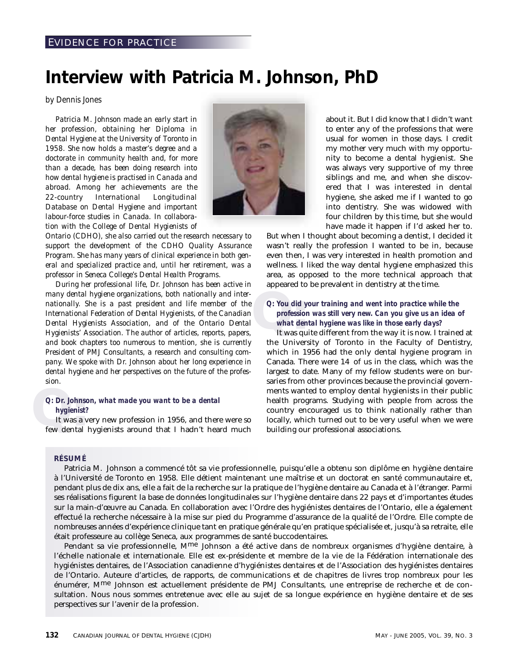#### EVIDENCE FOR PRACTICE

## **Interview with Patricia M. Johnson, PhD**

#### *by Dennis Jones*

*Patricia M. Johnson made an early start in her profession, obtaining her Diploma in Dental Hygiene at the University of Toronto in 1958. She now holds a master's degree and a doctorate in community health and, for more than a decade, has been doing research into how dental hygiene is practised in Canada and abroad. Among her achievements are the 22-country International Longitudinal Database on Dental Hygiene and important labour-force studies in Canada. In collaboration with the College of Dental Hygienists of*



*Ontario (CDHO), she also carried out the research necessary to support the development of the CDHO Quality Assurance Program. She has many years of clinical experience in both general and specialized practice and, until her retirement, was a professor in Seneca College's Dental Health Programs.*

*During her professional life, Dr. Johnson has been active in many dental hygiene organizations, both nationally and internationally. She is a past president and life member of the International Federation of Dental Hygienists, of the Canadian Dental Hygienists Association, and of the Ontario Dental Hygienists' Association. The author of articles, reports, papers, and book chapters too numerous to mention, she is currently President of PMJ Consultants, a research and consulting company. We spoke with Dr. Johnson about her long experience in dental hygiene and her perspectives on the future of the profession.*

#### *Q: Dr. Johnson, what made you want to be a dental hygienist?*

*Q: Dr. Johnson, what made you want to be a dental hygienist?*<br>It was a very new profession in 1956, and there were so few dental hygienists around that I hadn't heard much It was a very new profession in 1956, and there were so

about it. But I did know that I didn't want to enter any of the professions that were usual for women in those days. I credit my mother very much with my opportunity to become a dental hygienist. She was always very supportive of my three siblings and me, and when she discovered that I was interested in dental hygiene, she asked me if I wanted to go into dentistry. She was widowed with four children by this time, but she would have made it happen if I'd asked her to.

But when I thought about becoming a dentist, I decided it wasn't really the profession I wanted to be in, because even then, I was very interested in health promotion and wellness. I liked the way dental hygiene emphasized this area, as opposed to the more technical approach that appeared to be prevalent in dentistry at the time.

*Q:* You did y<br>profession<br>what del<br>It was qu *Q: You did your training and went into practice while the profession was still very new. Can you give us an idea of what dental hygiene was like in those early days?*

It was quite different from the way it is now. I trained at the University of Toronto in the Faculty of Dentistry, which in 1956 had the only dental hygiene program in Canada. There were 14 of us in the class, which was the largest to date. Many of my fellow students were on bursaries from other provinces because the provincial governments wanted to employ dental hygienists in their public health programs. Studying with people from across the country encouraged us to think nationally rather than locally, which turned out to be very useful when we were building our professional associations.

#### **RÉSUMÉ**

Patricia M. Johnson a commencé tôt sa vie professionnelle, puisqu'elle a obtenu son diplôme en hygiène dentaire à l'Université de Toronto en 1958. Elle détient maintenant une maîtrise et un doctorat en santé communautaire et, pendant plus de dix ans, elle a fait de la recherche sur la pratique de l'hygiène dentaire au Canada et à l'étranger. Parmi ses réalisations figurent la base de données longitudinales sur l'hygiène dentaire dans 22 pays et d'importantes études sur la main-d'œuvre au Canada. En collaboration avec l'Ordre des hygiénistes dentaires de l'Ontario, elle a également effectué la recherche nécessaire à la mise sur pied du Programme d'assurance de la qualité de l'Ordre. Elle compte de nombreuses années d'expérience clinique tant en pratique générale qu'en pratique spécialisée et, jusqu'à sa retraite, elle était professeure au collège Seneca, aux programmes de santé buccodentaires.

Pendant sa vie professionnelle, M<sup>me</sup> Johnson a été active dans de nombreux organismes d'hygiène dentaire, à l'échelle nationale et internationale. Elle est ex-présidente et membre de la vie de la Fédération internationale des hygiénistes dentaires, de l'Association canadienne d'hygiénistes dentaires et de l'Association des hygiénistes dentaires de l'Ontario. Auteure d'articles, de rapports, de communications et de chapitres de livres trop nombreux pour les énumérer, Mme Johnson est actuellement présidente de PMJ Consultants, une entreprise de recherche et de consultation. Nous nous sommes entretenue avec elle au sujet de sa longue expérience en hygiène dentaire et de ses perspectives sur l'avenir de la profession.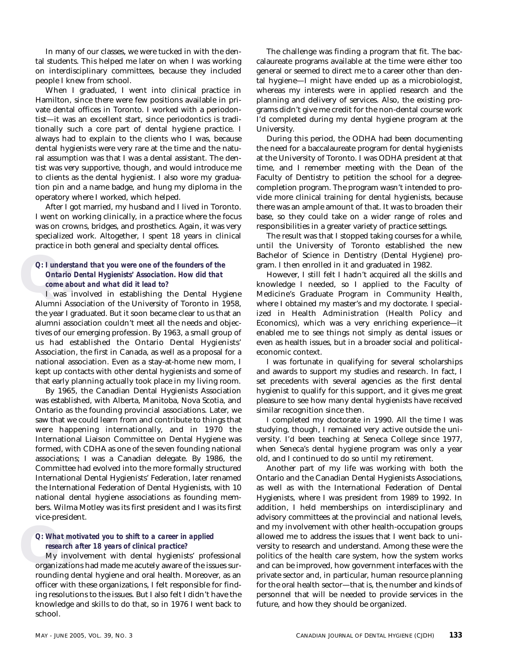In many of our classes, we were tucked in with the dental students. This helped me later on when I was working on interdisciplinary committees, because they included people I knew from school.

When I graduated, I went into clinical practice in Hamilton, since there were few positions available in private dental offices in Toronto. I worked with a periodontist—it was an excellent start, since periodontics is traditionally such a core part of dental hygiene practice. I always had to explain to the clients who I was, because dental hygienists were very rare at the time and the natural assumption was that I was a dental assistant. The dentist was very supportive, though, and would introduce me to clients as the dental hygienist. I also wore my graduation pin and a name badge, and hung my diploma in the operatory where I worked, which helped.

After I got married, my husband and I lived in Toronto. I went on working clinically, in a practice where the focus was on crowns, bridges, and prosthetics. Again, it was very specialized work. Altogether, I spent 18 years in clinical practice in both general and specialty dental offices.

### *Q: l* unders<br> *Ontario*<br> *come al*<br> *I* was i *Q: I understand that you were one of the founders of the Ontario Dental Hygienists' Association. How did that come about and what did it lead to?*

I was involved in establishing the Dental Hygiene Alumni Association of the University of Toronto in 1958, the year I graduated. But it soon became clear to us that an alumni association couldn't meet all the needs and objectives of our emerging profession. By 1963, a small group of us had established the Ontario Dental Hygienists' Association, the first in Canada, as well as a proposal for a national association. Even as a stay-at-home new mom, I kept up contacts with other dental hygienists and some of that early planning actually took place in my living room.

By 1965, the Canadian Dental Hygienists Association was established, with Alberta, Manitoba, Nova Scotia, and Ontario as the founding provincial associations. Later, we saw that we could learn from and contribute to things that were happening internationally, and in 1970 the International Liaison Committee on Dental Hygiene was formed, with CDHA as one of the seven founding national associations; I was a Canadian delegate. By 1986, the Committee had evolved into the more formally structured International Dental Hygienists' Federation, later renamed the International Federation of Dental Hygienists, with 10 national dental hygiene associations as founding members. Wilma Motley was its first president and I was its first vice-president.

#### *Q: What motivated you to shift to a career in applied research after 18 years of clinical practice?*

*Q:* What m<br>research<br>My inv<br>organization My involvement with dental hygienists' professional organizations had made me acutely aware of the issues surrounding dental hygiene and oral health. Moreover, as an officer with these organizations, I felt responsible for finding resolutions to the issues. But I also felt I didn't have the knowledge and skills to do that, so in 1976 I went back to school.

The challenge was finding a program that fit. The baccalaureate programs available at the time were either too general or seemed to direct me to a career other than dental hygiene—I might have ended up as a microbiologist, whereas my interests were in applied research and the planning and delivery of services. Also, the existing programs didn't give me credit for the non-dental course work I'd completed during my dental hygiene program at the University.

During this period, the ODHA had been documenting the need for a baccalaureate program for dental hygienists at the University of Toronto. I was ODHA president at that time, and I remember meeting with the Dean of the Faculty of Dentistry to petition the school for a degreecompletion program. The program wasn't intended to provide more clinical training for dental hygienists, because there was an ample amount of that. It was to broaden their base, so they could take on a wider range of roles and responsibilities in a greater variety of practice settings.

The result was that I stopped taking courses for a while, until the University of Toronto established the new Bachelor of Science in Dentistry (Dental Hygiene) program. I then enrolled in it and graduated in 1982.

However, I still felt I hadn't acquired all the skills and knowledge I needed, so I applied to the Faculty of Medicine's Graduate Program in Community Health, where I obtained my master's and my doctorate. I specialized in Health Administration (Health Policy and Economics), which was a very enriching experience—it enabled me to see things not simply as dental issues or even as health issues, but in a broader social and politicaleconomic context.

I was fortunate in qualifying for several scholarships and awards to support my studies and research. In fact, I set precedents with several agencies as the first dental hygienist to qualify for this support, and it gives me great pleasure to see how many dental hygienists have received similar recognition since then.

I completed my doctorate in 1990. All the time I was studying, though, I remained very active outside the university. I'd been teaching at Seneca College since 1977, when Seneca's dental hygiene program was only a year old, and I continued to do so until my retirement.

Another part of my life was working with both the Ontario and the Canadian Dental Hygienists Associations, as well as with the International Federation of Dental Hygienists, where I was president from 1989 to 1992. In addition, I held memberships on interdisciplinary and advisory committees at the provincial and national levels, and my involvement with other health-occupation groups allowed me to address the issues that I went back to university to research and understand. Among these were the politics of the health care system, how the system works and can be improved, how government interfaces with the private sector and, in particular, human resource planning for the oral health sector—that is, the number and kinds of personnel that will be needed to provide services in the future, and how they should be organized.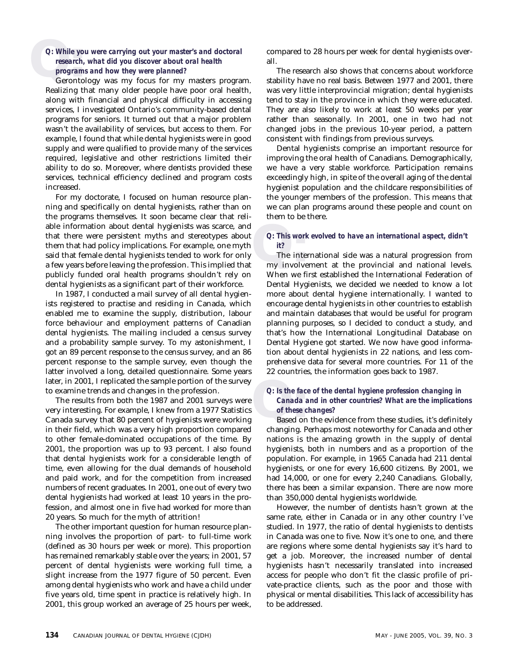### *Q: While your esearch*<br>*progran*<br>**Geronton** *Q: While you were carrying out your master's and doctoral research, what did you discover about oral health programs and how they were planned?*

Gerontology was my focus for my masters program. Realizing that many older people have poor oral health, along with financial and physical difficulty in accessing services, I investigated Ontario's community-based dental programs for seniors. It turned out that a major problem wasn't the availability of services, but access to them. For example, I found that while dental hygienists were in good supply and were qualified to provide many of the services required, legislative and other restrictions limited their ability to do so. Moreover, where dentists provided these services, technical efficiency declined and program costs increased.

For my doctorate, I focused on human resource planning and specifically on dental hygienists, rather than on the programs themselves. It soon became clear that reliable information about dental hygienists was scarce, and that there were persistent myths and stereotypes about them that had policy implications. For example, one myth said that female dental hygienists tended to work for only a few years before leaving the profession. This implied that publicly funded oral health programs shouldn't rely on dental hygienists as a significant part of their workforce.

In 1987, I conducted a mail survey of all dental hygienists registered to practise and residing in Canada, which enabled me to examine the supply, distribution, labour force behaviour and employment patterns of Canadian dental hygienists. The mailing included a census survey and a probability sample survey. To my astonishment, I got an 89 percent response to the census survey, and an 86 percent response to the sample survey, even though the latter involved a long, detailed questionnaire. Some years later, in 2001, I replicated the sample portion of the survey to examine trends and changes in the profession.

The results from both the 1987 and 2001 surveys were very interesting. For example, I knew from a 1977 Statistics Canada survey that 80 percent of hygienists were working in their field, which was a very high proportion compared to other female-dominated occupations of the time. By 2001, the proportion was up to 93 percent. I also found that dental hygienists work for a considerable length of time, even allowing for the dual demands of household and paid work, and for the competition from increased numbers of recent graduates. In 2001, one out of every two dental hygienists had worked at least 10 years in the profession, and almost one in five had worked for more than 20 years. So much for the myth of attrition!

The other important question for human resource planning involves the proportion of part- to full-time work (defined as 30 hours per week or more). This proportion has remained remarkably stable over the years; in 2001, 57 percent of dental hygienists were working full time, a slight increase from the 1977 figure of 50 percent. Even among dental hygienists who work and have a child under five years old, time spent in practice is relatively high. In 2001, this group worked an average of 25 hours per week, compared to 28 hours per week for dental hygienists overall.

The research also shows that concerns about workforce stability have no real basis. Between 1977 and 2001, there was very little interprovincial migration; dental hygienists tend to stay in the province in which they were educated. They are also likely to work at least 50 weeks per year rather than seasonally. In 2001, one in two had not changed jobs in the previous 10-year period, a pattern consistent with findings from previous surveys.

Dental hygienists comprise an important resource for improving the oral health of Canadians. Demographically, we have a very stable workforce. Participation remains exceedingly high, in spite of the overall aging of the dental hygienist population and the childcare responsibilities of the younger members of the profession. This means that we can plan programs around these people and count on them to be there.

#### *Q: This work evolved to have an international aspect, didn't it?*

*Q:* This work evolved to have an international aspect, didn't<br>
it?<br>
The international side was a natural progression from<br>
my involvement at the provincial and national levels.<br>
When When the latter discussion from The international side was a natural progression from When we first established the International Federation of Dental Hygienists, we decided we needed to know a lot more about dental hygiene internationally. I wanted to encourage dental hygienists in other countries to establish and maintain databases that would be useful for program planning purposes, so I decided to conduct a study, and that's how the International Longitudinal Database on Dental Hygiene got started. We now have good information about dental hygienists in 22 nations, and less comprehensive data for several more countries. For 11 of the 22 countries, the information goes back to 1987.

### *Q: Is the face Canada*<br>*of these*<br>Based or *Q: Is the face of the dental hygiene profession changing in Canada and in other countries? What are the implications of these changes?*

Based on the evidence from these studies, it's definitely changing. Perhaps most noteworthy for Canada and other nations is the amazing growth in the supply of dental hygienists, both in numbers and as a proportion of the population. For example, in 1965 Canada had 211 dental hygienists, or one for every 16,600 citizens. By 2001, we had 14,000, or one for every 2,240 Canadians. Globally, there has been a similar expansion. There are now more than 350,000 dental hygienists worldwide.

However, the number of dentists hasn't grown at the same rate, either in Canada or in any other country I've studied. In 1977, the ratio of dental hygienists to dentists in Canada was one to five. Now it's one to one, and there are regions where some dental hygienists say it's hard to get a job. Moreover, the increased number of dental hygienists hasn't necessarily translated into increased access for people who don't fit the classic profile of private-practice clients, such as the poor and those with physical or mental disabilities. This lack of accessibility has to be addressed.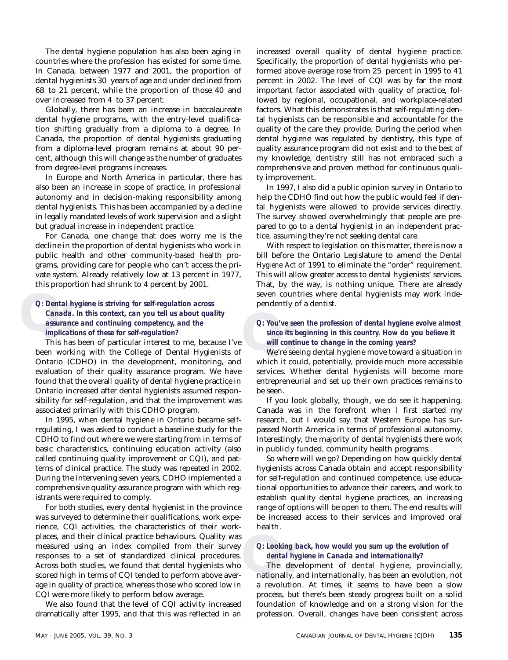The dental hygiene population has also been aging in countries where the profession has existed for some time. In Canada, between 1977 and 2001, the proportion of dental hygienists 30 years of age and under declined from 68 to 21 percent, while the proportion of those 40 and over increased from 4 to 37 percent.

Globally, there has been an increase in baccalaureate dental hygiene programs, with the entry-level qualification shifting gradually from a diploma to a degree. In Canada, the proportion of dental hygienists graduating from a diploma-level program remains at about 90 percent, although this will change as the number of graduates from degree-level programs increases.

In Europe and North America in particular, there has also been an increase in scope of practice, in professional autonomy and in decision-making responsibility among dental hygienists. This has been accompanied by a decline in legally mandated levels of work supervision and a slight but gradual increase in independent practice.

For Canada, one change that does worry me is the decline in the proportion of dental hygienists who work in public health and other community-based health programs, providing care for people who can't access the private system. Already relatively low at 13 percent in 1977, this proportion had shrunk to 4 percent by 2001.

## *Q: Dental hygiene is striving for self-regulation across*<br> *Canada. In this context, can you tell us about quality*<br> *assurance and continuing competency, and the*<br> *Q: You've se*<br> *implications of these for self-regu Q: Dental hygiene is striving for self-regulation across Canada. In this context, can you tell us about quality assurance and continuing competency, and the implications of these for self-regulation?*

This has been of particular interest to me, because I've been working with the College of Dental Hygienists of Ontario (CDHO) in the development, monitoring, and evaluation of their quality assurance program. We have found that the overall quality of dental hygiene practice in Ontario increased after dental hygienists assumed responsibility for self-regulation, and that the improvement was associated primarily with this CDHO program.

In 1995, when dental hygiene in Ontario became selfregulating, I was asked to conduct a baseline study for the CDHO to find out where we were starting from in terms of basic characteristics, continuing education activity (also called continuing quality improvement or CQI), and patterns of clinical practice. The study was repeated in 2002. During the intervening seven years, CDHO implemented a comprehensive quality assurance program with which registrants were required to comply.

For both studies, every dental hygienist in the province was surveyed to determine their qualifications, work experience, CQI activities, the characteristics of their workplaces, and their clinical practice behaviours. Quality was measured using an index compiled from their survey responses to a set of standardized clinical procedures. Across both studies, we found that dental hygienists who scored high in terms of CQI tended to perform above average in quality of practice, whereas those who scored low in CQI were more likely to perform below average.

We also found that the level of CQI activity increased dramatically after 1995, and that this was reflected in an increased overall quality of dental hygiene practice. Specifically, the proportion of dental hygienists who performed above average rose from 25 percent in 1995 to 41 percent in 2002. The level of CQI was by far the most important factor associated with quality of practice, followed by regional, occupational, and workplace-related factors. What this demonstrates is that self-regulating dental hygienists can be responsible and accountable for the quality of the care they provide. During the period when dental hygiene was regulated by dentistry, this type of quality assurance program did not exist and to the best of my knowledge, dentistry still has not embraced such a comprehensive and proven method for continuous quality improvement.

In 1997, I also did a public opinion survey in Ontario to help the CDHO find out how the public would feel if dental hygienists were allowed to provide services directly. The survey showed overwhelmingly that people are prepared to go to a dental hygienist in an independent practice, assuming they're not seeking dental care.

With respect to legislation on this matter, there is now a bill before the Ontario Legislature to amend the *Dental Hygiene Act* of 1991 to eliminate the "order" requirement. This will allow greater access to dental hygienists' services. That, by the way, is nothing unique. There are already seven countries where dental hygienists may work independently of a dentist.

#### *Q: You've seen the profession of dental hygiene evolve almost since its beginning in this country. How do you believe it will continue to change in the coming years?*

We're seeing dental hygiene move toward a situation in which it could, potentially, provide much more accessible services. Whether dental hygienists will become more entrepreneurial and set up their own practices remains to be seen.

If you look globally, though, we do see it happening. Canada was in the forefront when I first started my research, but I would say that Western Europe has surpassed North America in terms of professional autonomy. Interestingly, the majority of dental hygienists there work in publicly funded, community health programs.

So where will we go? Depending on how quickly dental hygienists across Canada obtain and accept responsibility for self-regulation and continued competence, use educational opportunities to advance their careers, and work to establish quality dental hygiene practices, an increasing range of options will be open to them. The end results will be increased access to their services and improved oral health.

#### *Q: Looking back, how would you sum up the evolution of dental hygiene in Canada and internationally?*

*Q:* Looking back, how would you sum up the evolution of dental hygiene in Canada and internationally?<br>The development of dental hygiene, provincially, nationally, and internationally, has been an evolution, not The development of dental hygiene, provincially, a revolution. At times, it seems to have been a slow process, but there's been steady progress built on a solid foundation of knowledge and on a strong vision for the profession. Overall, changes have been consistent across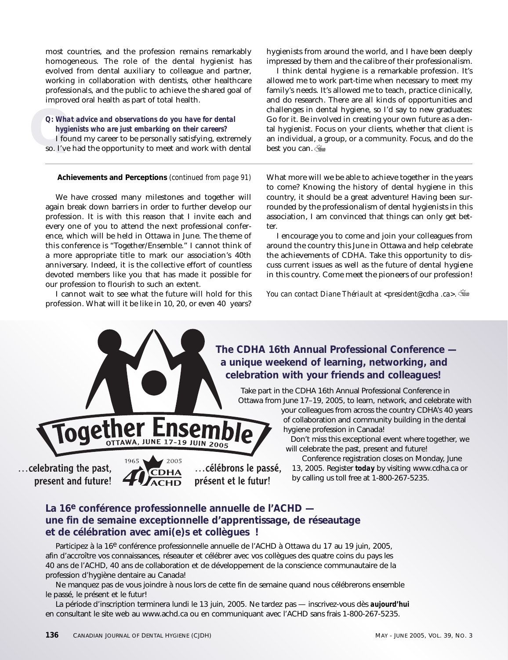most countries, and the profession remains remarkably homogeneous. The role of the dental hygienist has evolved from dental auxiliary to colleague and partner, working in collaboration with dentists, other healthcare professionals, and the public to achieve the shared goal of improved oral health as part of total health.

## *Q: What at hygienis*<br>*I* found so. I've had *Q: What advice and observations do you have for dental hygienists who are just embarking on their careers?*

I found my career to be personally satisfying, extremely so. I've had the opportunity to meet and work with dental

We have crossed many milestones and together will again break down barriers in order to further develop our profession. It is with this reason that I invite each and every one of you to attend the next professional conference, which will be held in Ottawa in June. The theme of this conference is "Together/Ensemble." I cannot think of a more appropriate title to mark our association's 40th anniversary. Indeed, it is the collective effort of countless devoted members like you that has made it possible for our profession to flourish to such an extent.

I cannot wait to see what the future will hold for this profession. What will it be like in 10, 20, or even 40 years?

hygienists from around the world, and I have been deeply impressed by them and the calibre of their professionalism.

I think dental hygiene is a remarkable profession. It's allowed me to work part-time when necessary to meet my family's needs. It's allowed me to teach, practice clinically, and do research. There are all kinds of opportunities and challenges in dental hygiene, so I'd say to new graduates: Go for it. Be involved in creating your own future as a dental hygienist. Focus on your clients, whether that client is an individual, a group, or a community. Focus, and do the best you can.

**Achievements and Perceptions** *(continued from page 91)* What more will we be able to achieve together in the years to come? Knowing the history of dental hygiene in this country, it should be a great adventure! Having been surrounded by the professionalism of dental hygienists in this association, I am convinced that things can only get better.

> I encourage you to come and join your colleagues from around the country this June in Ottawa and help celebrate the achievements of CDHA. Take this opportunity to discuss current issues as well as the future of dental hygiene in this country. Come meet the pioneers of our profession!

*You can contact Diane Thériault at <president@cdha .ca>.*

### **The CDHA 16th Annual Professional Conference a unique weekend of learning, networking, and celebration with your friends and colleagues!**

Take part in the CDHA 16th Annual Professional Conference in Ottawa from June 17–19, 2005, to learn, network, and celebrate with your colleagues from across the country CDHA's 40 years

of collaboration and community building in the dental hygiene profession in Canada!

Don't miss this exceptional event where together, we will celebrate the past, present and future!

Conference registration closes on Monday, June 13, 2005. Register *today* by visiting www.cdha.ca or by calling us toll free at 1-800-267-5235.

### **La 16e conférence professionnelle annuelle de l'ACHD une fin de semaine exceptionnelle d'apprentissage, de réseautage et de célébration avec ami(e)s et collègues !**

Participez à la 16<sup>e</sup> conférence professionnelle annuelle de l'ACHD à Ottawa du 17 au 19 juin, 2005, afin d'accroître vos connaissances, réseauter et célébrer avec vos collègues des quatre coins du pays les 40 ans de l'ACHD, 40 ans de collaboration et de développement de la conscience communautaire de la profession d'hygiène dentaire au Canada!

Ne manquez pas de vous joindre à nous lors de cette fin de semaine quand nous célébrerons ensemble le passé, le présent et le futur!

La période d'inscription terminera lundi le 13 juin, 2005. Ne tardez pas — inscrivez-vous dès *aujourd'hui* en consultant le site web au www.achd.ca ou en communiquant avec l'ACHD sans frais 1-800-267-5235.

... celebrating the past,

present and future!



**JUNE 17-19 JUIN 2005**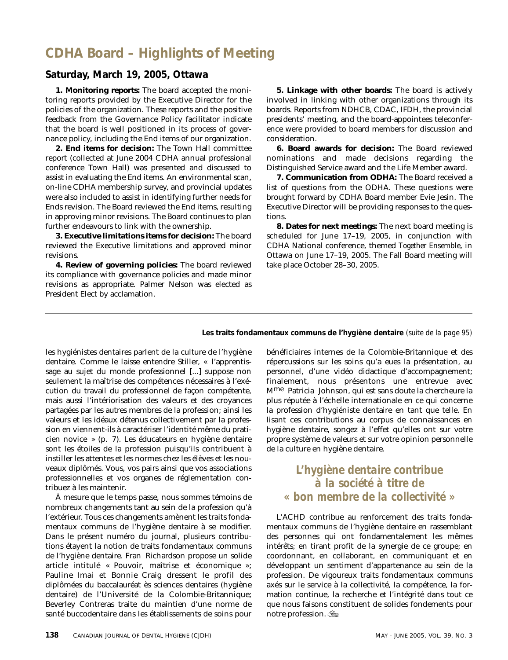## **CDHA Board – Highlights of Meeting**

#### **Saturday, March 19, 2005, Ottawa**

**1. Monitoring reports:** The board accepted the monitoring reports provided by the Executive Director for the policies of the organization. These reports and the positive feedback from the Governance Policy facilitator indicate that the board is well positioned in its process of governance policy, including the End items of our organization.

**2. End items for decision:** The Town Hall committee report (collected at June 2004 CDHA annual professional conference Town Hall) was presented and discussed to assist in evaluating the End items. An environmental scan, on-line CDHA membership survey, and provincial updates were also included to assist in identifying further needs for Ends revision. The Board reviewed the End items, resulting in approving minor revisions. The Board continues to plan further endeavours to link with the ownership.

**3. Executive limitations items for decision:** The board reviewed the Executive limitations and approved minor revisions.

**4. Review of governing policies:** The board reviewed its compliance with governance policies and made minor revisions as appropriate. Palmer Nelson was elected as President Elect by acclamation.

**5. Linkage with other boards:** The board is actively involved in linking with other organizations through its boards. Reports from NDHCB, CDAC, IFDH, the provincial presidents' meeting, and the board-appointees teleconference were provided to board members for discussion and consideration.

**6. Board awards for decision:** The Board reviewed nominations and made decisions regarding the Distinguished Service award and the Life Member award.

**7. Communication from ODHA:** The Board received a list of questions from the ODHA. These questions were brought forward by CDHA Board member Evie Jesin. The Executive Director will be providing responses to the questions.

**8. Dates for next meetings:** The next board meeting is scheduled for June 17–19, 2005, in conjunction with CDHA National conference, themed *Together Ensemble*, in Ottawa on June 17–19, 2005. The Fall Board meeting will take place October 28–30, 2005.

**Les traits fondamentaux communs de l'hygiène dentaire** *(suite de la page 95)*

les hygiénistes dentaires parlent de la culture de l'hygiène dentaire. Comme le laisse entendre Stiller, « l'apprentissage au sujet du monde professionnel [...] suppose non seulement la maîtrise des compétences nécessaires à l'exécution du travail du professionnel de façon compétente, mais aussi l'intériorisation des valeurs et des croyances partagées par les autres membres de la profession; ainsi les valeurs et les idéaux détenus collectivement par la profession en viennent-ils à caractériser l'identité même du praticien novice » (p. 7). Les éducateurs en hygiène dentaire sont les étoiles de la profession puisqu'ils contribuent à instiller les attentes et les normes chez les élèves et les nouveaux diplômés. Vous, vos pairs ainsi que vos associations professionnelles et vos organes de réglementation contribuez à les maintenir.

À mesure que le temps passe, nous sommes témoins de nombreux changements tant au sein de la profession qu'à l'extérieur. Tous ces changements amènent les traits fondamentaux communs de l'hygiène dentaire à se modifier. Dans le présent numéro du journal, plusieurs contributions étayent la notion de traits fondamentaux communs de l'hygiène dentaire. Fran Richardson propose un solide article intitulé « Pouvoir, maîtrise et économique »; Pauline Imai et Bonnie Craig dressent le profil des diplômées du baccalauréat ès sciences dentaires (hygiène dentaire) de l'Université de la Colombie-Britannique; Beverley Contreras traite du maintien d'une norme de santé buccodentaire dans les établissements de soins pour bénéficiaires internes de la Colombie-Britannique et des répercussions sur les soins qu'a eues la présentation, au personnel, d'une vidéo didactique d'accompagnement; finalement, nous présentons une entrevue avec Mme Patricia Johnson, qui est sans doute la chercheure la plus réputée à l'échelle internationale en ce qui concerne la profession d'hygiéniste dentaire en tant que telle. En lisant ces contributions au corpus de connaissances en hygiène dentaire, songez à l'effet qu'elles ont sur votre propre système de valeurs et sur votre opinion personnelle de la culture en hygiène dentaire.

### *L'hygiène dentaire contribue à la société à titre de « bon membre de la collectivité »*

L'ACHD contribue au renforcement des traits fondamentaux communs de l'hygiène dentaire en rassemblant des personnes qui ont fondamentalement les mêmes intérêts; en tirant profit de la synergie de ce groupe; en coordonnant, en collaborant, en communiquant et en développant un sentiment d'appartenance au sein de la profession. De vigoureux traits fondamentaux communs axés sur le service à la collectivité, la compétence, la formation continue, la recherche et l'intégrité dans tout ce que nous faisons constituent de solides fondements pour notre profession.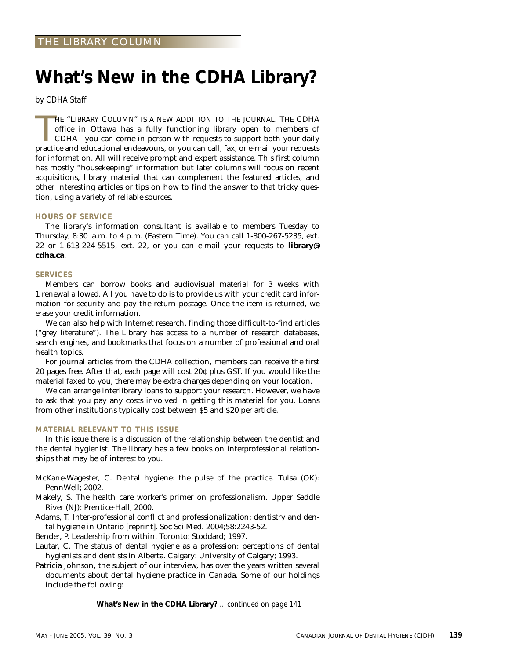# **What's New in the CDHA Library?**

*by CDHA Staff*

HE "LIBRARY COLUMN" IS A NEW ADDITION TO THE JOURNAL. THE CDHA office in Ottawa has a fully functioning library open to members of CDHA—you can come in person with requests to support both your daily practice and education HE "LIBRARY COLUMN" IS A NEW ADDITION TO THE JOURNAL. THE CDHA office in Ottawa has a fully functioning library open to members of CDHA—you can come in person with requests to support both your daily for information. All will receive prompt and expert assistance. This first column has mostly "housekeeping" information but later columns will focus on recent acquisitions, library material that can complement the featured articles, and other interesting articles or tips on how to find the answer to that tricky question, using a variety of reliable sources.

#### **HOURS OF SERVICE**

The library's information consultant is available to members Tuesday to Thursday, 8:30 a.m. to 4 p.m. (Eastern Time). You can call 1-800-267-5235, ext. 22 or 1-613-224-5515, ext. 22, or you can e-mail your requests to **library@ cdha.ca**.

#### **SERVICES**

Members can borrow books and audiovisual material for 3 weeks with 1 renewal allowed. All you have to do is to provide us with your credit card information for security and pay the return postage. Once the item is returned, we erase your credit information.

We can also help with Internet research, finding those difficult-to-find articles ("grey literature"). The Library has access to a number of research databases, search engines, and bookmarks that focus on a number of professional and oral health topics.

For journal articles from the CDHA collection, members can receive the first 20 pages free. After that, each page will cost 20¢ plus GST. If you would like the material faxed to you, there may be extra charges depending on your location.

We can arrange interlibrary loans to support your research. However, we have to ask that you pay any costs involved in getting this material for you. Loans from other institutions typically cost between \$5 and \$20 per article.

#### **MATERIAL RELEVANT TO THIS ISSUE**

In this issue there is a discussion of the relationship between the dentist and the dental hygienist. The library has a few books on interprofessional relationships that may be of interest to you.

- McKane-Wagester, C. Dental hygiene: the pulse of the practice. Tulsa (OK): PennWell; 2002.
- Makely, S. The health care worker's primer on professionalism. Upper Saddle River (NJ): Prentice-Hall; 2000.
- Adams, T. Inter-professional conflict and professionalization: dentistry and dental hygiene in Ontario [reprint]. Soc Sci Med. 2004;58:2243-52.

Bender, P. Leadership from within. Toronto: Stoddard; 1997.

- Lautar, C. The status of dental hygiene as a profession: perceptions of dental hygienists and dentists in Alberta. Calgary: University of Calgary; 1993.
- Patricia Johnson, the subject of our interview, has over the years written several documents about dental hygiene practice in Canada. Some of our holdings include the following:

**What's New in the CDHA Library?** *…continued on page 141*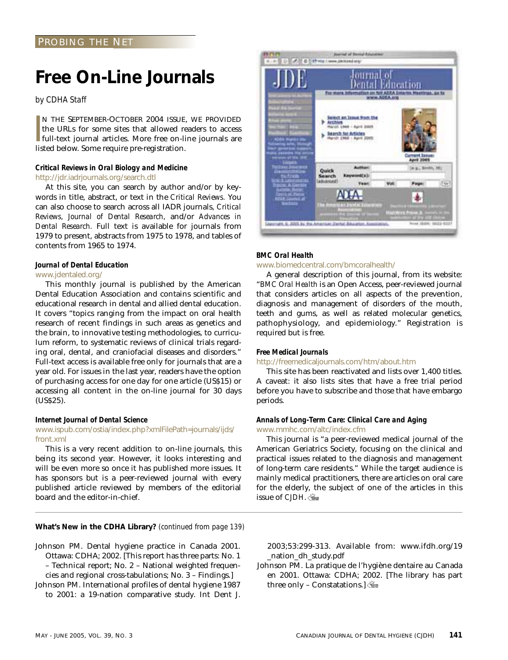## **Free On-Line Journals**

#### *by CDHA Staff*

**I**<br>Iis N THE SEPTEMBER-OCTOBER 2004 ISSUE, WE PROVIDED the URLs for some sites that allowed readers to access full-text journal articles. More free on-line journals are listed below. Some require pre-registration.

#### *Critical Reviews in Oral Biology and Medicine* http://jdr.iadrjournals.org/search.dtl

At this site, you can search by author and/or by keywords in title, abstract, or text in the *Critical Reviews.* You can also choose to search across all IADR journals, *Critical Reviews, Journal of Dental Research,* and/or *Advances in Dental Research.* Full text is available for journals from 1979 to present, abstracts from 1975 to 1978, and tables of contents from 1965 to 1974.

### *Journal of Dental Education*

#### www.jdentaled.org/

This monthly journal is published by the American Dental Education Association and contains scientific and educational research in dental and allied dental education. It covers "topics ranging from the impact on oral health research of recent findings in such areas as genetics and the brain, to innovative testing methodologies, to curriculum reform, to systematic reviews of clinical trials regarding oral, dental, and craniofacial diseases and disorders." Full-text access is available free only for journals that are a year old. For issues in the last year, readers have the option of purchasing access for one day for one article (US\$15) or accessing all content in the on-line journal for 30 days (US\$25).

#### *Internet Journal of Dental Science*

#### www.ispub.com/ostia/index.php?xmlFilePath=journals/ijds/ front.xml

This is a very recent addition to on-line journals, this being its second year. However, it looks interesting and will be even more so once it has published more issues. It has sponsors but is a peer-reviewed journal with every published article reviewed by members of the editorial board and the editor-in-chief.

**What's New in the CDHA Library?** *(continued from page 139)*

Johnson PM. Dental hygiene practice in Canada 2001. Ottawa: CDHA; 2002. [This report has three parts: No. 1 – Technical report; No. 2 – National weighted frequen-

cies and regional cross-tabulations; No. 3 – Findings.] Johnson PM. International profiles of dental hygiene 1987

to 2001: a 19-nation comparative study. Int Dent J.



#### *BMC Oral Health*

#### www.biomedcentral.com/bmcoralhealth/

A general description of this journal, from its website: "*BMC Oral Health* is an Open Access, peer-reviewed journal that considers articles on all aspects of the prevention, diagnosis and management of disorders of the mouth, teeth and gums, as well as related molecular genetics, pathophysiology, and epidemiology." Registration is required but is free.

#### *Free Medical Journals*

#### http://freemedicaljournals.com/htm/about.htm

This site has been reactivated and lists over 1,400 titles. A caveat: it also lists sites that have a free trial period before you have to subscribe and those that have embargo periods.

#### *Annals of Long-Term Care: Clinical Care and Aging* www.mmhc.com/altc/index.cfm

This journal is "a peer-reviewed medical journal of the American Geriatrics Society, focusing on the clinical and practical issues related to the diagnosis and management of long-term care residents." While the target audience is mainly medical practitioners, there are articles on oral care for the elderly, the subject of one of the articles in this issue of *CJDH*.

2003;53:299-313. Available from: www.ifdh.org/19 \_nation\_dh\_study.pdf

Johnson PM. La pratique de l'hygiène dentaire au Canada en 2001. Ottawa: CDHA; 2002. [The library has part three only - Constatations.  $\frac{1}{2}$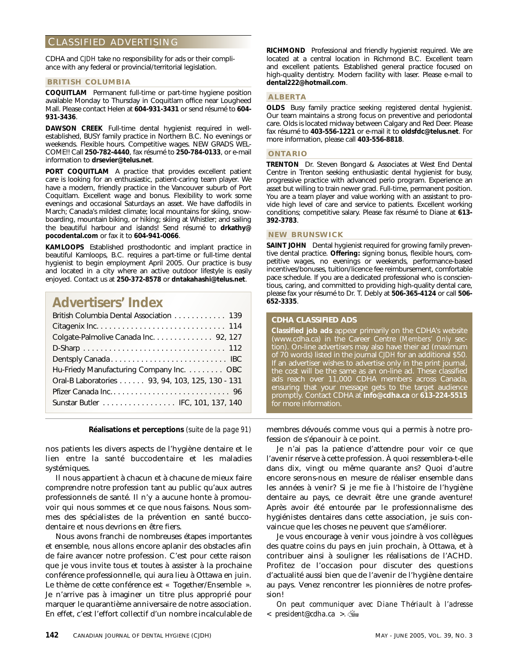### CLASSIFIED ADVERTISING

CDHA and *CJDH* take no responsibility for ads or their compliance with any federal or provincial/territorial legislation.

#### **BRITISH COLUMBIA**

**COQUITLAM** Permanent full-time or part-time hygiene position available Monday to Thursday in Coquitlam office near Lougheed Mall. Please contact Helen at **604-931-3431** or send résumé to **604- 931-3436**.

**DAWSON CREEK** Full-time dental hygienist required in wellestablished, BUSY family practice in Northern B.C. No evenings or weekends. Flexible hours. Competitive wages. NEW GRADS WEL-COME!! Call **250-782-4440**, fax résumé to **250-784-0133**, or e-mail information to **drsevier@telus.net**.

**PORT COQUITLAM** A practice that provides excellent patient care is looking for an enthusiastic, patient-caring team player. We have a modern, friendly practice in the Vancouver suburb of Port Coquitlam. Excellent wage and bonus. Flexibility to work some evenings and occasional Saturdays an asset. We have daffodils in March; Canada's mildest climate; local mountains for skiing, snowboarding, mountain biking, or hiking; skiing at Whistler; and sailing the beautiful harbour and islands! Send résumé to **drkathy@ pocodental.com** or fax it to **604-941-0066**.

**KAMLOOPS** Established prosthodontic and implant practice in beautiful Kamloops, B.C. requires a part-time or full-time dental hygienist to begin employment April 2005. Our practice is busy and located in a city where an active outdoor lifestyle is easily enjoyed. Contact us at **250-372-8578** or **dntakahashi@telus.net**.

## **Advertisers' Index**

| British Columbia Dental Association 139         |
|-------------------------------------------------|
|                                                 |
| Colgate-Palmolive Canada Inc. 92, 127           |
|                                                 |
|                                                 |
| Hu-Friedy Manufacturing Company Inc. OBC        |
| Oral-B Laboratories 93, 94, 103, 125, 130 - 131 |
|                                                 |
| Sunstar Butler IFC, 101, 137, 140               |
|                                                 |

nos patients les divers aspects de l'hygiène dentaire et le lien entre la santé buccodentaire et les maladies systémiques.

Il nous appartient à chacun et à chacune de mieux faire comprendre notre profession tant au public qu'aux autres professionnels de santé. Il n'y a aucune honte à promouvoir qui nous sommes et ce que nous faisons. Nous sommes des spécialistes de la prévention en santé buccodentaire et nous devrions en être fiers.

Nous avons franchi de nombreuses étapes importantes et ensemble, nous allons encore aplanir des obstacles afin de faire avancer notre profession. C'est pour cette raison que je vous invite tous et toutes à assister à la prochaine conférence professionnelle, qui aura lieu à Ottawa en juin. Le thème de cette conférence est « Together/Ensemble ». Je n'arrive pas à imaginer un titre plus approprié pour marquer le quarantième anniversaire de notre association. En effet, c'est l'effort collectif d'un nombre incalculable de **RICHMOND** Professional and friendly hygienist required. We are located at a central location in Richmond B.C. Excellent team and excellent patients. Established general practice focused on high-quality dentistry. Modern facility with laser. Please e-mail to **dental222@hotmail.com**.

#### **ALBERTA**

**OLDS** Busy family practice seeking registered dental hygienist. Our team maintains a strong focus on preventive and periodontal care. Olds is located midway between Calgary and Red Deer. Please fax résumé to **403-556-1221** or e-mail it to **oldsfdc@telus.net**. For more information, please call **403-556-8818**.

#### **ONTARIO**

**TRENTON** Dr. Steven Bongard & Associates at West End Dental Centre in Trenton seeking enthusiastic dental hygienist for busy, progressive practice with advanced perio program. Experience an asset but willing to train newer grad. Full-time, permanent position. You are a team player and value working with an assistant to provide high level of care and service to patients. Excellent working conditions; competitive salary. Please fax résumé to Diane at **613- 392-3783**.

#### **NEW BRUNSWICK**

**SAINT JOHN** Dental hygienist required for growing family preventive dental practice. **Offering:** signing bonus, flexible hours, competitive wages, no evenings or weekends, performance-based incentives/bonuses, tuition/licence fee reimbursement, comfortable pace schedule. If you are a dedicated professional who is conscientious, caring, and committed to providing high-quality dental care, please fax your résumé to Dr. T. Debly at **506-365-4124** or call **506- 652-3335**.

#### **CDHA CLASSIFIED ADS**

**Classified job ads** appear primarily on the CDHA's website (www.cdha.ca) in the Career Centre (*Members' Only* section). On-line advertisers may also have their ad (maximum of 70 words) listed in the journal *CJDH* for an additional \$50. If an advertiser wishes to advertise only in the print journal, the cost will be the same as an on-line ad. These classified ads reach over 11,000 CDHA members across Canada, ensuring that your message gets to the target audience promptly. Contact CDHA at **info@cdha.ca** or **613-224-5515** for more information.

**Réalisations et perceptions** *(suite de la page 91)* membres dévoués comme vous qui a permis à notre profession de s'épanouir à ce point.

> Je n'ai pas la patience d'attendre pour voir ce que l'avenir réserve à cette profession. À quoi ressemblera-t-elle dans dix, vingt ou même quarante ans? Quoi d'autre encore serons-nous en mesure de réaliser ensemble dans les années à venir? Si je me fie à l'histoire de l'hygiène dentaire au pays, ce devrait être une grande aventure! Après avoir été entourée par le professionnalisme des hygiénistes dentaires dans cette association, je suis convaincue que les choses ne peuvent que s'améliorer.

> Je vous encourage à venir vous joindre à vos collègues des quatre coins du pays en juin prochain, à Ottawa, et à contribuer ainsi à souligner les réalisations de l'ACHD. Profitez de l'occasion pour discuter des questions d'actualité aussi bien que de l'avenir de l'hygiène dentaire au pays. Venez rencontrer les pionnières de notre profession!

> *On peut communiquer avec Diane Thériault à l'adresse < president@cdha.ca >.*